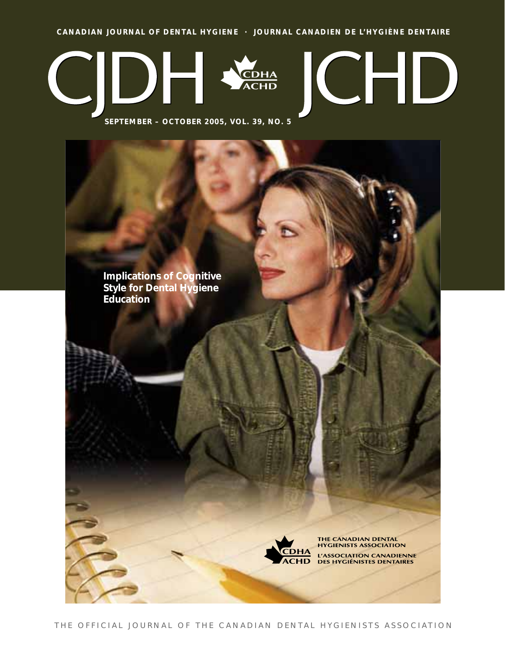**CANADIAN JOURNAL OF DENTAL HYGIENE · JOURNAL CANADIEN DE L'HYGIÈNE DENTAIRE**



**SEPTEMBER – OCTOBER 2005, VOL. 39, NO. 5**

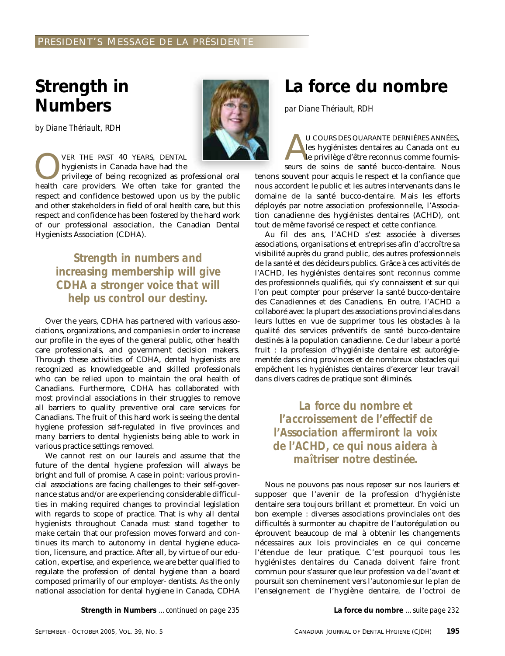# **Strength in Numbers**

*by Diane Thériault, RDH*

VER THE PAST 40 YEARS, DENTAL<br>hygienists in Canada have had the<br>privilege of being recognized as pr<br>health care providers. We often take for hygienists in Canada have had the privilege of being recognized as professional oral health care providers. We often take for granted the respect and confidence bestowed upon us by the public

and other stakeholders in field of oral health care, but this respect and confidence has been fostered by the hard work of our professional association, the Canadian Dental Hygienists Association (CDHA).

*Strength in numbers and increasing membership will give CDHA a stronger voice that will help us control our destiny.*

Over the years, CDHA has partnered with various associations, organizations, and companies in order to increase our profile in the eyes of the general public, other health care professionals, and government decision makers. Through these activities of CDHA, dental hygienists are recognized as knowledgeable and skilled professionals who can be relied upon to maintain the oral health of Canadians. Furthermore, CDHA has collaborated with most provincial associations in their struggles to remove all barriers to quality preventive oral care services for Canadians. The fruit of this hard work is seeing the dental hygiene profession self-regulated in five provinces and many barriers to dental hygienists being able to work in various practice settings removed.

We cannot rest on our laurels and assume that the future of the dental hygiene profession will always be bright and full of promise. A case in point: various provincial associations are facing challenges to their self-governance status and/or are experiencing considerable difficulties in making required changes to provincial legislation with regards to scope of practice. That is why all dental hygienists throughout Canada must stand together to make certain that our profession moves forward and continues its march to autonomy in dental hygiene education, licensure, and practice. After all, by virtue of our education, expertise, and experience, we are better qualified to regulate the profession of dental hygiene than a board composed primarily of our employer- dentists. As the only national association for dental hygiene in Canada, CDHA

**Strength in Numbers** *…continued on page 235* **La force du nombre** *…suite page 232*

# **La force du nombre**

*par Diane Thériault, RDH*

U COURS DES QUARANTE DERNIÈRES ANNÉES,<br>les hygiénistes dentaires au Canada ont eu<br>le privilège d'être reconnus comme fournis-<br>seurs de soins de santé bucco-dentaire. Nous les hygiénistes dentaires au Canada ont eu le privilège d'être reconnus comme fournisseurs de soins de santé bucco-dentaire. Nous tenons souvent pour acquis le respect et la confiance que nous accordent le public et les autres intervenants dans le domaine de la santé bucco-dentaire. Mais les efforts déployés par notre association professionnelle, l'Association canadienne des hygiénistes dentaires (ACHD), ont tout de même favorisé ce respect et cette confiance.

Au fil des ans, l'ACHD s'est associée à diverses associations, organisations et entreprises afin d'accroître sa visibilité auprès du grand public, des autres professionnels de la santé et des décideurs publics. Grâce à ces activités de l'ACHD, les hygiénistes dentaires sont reconnus comme des professionnels qualifiés, qui s'y connaissent et sur qui l'on peut compter pour préserver la santé bucco-dentaire des Canadiennes et des Canadiens. En outre, l'ACHD a collaboré avec la plupart des associations provinciales dans leurs luttes en vue de supprimer tous les obstacles à la qualité des services préventifs de santé bucco-dentaire destinés à la population canadienne. Ce dur labeur a porté fruit : la profession d'hygiéniste dentaire est autoréglementée dans cinq provinces et de nombreux obstacles qui empêchent les hygiénistes dentaires d'exercer leur travail dans divers cadres de pratique sont éliminés.

*La force du nombre et l'accroissement de l'effectif de l'Association affermiront la voix de l'ACHD, ce qui nous aidera à maîtriser notre destinée.*

Nous ne pouvons pas nous reposer sur nos lauriers et supposer que l'avenir de la profession d'hygiéniste dentaire sera toujours brillant et prometteur. En voici un bon exemple : diverses associations provinciales ont des difficultés à surmonter au chapitre de l'autorégulation ou éprouvent beaucoup de mal à obtenir les changements nécessaires aux lois provinciales en ce qui concerne l'étendue de leur pratique. C'est pourquoi tous les hygiénistes dentaires du Canada doivent faire front commun pour s'assurer que leur profession va de l'avant et poursuit son cheminement vers l'autonomie sur le plan de l'enseignement de l'hygiène dentaire, de l'octroi de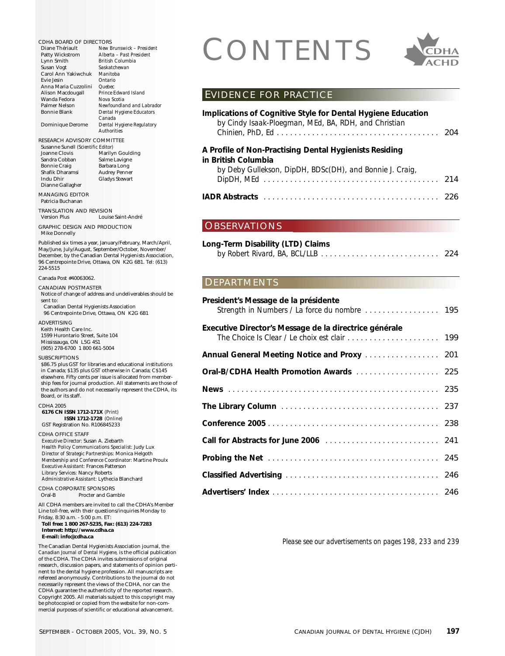CDHA BOARD OF DIRECTORS<br>
Diane Thériault New Brunswick - President<br>
Lynn Smith British Columbia<br>
Susan Voot<br>
Susan Voot Diane Thériault *New Brunswick – President* Patty Wickstrom *Alberta – Past President* Lynn Smith *British Columbia* Susan Vogt *Saskatchewan* Carol Ann Yakiwchuk *Manitoba* Evie Jesin *Ontario* Anna Maria Cuzzolini *Quebec* Alison Macdougall *Prince Edwa*<br>Wanda Fedora *Nova Scotia* Wanda Fedora *Nova Scotia* Palmer Nelson *Newfoundland and Labrador*  $Dental$  *Hygiene Educators Canada* Dominique Derome *Dental Hygiene Regulatory Authorities* RESEARCH ADVISORY COMMITTEE Susanne Sunell *(Scientific Editor)* Marilyn Goulding<br>Salme Lavigne Sandra Cobban<br>Bonnie Craig Barbara Long<br>Audrey Penner Shafik Dharamsi<br>Indu Dhir Gladys Stewart Dianne Gallagher MANAGING EDITOR Patricia Buchanan TRANSLATION AND REVISION Version Plus Louise Saint-André GRAPHIC DESIGN AND PRODUCTION Mike Donnelly Published six times a year, January/February, March/April, May/June, July/August, September/October, November/ December, by the Canadian Dental Hygienists Association, 96 Centrepointe Drive, Ottawa, ON K2G 6B1. Tel: (613) 224-5515 Canada Post #40063062. CANADIAN POSTMASTER Notice of change of address and undeliverables should be sent to: Canadian Dental Hygienists Association 96 Centrepointe Drive, Ottawa, ON K2G 6B1 ADVERTISING Keith Health Care Inc. 1599 Hurontario Street, Suite 104 Mississauga, ON L5G 4S1 (905) 278-6700 1 800 661-5004 SUBSCRIPTIONS \$86.75 plus GST for libraries and educational institutions in Canada; \$135 plus GST otherwise in Canada; C\$145 elsewhere. Fifty cents per issue is allocated from membership fees for journal production. All statements are those of the authors and do not necessarily represent the CDHA, its Board, or its staff. CDHA 2005 **6176 CN ISSN 1712-171X** *(Print)* **ISSN 1712-1728** *(Online)* GST Registration No. R106845233 CDHA OFFICE STAFF *Executive Director:* Susan A. Ziebarth *Health Policy Communications Specialist:* Judy Lux *Director of Strategic Partnerships:* Monica Helgoth *Membership and Conference Coordinator:* Martine Proulx *Executive Assistant:* Frances Patterson *Library Services:* Nancy Roberts *Administrative Assistant:* Lythecia Blanchard CDHA CORPORATE SPONSORS Oral-B Procter and Gamble All CDHA members are invited to call the CDHA's Member Line toll-free, with their questions/inquiries Monday to Friday, 8:30 a.m. - 5:00 p.m. ET: **Toll free: 1 800 267-5235, Fax: (613) 224-7283 Internet: http://www.cdha.ca E-mail: info@cdha.ca** The Canadian Dental Hygienists Association journal, the *Canadian Journal of Dental Hygiene,* is the official publication of the CDHA. The CDHA invites submissions of original research, discussion papers, and statements of opinion pertinent to the dental hygiene profession. All manuscripts are refereed anonymously. Contributions to the journal do not necessarily represent the views of the CDHA, nor can the CDHA guarantee the authenticity of the reported research. Copyright 2005. All materials subject to this copyright may be photocopied or copied from the website for non-commercial purposes of scientific or educational advancement.



### EVIDENCE FOR PRACTICE

| Implications of Cognitive Style for Dental Hygiene Education<br>by Cindy Isaak-Ploegman, MEd, BA, RDH, and Christian |  |
|----------------------------------------------------------------------------------------------------------------------|--|
| A Profile of Non-Practising Dental Hygienists Residing                                                               |  |
| in British Columbia                                                                                                  |  |
| by Deby Gullekson, DipDH, BDSc(DH), and Bonnie J. Craig,                                                             |  |
|                                                                                                                      |  |
|                                                                                                                      |  |

## OBSERVATIONS

## **Long-Term Disability (LTD) Claims** *by Robert Rivard, BA, BCL/LLB . . . . . . . . . . . . . . . . . . . . . . . . . . .* 224

## DEPARTMENTS

| Strength in Numbers / La force du nombre  195             |
|-----------------------------------------------------------|
|                                                           |
|                                                           |
|                                                           |
|                                                           |
| The Library Column (1999) 1999 March 2014 1999 March 2014 |
|                                                           |
|                                                           |
|                                                           |
|                                                           |
|                                                           |
|                                                           |

*Please see our advertisements on pages 198, 233 and 239*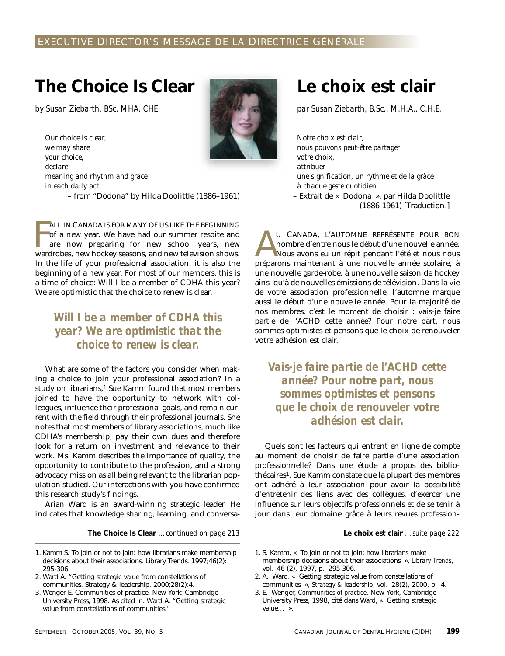# **The Choice Is Clear**

*by Susan Ziebarth, BSc, MHA, CHE*

*Our choice is clear,* 



*we may share your choice, declare meaning and rhythm and grace in each daily act.* – from "Dodona" by Hilda Doolittle (1886–1961)

FALL IN CANADA IS FOR MANY OF US LIKE THE BEGINNING of a new year. We have had our summer respite and are now preparing for new school years, new wardrobes, new hockey seasons, and new television shows. ALL IN CANADA IS FOR MANY OF US LIKE THE BEGINNING of a new year. We have had our summer respite and are now preparing for new school years, new In the life of your professional association, it is also the beginning of a new year. For most of our members, this is a time of choice: Will I be a member of CDHA this year? We are optimistic that the choice to renew is clear.

# *Will I be a member of CDHA this year? We are optimistic that the choice to renew is clear.*

What are some of the factors you consider when making a choice to join your professional association? In a study on librarians,<sup>1</sup> Sue Kamm found that most members joined to have the opportunity to network with colleagues, influence their professional goals, and remain current with the field through their professional journals. She notes that most members of library associations, much like CDHA's membership, pay their own dues and therefore look for a return on investment and relevance to their work. Ms. Kamm describes the importance of quality, the opportunity to contribute to the profession, and a strong advocacy mission as all being relevant to the librarian population studied. Our interactions with you have confirmed this research study's findings.

Arian Ward is an award-winning strategic leader. He indicates that knowledge sharing, learning, and conversa-

**The Choice Is Clear** *…continued on page 213* **Le choix est clair** *…suite page 222*

- 2. Ward A. "Getting strategic value from constellations of communities. Strategy & leadership. 2000;28(2):4.
- 3. Wenger E. Communities of practice. New York: Cambridge University Press; 1998. As cited in: Ward A. "Getting strategic value from constellations of communities."

# **Le choix est clair**

*par Susan Ziebarth, B.Sc., M.H.A., C.H.E.*

*Notre choix est clair, nous pouvons peut-être partager votre choix, attribuer une signification, un rythme et de la grâce à chaque geste quotidien.* – Extrait de « Dodona », par Hilda Doolittle

(1886-1961) [Traduction.]

U CANADA, L'AUTOMNE REPRÉSENTE POUR BON<br>nombre d'entre nous le début d'une nouvelle année.<br>Nous avons eu un répit pendant l'été et nous nous<br>préparons maintenant à une nouvelle année scolaire à nombre d'entre nous le début d'une nouvelle année. Nous avons eu un répit pendant l'été et nous nous préparons maintenant à une nouvelle année scolaire, à une nouvelle garde-robe, à une nouvelle saison de hockey ainsi qu'à de nouvelles émissions de télévision. Dans la vie de votre association professionnelle, l'automne marque aussi le début d'une nouvelle année. Pour la majorité de nos membres, c'est le moment de choisir : vais-je faire partie de l'ACHD cette année? Pour notre part, nous sommes optimistes et pensons que le choix de renouveler votre adhésion est clair.

*Vais-je faire partie de l'ACHD cette année? Pour notre part, nous sommes optimistes et pensons que le choix de renouveler votre adhésion est clair.*

Quels sont les facteurs qui entrent en ligne de compte au moment de choisir de faire partie d'une association professionnelle? Dans une étude à propos des bibliothécaires1, Sue Kamm constate que la plupart des membres ont adhéré à leur association pour avoir la possibilité d'entretenir des liens avec des collègues, d'exercer une influence sur leurs objectifs professionnels et de se tenir à jour dans leur domaine grâce à leurs revues profession-

<sup>1.</sup> Kamm S. To join or not to join: how librarians make membership decisions about their associations. Library Trends. 1997;46(2): 295-306.

<sup>1.</sup> S. Kamm, « To join or not to join: how librarians make membership decisions about their associations », *Library Trends*, vol. 46 (2), 1997, p. 295-306.

<sup>2.</sup> A. Ward, « Getting strategic value from constellations of communities », *Strategy & leadership*, vol. 28(2), 2000, p. 4.

<sup>3.</sup> E. Wenger, *Communities of practice*, New York, Cambridge University Press, 1998, cité dans Ward, « Getting strategic value… ».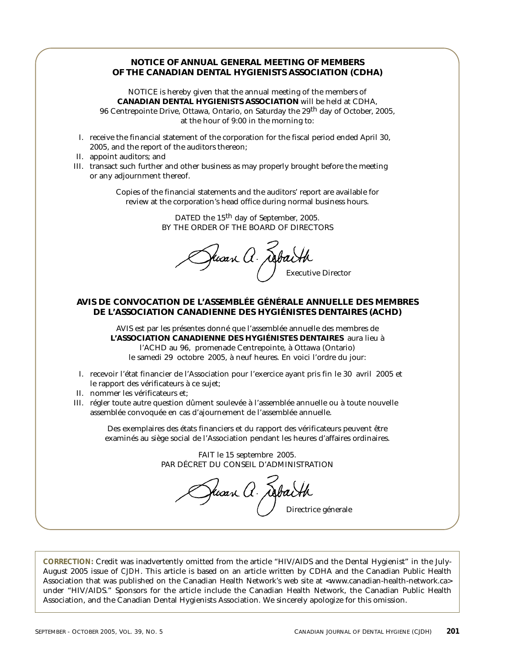## **NOTICE OF ANNUAL GENERAL MEETING OF MEMBERS OF THE CANADIAN DENTAL HYGIENISTS ASSOCIATION (CDHA)**

NOTICE is hereby given that the annual meeting of the members of **CANADIAN DENTAL HYGIENISTS ASSOCIATION** will be held at CDHA, 96 Centrepointe Drive, Ottawa, Ontario, on Saturday the 29th day of October, 2005, at the hour of 9:00 in the morning to:

- I. receive the financial statement of the corporation for the fiscal period ended April 30, 2005, and the report of the auditors thereon;
- II. appoint auditors; and
- III. transact such further and other business as may properly brought before the meeting or any adjournment thereof.

Copies of the financial statements and the auditors' report are available for review at the corporation's head office during normal business hours.

> DATED the 15<sup>th</sup> day of September, 2005. BY THE ORDER OF THE BOARD OF DIRECTORS

Juan A. AptaHt

## **AVIS DE CONVOCATION DE L'ASSEMBLÉE GÉNÉRALE ANNUELLE DES MEMBRES DE L'ASSOCIATION CANADIENNE DES HYGIÉNISTES DENTAIRES (ACHD)**

AVIS est par les présentes donné que l'assemblée annuelle des membres de **L'ASSOCIATION CANADIENNE DES HYGIÉNISTES DENTAIRES** aura lieu à l'ACHD au 96, promenade Centrepointe, à Ottawa (Ontario) le samedi 29 octobre 2005, à neuf heures. En voici l'ordre du jour:

- I. recevoir l'état financier de l'Association pour l'exercice ayant pris fin le 30 avril 2005 et le rapport des vérificateurs à ce sujet;
- II. nommer les vérificateurs et;
- III. régler toute autre question dûment soulevée à l'assemblée annuelle ou à toute nouvelle assemblée convoquée en cas d'ajournement de l'assemblée annuelle.

Des exemplaires des états financiers et du rapport des vérificateurs peuvent être examinés au siège social de l'Association pendant les heures d'affaires ordinaires.

> FAIT le 15 septembre 2005. PAR DÉCRET DU CONSEIL D'ADMINISTRATION

Jusan A. Jabaith

**CORRECTION:** Credit was inadvertently omitted from the article "HIV/AIDS and the Dental Hygienist" in the July-August 2005 issue of *CJDH*. This article is based on an article written by CDHA and the Canadian Public Health Association that was published on the Canadian Health Network's web site at <www.canadian-health-network.ca> under "HIV/AIDS." Sponsors for the article include the Canadian Health Network, the Canadian Public Health Association, and the Canadian Dental Hygienists Association. We sincerely apologize for this omission.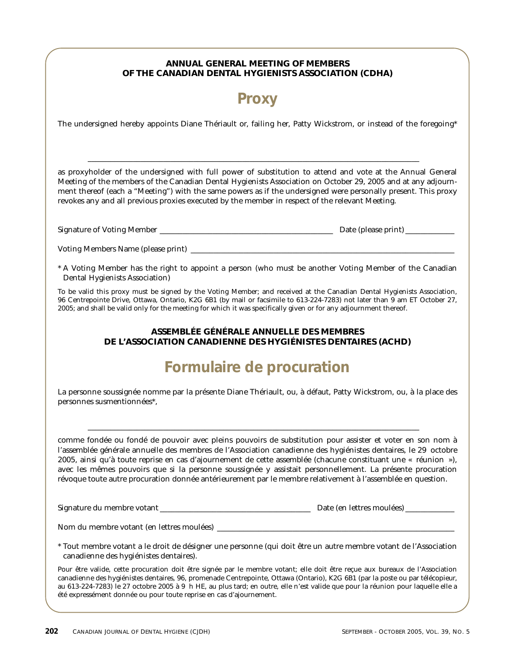## **ANNUAL GENERAL MEETING OF MEMBERS OF THE CANADIAN DENTAL HYGIENISTS ASSOCIATION (CDHA)**

# **Proxy**

The undersigned hereby appoints Diane Thériault or, failing her, Patty Wickstrom, or instead of the foregoing\*

as proxyholder of the undersigned with full power of substitution to attend and vote at the Annual General Meeting of the members of the Canadian Dental Hygienists Association on October 29, 2005 and at any adjournment thereof (each a "Meeting") with the same powers as if the undersigned were personally present. This proxy revokes any and all previous proxies executed by the member in respect of the relevant Meeting.

\_\_\_\_\_\_\_\_\_\_\_\_\_\_\_\_\_\_\_\_\_\_\_\_\_\_\_\_\_\_\_\_\_\_\_\_\_\_\_\_\_\_\_\_\_\_\_\_\_\_\_\_\_\_\_\_\_\_\_\_\_\_\_\_\_\_\_\_\_\_\_\_\_\_\_\_\_\_\_\_\_\_\_\_\_\_\_\_

| <b>Signature of Voting Member</b> | Date (please print) |
|-----------------------------------|---------------------|
|-----------------------------------|---------------------|

Voting Members Name (please print) \_\_\_\_\_\_\_\_\_\_\_\_\_\_\_\_\_\_\_\_\_\_\_\_\_\_\_\_\_\_\_\_\_\_\_\_\_\_\_\_\_\_\_\_\_\_\_\_\_\_\_\_\_\_\_\_\_\_\_\_\_\_\_\_\_\_\_\_\_\_

\* A Voting Member has the right to appoint a person (who must be another Voting Member of the Canadian Dental Hygienists Association)

To be valid this proxy must be signed by the Voting Member; and received at the Canadian Dental Hygienists Association, 96 Centrepointe Drive, Ottawa, Ontario, K2G 6B1 (by mail or facsimile to 613-224-7283) not later than 9 am ET October 27, 2005; and shall be valid only for the meeting for which it was specifically given or for any adjournment thereof.

## **ASSEMBLÉE GÉNÉRALE ANNUELLE DES MEMBRES DE L'ASSOCIATION CANADIENNE DES HYGIÉNISTES DENTAIRES (ACHD)**

# **Formulaire de procuration**

La personne soussignée nomme par la présente Diane Thériault, ou, à défaut, Patty Wickstrom, ou, à la place des personnes susmentionnées\*,

 $\Box$ 

comme fondée ou fondé de pouvoir avec pleins pouvoirs de substitution pour assister et voter en son nom à l'assemblée générale annuelle des membres de l'Association canadienne des hygiénistes dentaires, le 29 octobre 2005, ainsi qu'à toute reprise en cas d'ajournement de cette assemblée (chacune constituant une « réunion »), avec les mêmes pouvoirs que si la personne soussignée y assistait personnellement. La présente procuration révoque toute autre procuration donnée antérieurement par le membre relativement à l'assemblée en question.

Signature du membre votant \_\_\_\_\_\_\_\_\_\_\_\_\_\_\_\_\_\_\_\_\_\_\_\_\_\_\_\_\_\_\_\_\_\_\_\_\_\_\_\_ Date (en lettres moulées) \_\_\_\_\_\_\_\_\_\_\_\_\_

Nom du membre votant (en lettres moulées)

\* Tout membre votant a le droit de désigner une personne (qui doit être un autre membre votant de l'Association canadienne des hygiénistes dentaires).

Pour être valide, cette procuration doit être signée par le membre votant; elle doit être reçue aux bureaux de l'Association canadienne des hygiénistes dentaires, 96, promenade Centrepointe, Ottawa (Ontario), K2G 6B1 (par la poste ou par télécopieur, au 613-224-7283) le 27 octobre 2005 à 9 h HE, au plus tard; en outre, elle n'est valide que pour la réunion pour laquelle elle a été expressément donnée ou pour toute reprise en cas d'ajournement.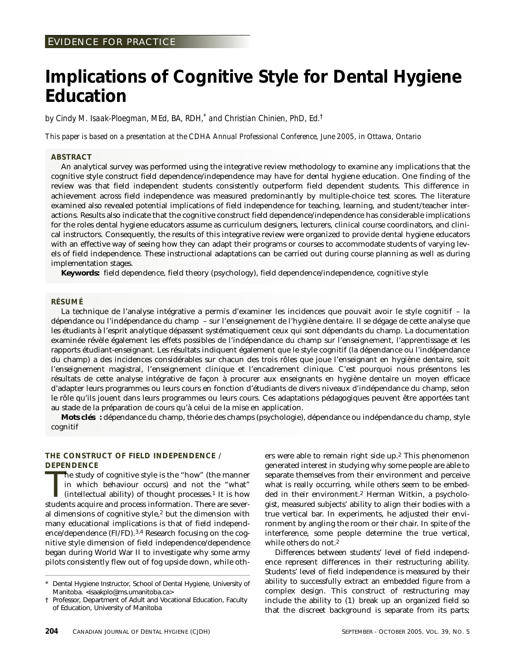# **Implications of Cognitive Style for Dental Hygiene Education**

*by Cindy M. Isaak-Ploegman, MEd, BA, RDH,\* and Christian Chinien, PhD, Ed.†*

*This paper is based on a presentation at the CDHA Annual Professional Conference, June 2005, in Ottawa, Ontario*

#### **ABSTRACT**

An analytical survey was performed using the integrative review methodology to examine any implications that the cognitive style construct field dependence/independence may have for dental hygiene education. One finding of the review was that field independent students consistently outperform field dependent students. This difference in achievement across field independence was measured predominantly by multiple-choice test scores. The literature examined also revealed potential implications of field independence for teaching, learning, and student/teacher interactions. Results also indicate that the cognitive construct field dependence/independence has considerable implications for the roles dental hygiene educators assume as curriculum designers, lecturers, clinical course coordinators, and clinical instructors. Consequently, the results of this integrative review were organized to provide dental hygiene educators with an effective way of seeing how they can adapt their programs or courses to accommodate students of varying levels of field independence. These instructional adaptations can be carried out during course planning as well as during implementation stages.

**Keywords:** field dependence, field theory (psychology), field dependence/independence, cognitive style

#### **RÉSUMÉ**

La technique de l'analyse intégrative a permis d'examiner les incidences que pouvait avoir le style cognitif – la dépendance ou l'indépendance du champ – sur l'enseignement de l'hygiène dentaire. Il se dégage de cette analyse que les étudiants à l'esprit analytique dépassent systématiquement ceux qui sont dépendants du champ. La documentation examinée révèle également les effets possibles de l'indépendance du champ sur l'enseignement, l'apprentissage et les rapports étudiant-enseignant. Les résultats indiquent également que le style cognitif (la dépendance ou l'indépendance du champ) a des incidences considérables sur chacun des trois rôles que joue l'enseignant en hygiène dentaire, soit l'enseignement magistral, l'enseignement clinique et l'encadrement clinique. C'est pourquoi nous présentons les résultats de cette analyse intégrative de façon à procurer aux enseignants en hygiène dentaire un moyen efficace d'adapter leurs programmes ou leurs cours en fonction d'étudiants de divers niveaux d'indépendance du champ, selon le rôle qu'ils jouent dans leurs programmes ou leurs cours. Ces adaptations pédagogiques peuvent être apportées tant au stade de la préparation de cours qu'à celui de la mise en application.

**Mots clés :** dépendance du champ, théorie des champs (psychologie), dépendance ou indépendance du champ, style cognitif

#### **THE CONSTRUCT OF FIELD INDEPENDENCE / DEPENDENCE**

The study of cognitive style is the "how" (the manner in which behaviour occurs) and not the "what" (intellectual ability) of thought processes.<sup>1</sup> It is how students acquire and process information. There are severhe study of cognitive style is the "how" (the manner in which behaviour occurs) and not the "what" (intellectual ability) of thought processes.<sup>1</sup> It is how al dimensions of cognitive style,2 but the dimension with many educational implications is that of field independence/dependence (FI/FD).3,4 Research focusing on the cognitive style dimension of field independence/dependence began during World War II to investigate why some army pilots consistently flew out of fog upside down, while others were able to remain right side up.2 This phenomenon generated interest in studying why some people are able to separate themselves from their environment and perceive what is really occurring, while others seem to be embedded in their environment.2 Herman Witkin, a psychologist, measured subjects' ability to align their bodies with a true vertical bar. In experiments, he adjusted their environment by angling the room or their chair. In spite of the interference, some people determine the true vertical, while others do not.<sup>2</sup>

Differences between students' level of field independence represent differences in their restructuring ability. Students' level of field independence is measured by their ability to successfully extract an embedded figure from a complex design. This construct of restructuring may include the ability to (1) break up an organized field so that the discreet background is separate from its parts;

Dental Hygiene Instructor, School of Dental Hygiene, University of Manitoba. <isaakplo@ms.umanitoba.ca>

<sup>†</sup> Professor, Department of Adult and Vocational Education, Faculty of Education, University of Manitoba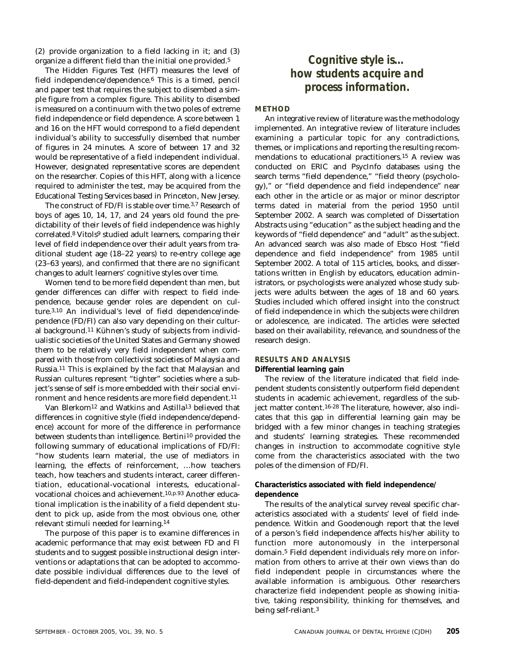(2) provide organization to a field lacking in it; and (3) organize a different field than the initial one provided.5

The Hidden Figures Test (HFT) measures the level of field independence/dependence.6 This is a timed, pencil and paper test that requires the subject to disembed a simple figure from a complex figure. This ability to disembed is measured on a continuum with the two poles of extreme field independence or field dependence. A score between 1 and 16 on the HFT would correspond to a field dependent individual's ability to successfully disembed that number of figures in 24 minutes. A score of between 17 and 32 would be representative of a field independent individual. However, designated representative scores are dependent on the researcher. Copies of this HFT, along with a licence required to administer the test, may be acquired from the Educational Testing Services based in Princeton, New Jersey.

The construct of FD/FI is stable over time.<sup>3,7</sup> Research of boys of ages 10, 14, 17, and 24 years old found the predictability of their levels of field independence was highly correlated.8 Vitols9 studied adult learners, comparing their level of field independence over their adult years from traditional student age (18–22 years) to re-entry college age (23–63 years), and confirmed that there are no significant changes to adult learners' cognitive styles over time.

Women tend to be more field dependent than men, but gender differences can differ with respect to field independence, because gender roles are dependent on culture.3,10 An individual's level of field dependence/independence (FD/FI) can also vary depending on their cultural background.11 Kühnen's study of subjects from individualistic societies of the United States and Germany showed them to be relatively very field independent when compared with those from collectivist societies of Malaysia and Russia.11 This is explained by the fact that Malaysian and Russian cultures represent "tighter" societies where a subject's sense of self is more embedded with their social environment and hence residents are more field dependent.11

Van Blerkom12 and Watkins and Astilla13 believed that differences in cognitive style (field independence/dependence) account for more of the difference in performance between students than intelligence. Bertini10 provided the following summary of educational implications of FD/FI: "how students learn material, the use of mediators in learning, the effects of reinforcement, …how teachers teach, how teachers and students interact, career differentiation, educational-vocational interests, educationalvocational choices and achievement.10,p.93 Another educational implication is the inability of a field dependent student to pick up, aside from the most obvious one, other relevant stimuli needed for learning.14

The purpose of this paper is to examine differences in academic performance that may exist between FD and FI students and to suggest possible instructional design interventions or adaptations that can be adopted to accommodate possible individual differences due to the level of field-dependent and field-independent cognitive styles.

# *Cognitive style is… how students acquire and process information.*

#### **METHOD**

An integrative review of literature was the methodology implemented. An integrative review of literature includes examining a particular topic for any contradictions, themes, or implications and reporting the resulting recommendations to educational practitioners.15 A review was conducted on ERIC and PsycInfo databases using the search terms "field dependence," "field theory (psychology)," or "field dependence and field independence" near each other in the article or as major or minor descriptor terms dated in material from the period 1950 until September 2002. A search was completed of Dissertation Abstracts using "education" as the subject heading and the keywords of "field dependence" and "adult" as the subject. An advanced search was also made of Ebsco Host "field dependence and field independence" from 1985 until September 2002. A total of 115 articles, books, and dissertations written in English by educators, education administrators, or psychologists were analyzed whose study subjects were adults between the ages of 18 and 60 years. Studies included which offered insight into the construct of field independence in which the subjects were children or adolescence, are indicated. The articles were selected based on their availability, relevance, and soundness of the research design.

#### **RESULTS AND ANALYSIS**

**Differential learning gain** 

The review of the literature indicated that field independent students consistently outperform field dependent students in academic achievement, regardless of the subject matter content.16-28 The literature, however, also indicates that this gap in differential learning gain may be bridged with a few minor changes in teaching strategies and students' learning strategies. These recommended changes in instruction to accommodate cognitive style come from the characteristics associated with the two poles of the dimension of FD/FI.

#### **Characteristics associated with field independence/ dependence**

The results of the analytical survey reveal specific characteristics associated with a students' level of field independence. Witkin and Goodenough report that the level of a person's field independence affects his/her ability to function more autonomously in the interpersonal domain.5 Field dependent individuals rely more on information from others to arrive at their own views than do field independent people in circumstances where the available information is ambiguous. Other researchers characterize field independent people as showing initiative, taking responsibility, thinking for themselves, and being self-reliant.3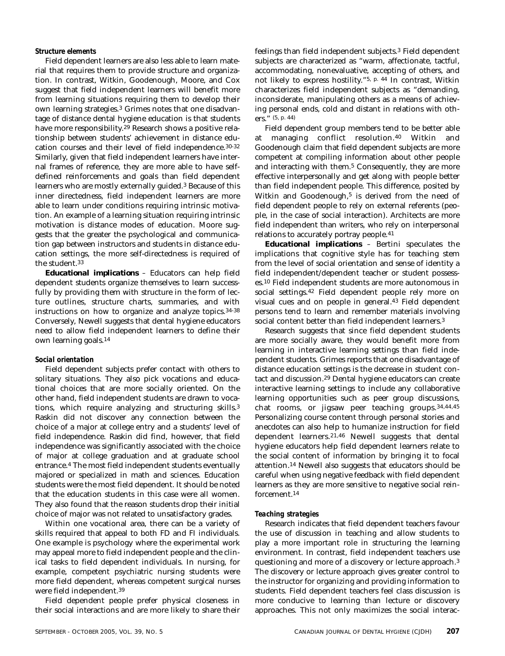## *Structure elements*

Field dependent learners are also less able to learn material that requires them to provide structure and organization. In contrast, Witkin, Goodenough, Moore, and Cox suggest that field independent learners will benefit more from learning situations requiring them to develop their own learning strategies.3 Grimes notes that one disadvantage of distance dental hygiene education is that students have more responsibility.29 Research shows a positive relationship between students' achievement in distance education courses and their level of field independence.30-32 Similarly, given that field independent learners have internal frames of reference, they are more able to have selfdefined reinforcements and goals than field dependent learners who are mostly externally guided.<sup>3</sup> Because of this inner directedness, field independent learners are more able to learn under conditions requiring intrinsic motivation. An example of a learning situation requiring intrinsic motivation is distance modes of education. Moore suggests that the greater the psychological and communication gap between instructors and students in distance education settings, the more self-directedness is required of the student.33

*Educational implications –* Educators can help field dependent students organize themselves to learn successfully by providing them with structure in the form of lecture outlines, structure charts, summaries, and with instructions on how to organize and analyze topics.34-38 Conversely, Newell suggests that dental hygiene educators need to allow field independent learners to define their own learning goals.14

#### *Social orientation*

Field dependent subjects prefer contact with others to solitary situations. They also pick vocations and educational choices that are more socially oriented. On the other hand, field independent students are drawn to vocations, which require analyzing and structuring skills.3 Raskin did not discover any connection between the choice of a major at college entry and a students' level of field independence. Raskin did find, however, that field independence was significantly associated with the choice of major at college graduation and at graduate school entrance.4 The most field independent students eventually majored or specialized in math and sciences. Education students were the most field dependent. It should be noted that the education students in this case were all women. They also found that the reason students drop their initial choice of major was not related to unsatisfactory grades.

Within one vocational area, there can be a variety of skills required that appeal to both FD and FI individuals. One example is psychology where the experimental work may appeal more to field independent people and the clinical tasks to field dependent individuals. In nursing, for example, competent psychiatric nursing students were more field dependent, whereas competent surgical nurses were field independent.39

Field dependent people prefer physical closeness in their social interactions and are more likely to share their feelings than field independent subjects.3 Field dependent subjects are characterized as "warm, affectionate, tactful, accommodating, nonevaluative, accepting of others, and not likely to express hostility."5, p. 44 In contrast, Witkin characterizes field independent subjects as "demanding, inconsiderate, manipulating others as a means of achieving personal ends, cold and distant in relations with others." (5, p. 44)

Field dependent group members tend to be better able at managing conflict resolution.40 Witkin and Goodenough claim that field dependent subjects are more competent at compiling information about other people and interacting with them.5 Consequently, they are more effective interpersonally and get along with people better than field independent people. This difference, posited by Witkin and Goodenough,<sup>5</sup> is derived from the need of field dependent people to rely on external referents (people, in the case of social interaction). Architects are more field independent than writers, who rely on interpersonal relations to accurately portray people.41

*Educational implications –* Bertini speculates the implications that cognitive style has for teaching stem from the level of social orientation and sense of identity a field independent/dependent teacher or student possesses.10 Field independent students are more autonomous in social settings.42 Field dependent people rely more on visual cues and on people in general.43 Field dependent persons tend to learn and remember materials involving social content better than field independent learners.3

Research suggests that since field dependent students are more socially aware, they would benefit more from learning in interactive learning settings than field independent students. Grimes reports that one disadvantage of distance education settings is the decrease in student contact and discussion.29 Dental hygiene educators can create interactive learning settings to include any collaborative learning opportunities such as peer group discussions, chat rooms, or jigsaw peer teaching groups.34,44,45 Personalizing course content through personal stories and anecdotes can also help to humanize instruction for field dependent learners.21,46 Newell suggests that dental hygiene educators help field dependent learners relate to the social content of information by bringing it to focal attention.14 Newell also suggests that educators should be careful when using negative feedback with field dependent learners as they are more sensitive to negative social reinforcement.14

#### *Teaching strategies*

Research indicates that field dependent teachers favour the use of discussion in teaching and allow students to play a more important role in structuring the learning environment. In contrast, field independent teachers use questioning and more of a discovery or lecture approach.3 The discovery or lecture approach gives greater control to the instructor for organizing and providing information to students. Field dependent teachers feel class discussion is more conducive to learning than lecture or discovery approaches. This not only maximizes the social interac-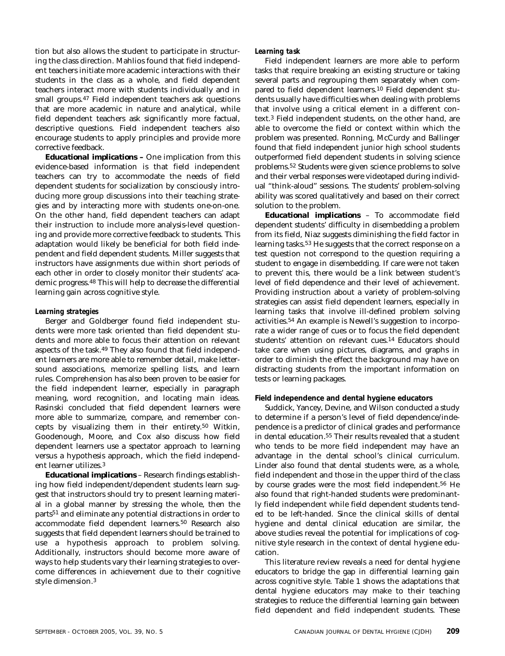tion but also allows the student to participate in structuring the class direction. Mahlios found that field independent teachers initiate more academic interactions with their students in the class as a whole, and field dependent teachers interact more with students individually and in small groups.47 Field independent teachers ask questions that are more academic in nature and analytical, while field dependent teachers ask significantly more factual, descriptive questions. Field independent teachers also encourage students to apply principles and provide more corrective feedback.

*Educational implications –* One implication from this evidence-based information is that field independent teachers can try to accommodate the needs of field dependent students for socialization by consciously introducing more group discussions into their teaching strategies and by interacting more with students one-on-one. On the other hand, field dependent teachers can adapt their instruction to include more analysis-level questioning and provide more corrective feedback to students. This adaptation would likely be beneficial for both field independent and field dependent students. Miller suggests that instructors have assignments due within short periods of each other in order to closely monitor their students' academic progress.48 This will help to decrease the differential learning gain across cognitive style.

#### *Learning strategies*

Berger and Goldberger found field independent students were more task oriented than field dependent students and more able to focus their attention on relevant aspects of the task.49 They also found that field independent learners are more able to remember detail, make lettersound associations, memorize spelling lists, and learn rules. Comprehension has also been proven to be easier for the field independent learner, especially in paragraph meaning, word recognition, and locating main ideas. Rasinski concluded that field dependent learners were more able to summarize, compare, and remember concepts by visualizing them in their entirety.50 Witkin, Goodenough, Moore, and Cox also discuss how field dependent learners use a spectator approach to learning versus a hypothesis approach, which the field independent learner utilizes.3

*Educational implications* – Research findings establishing how field independent/dependent students learn suggest that instructors should try to present learning material in a global manner by stressing the whole, then the parts51 and eliminate any potential distractions in order to accommodate field dependent learners.50 Research also suggests that field dependent learners should be trained to use a hypothesis approach to problem solving. Additionally, instructors should become more aware of ways to help students vary their learning strategies to overcome differences in achievement due to their cognitive style dimension.3

#### *Learning task*

Field independent learners are more able to perform tasks that require breaking an existing structure or taking several parts and regrouping them separately when compared to field dependent learners.10 Field dependent students usually have difficulties when dealing with problems that involve using a critical element in a different context.3 Field independent students, on the other hand, are able to overcome the field or context within which the problem was presented. Ronning, McCurdy and Ballinger found that field independent junior high school students outperformed field dependent students in solving science problems.52 Students were given science problems to solve and their verbal responses were videotaped during individual "think-aloud" sessions. The students' problem-solving ability was scored qualitatively and based on their correct solution to the problem.

*Educational implications* – To accommodate field dependent students' difficulty in disembedding a problem from its field, Niaz suggests diminishing the field factor in learning tasks.53 He suggests that the correct response on a test question not correspond to the question requiring a student to engage in disembedding. If care were not taken to prevent this, there would be a link between student's level of field dependence and their level of achievement. Providing instruction about a variety of problem-solving strategies can assist field dependent learners, especially in learning tasks that involve ill-defined problem solving activities.54 An example is Newell's suggestion to incorporate a wider range of cues or to focus the field dependent students' attention on relevant cues.14 Educators should take care when using pictures, diagrams, and graphs in order to diminish the effect the background may have on distracting students from the important information on tests or learning packages.

#### **Field independence and dental hygiene educators**

Suddick, Yancey, Devine, and Wilson conducted a study to determine if a person's level of field dependence/independence is a predictor of clinical grades and performance in dental education.55 Their results revealed that a student who tends to be more field independent may have an advantage in the dental school's clinical curriculum. Linder also found that dental students were, as a whole, field independent and those in the upper third of the class by course grades were the most field independent.56 He also found that right-handed students were predominantly field independent while field dependent students tended to be left-handed. Since the clinical skills of dental hygiene and dental clinical education are similar, the above studies reveal the potential for implications of cognitive style research in the context of dental hygiene education.

This literature review reveals a need for dental hygiene educators to bridge the gap in differential learning gain across cognitive style. Table 1 shows the adaptations that dental hygiene educators may make to their teaching strategies to reduce the differential learning gain between field dependent and field independent students. These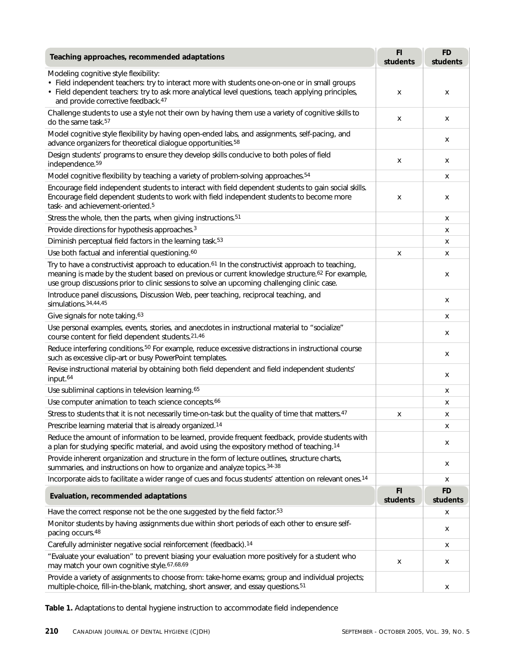| Teaching approaches, recommended adaptations                                                                                                                                                                                                                                                                                 | FI<br>students | <b>FD</b><br>students |
|------------------------------------------------------------------------------------------------------------------------------------------------------------------------------------------------------------------------------------------------------------------------------------------------------------------------------|----------------|-----------------------|
| Modeling cognitive style flexibility:<br>• Field independent teachers: try to interact more with students one-on-one or in small groups<br>• Field dependent teachers: try to ask more analytical level questions, teach applying principles,<br>and provide corrective feedback. <sup>47</sup>                              | x              | х                     |
| Challenge students to use a style not their own by having them use a variety of cognitive skills to<br>do the same task. <sup>57</sup>                                                                                                                                                                                       | x              | х                     |
| Model cognitive style flexibility by having open-ended labs, and assignments, self-pacing, and<br>advance organizers for theoretical dialogue opportunities. <sup>58</sup>                                                                                                                                                   |                | х                     |
| Design students' programs to ensure they develop skills conducive to both poles of field<br>independence. <sup>59</sup>                                                                                                                                                                                                      | x              | х                     |
| Model cognitive flexibility by teaching a variety of problem-solving approaches. <sup>54</sup>                                                                                                                                                                                                                               |                | x                     |
| Encourage field independent students to interact with field dependent students to gain social skills.<br>Encourage field dependent students to work with field independent students to become more<br>task- and achievement-oriented. <sup>5</sup>                                                                           | x              | х                     |
| Stress the whole, then the parts, when giving instructions. <sup>51</sup>                                                                                                                                                                                                                                                    |                | х                     |
| Provide directions for hypothesis approaches. <sup>3</sup>                                                                                                                                                                                                                                                                   |                | х                     |
| Diminish perceptual field factors in the learning task. <sup>53</sup>                                                                                                                                                                                                                                                        |                | x                     |
| Use both factual and inferential questioning. <sup>60</sup>                                                                                                                                                                                                                                                                  | X              | x                     |
| Try to have a constructivist approach to education. <sup>61</sup> In the constructivist approach to teaching,<br>meaning is made by the student based on previous or current knowledge structure. <sup>62</sup> For example,<br>use group discussions prior to clinic sessions to solve an upcoming challenging clinic case. |                | х                     |
| Introduce panel discussions, Discussion Web, peer teaching, reciprocal teaching, and<br>simulations. 34, 44, 45                                                                                                                                                                                                              |                | х                     |
| Give signals for note taking. <sup>63</sup>                                                                                                                                                                                                                                                                                  |                | X                     |
| Use personal examples, events, stories, and anecdotes in instructional material to "socialize"<br>course content for field dependent students. 21,46                                                                                                                                                                         |                | x                     |
| Reduce interfering conditions. <sup>50</sup> For example, reduce excessive distractions in instructional course<br>such as excessive clip-art or busy PowerPoint templates.                                                                                                                                                  |                | х                     |
| Revise instructional material by obtaining both field dependent and field independent students'<br>input. <sup>64</sup>                                                                                                                                                                                                      |                | х                     |
| Use subliminal captions in television learning. <sup>65</sup>                                                                                                                                                                                                                                                                |                | х                     |
| Use computer animation to teach science concepts. <sup>66</sup>                                                                                                                                                                                                                                                              |                | x                     |
| Stress to students that it is not necessarily time-on-task but the quality of time that matters. <sup>47</sup>                                                                                                                                                                                                               | x              | х                     |
| Prescribe learning material that is already organized. <sup>14</sup>                                                                                                                                                                                                                                                         |                | х                     |
| Reduce the amount of information to be learned, provide frequent feedback, provide students with<br>a plan for studying specific material, and avoid using the expository method of teaching. <sup>14</sup>                                                                                                                  |                | x                     |
| Provide inherent organization and structure in the form of lecture outlines, structure charts,<br>summaries, and instructions on how to organize and analyze topics. 34-38                                                                                                                                                   |                | x                     |
| Incorporate aids to facilitate a wider range of cues and focus students' attention on relevant ones. <sup>14</sup>                                                                                                                                                                                                           |                | х                     |
| Evaluation, recommended adaptations                                                                                                                                                                                                                                                                                          | FI<br>students | <b>FD</b><br>students |
| Have the correct response not be the one suggested by the field factor. <sup>53</sup>                                                                                                                                                                                                                                        |                | x                     |
| Monitor students by having assignments due within short periods of each other to ensure self-<br>pacing occurs. <sup>48</sup>                                                                                                                                                                                                |                | x                     |
| Carefully administer negative social reinforcement (feedback). <sup>14</sup>                                                                                                                                                                                                                                                 |                | х                     |
| "Evaluate your evaluation" to prevent biasing your evaluation more positively for a student who<br>may match your own cognitive style.67,68,69                                                                                                                                                                               | x              | x                     |
| Provide a variety of assignments to choose from: take-home exams; group and individual projects;<br>multiple-choice, fill-in-the-blank, matching, short answer, and essay questions. <sup>51</sup>                                                                                                                           |                | x                     |

**Table 1.** Adaptations to dental hygiene instruction to accommodate field independence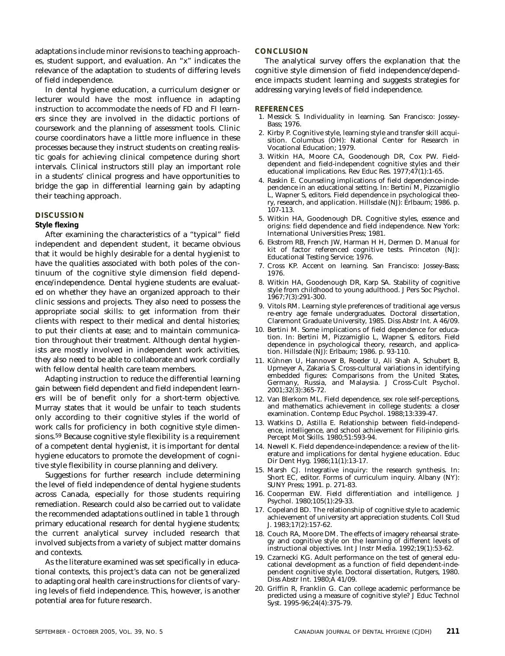adaptations include minor revisions to teaching approaches, student support, and evaluation. An "x" indicates the relevance of the adaptation to students of differing levels of field independence.

In dental hygiene education, a curriculum designer or lecturer would have the most influence in adapting instruction to accommodate the needs of FD and FI learners since they are involved in the didactic portions of coursework and the planning of assessment tools. Clinic course coordinators have a little more influence in these processes because they instruct students on creating realistic goals for achieving clinical competence during short intervals. Clinical instructors still play an important role in a students' clinical progress and have opportunities to bridge the gap in differential learning gain by adapting their teaching approach.

#### **DISCUSSION**

#### **Style flexing**

After examining the characteristics of a "typical" field independent and dependent student, it became obvious that it would be highly desirable for a dental hygienist to have the qualities associated with both poles of the continuum of the cognitive style dimension field dependence/independence. Dental hygiene students are evaluated on whether they have an organized approach to their clinic sessions and projects. They also need to possess the appropriate social skills: to get information from their clients with respect to their medical and dental histories; to put their clients at ease; and to maintain communication throughout their treatment. Although dental hygienists are mostly involved in independent work activities, they also need to be able to collaborate and work cordially with fellow dental health care team members.

Adapting instruction to reduce the differential learning gain between field dependent and field independent learners will be of benefit only for a short-term objective. Murray states that it would be unfair to teach students only according to their cognitive styles if the world of work calls for proficiency in both cognitive style dimensions.59 Because cognitive style flexibility is a requirement of a competent dental hygienist, it is important for dental hygiene educators to promote the development of cognitive style flexibility in course planning and delivery.

Suggestions for further research include determining the level of field independence of dental hygiene students across Canada, especially for those students requiring remediation. Research could also be carried out to validate the recommended adaptations outlined in table 1 through primary educational research for dental hygiene students; the current analytical survey included research that involved subjects from a variety of subject matter domains and contexts.

As the literature examined was set specifically in educational contexts, this project's data can not be generalized to adapting oral health care instructions for clients of varying levels of field independence. This, however, is another potential area for future research.

#### **CONCLUSION**

The analytical survey offers the explanation that the cognitive style dimension of field independence/dependence impacts student learning and suggests strategies for addressing varying levels of field independence.

#### **REFERENCES**

- 1. Messick S. Individuality in learning*.* San Francisco: Jossey-Bass; 1976.
- 2. Kirby P. Cognitive style, learning style and transfer skill acquisition. Columbus (OH): National Center for Research in Vocational Education; 1979.
- 3. Witkin HA, Moore CA, Goodenough DR, Cox PW. Fielddependent and field-independent cognitive styles and their educational implications. Rev Educ Res. 1977;47(1):1-65.
- 4. Raskin E. Counseling implications of field dependence-independence in an educational setting. In: Bertini M, Pizzamiglio L, Wapner S, editors. Field dependence in psychological theory, research, and application. Hillsdale (NJ): Erlbaum; 1986. p. 107-113.
- 5. Witkin HA, Goodenough DR. Cognitive styles, essence and origins: field dependence and field independence. New York: International Universities Press; 1981.
- 6. Ekstrom RB, French JW, Harman H H, Dermen D. Manual for kit of factor referenced cognitive tests. Princeton (NJ): Educational Testing Service; 1976.
- 7. Cross KP. Accent on learning. San Francisco: Jossey-Bass; 1976.
- 8. Witkin HA, Goodenough DR, Karp SA. Stability of cognitive style from childhood to young adulthood. J Pers Soc Psychol. 1967;7(3):291-300.
- 9. Vitols RM. Learning style preferences of traditional age versus re-entry age female undergraduates. Doctoral dissertation, Claremont Graduate University, 1985. Diss Abstr Int. A 46/09.
- 10. Bertini M. Some implications of field dependence for education. In: Bertini M, Pizzamiglio L, Wapner S, editors. Field dependence in psychological theory, research, and application. Hillsdale (NJ): Erlbaum; 1986. p. 93-110.
- 11. Kühnen U, Hannover B, Roeder U, Ali Shah A, Schubert B, Upmeyer A, Zakaria S. Cross-cultural variations in identifying embedded figures: Comparisons from the United States, Germany, Russia, and Malaysia. J Cross-Cult Psychol. 2001;32*(*3):365-72.
- 12. Van Blerkom ML. Field dependence, sex role self-perceptions, and mathematics achievement in college students: a closer examination. Contemp Educ Psychol. 1988;13:339-47.
- 13. Watkins D, Astilla E. Relationship between field-independence, intelligence, and school achievement for Filipinio girls. Percept Mot Skills. 1980;51:593-94.
- 14. Newell K. Field dependence-independence: a review of the literature and implications for dental hygiene education. Educ Dir Dent Hyg. 1986;11(1):13-17.
- 15. Marsh CJ. Integrative inquiry: the research synthesis. In: Short EC, editor. Forms of curriculum inquiry. Albany (NY): SUNY Press; 1991. p. 271-83.
- 16. Cooperman EW. Field differentiation and intelligence. J Psychol. 1980;105(1):29-33.
- 17. Copeland BD. The relationship of cognitive style to academic achievement of university art appreciation students. Coll Stud J. 1983;17*(*2):157-62.
- 18. Couch RA, Moore DM. The effects of imagery rehearsal strategy and cognitive style on the learning of different levels of instructional objectives. Int J Instr Media. 1992;19*(*1):53-62.
- 19. Czarnecki KG. Adult performance on the test of general educational development as a function of field dependent-independent cognitive style. Doctoral dissertation, Rutgers, 1980. Diss Abstr Int. 1980;A 41/09.
- 20. Griffin R, Franklin G. Can college academic performance be predicted using a measure of cognitive style? J Educ Technol Syst. 1995-96;24(4):375-79.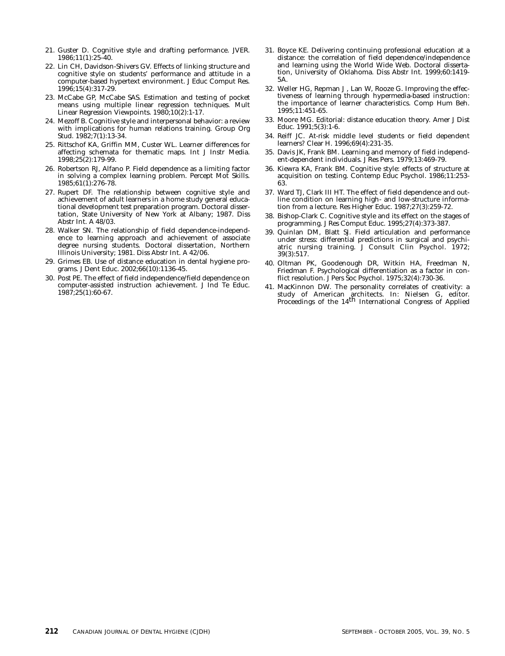- 21. Guster D. Cognitive style and drafting performance. JVER. 1986;11(1):25-40.
- 22. Lin CH, Davidson-Shivers GV. Effects of linking structure and cognitive style on students' performance and attitude in a computer-based hypertext environment. J Educ Comput Res. 1996;15*(*4):317-29.
- 23. McCabe GP, McCabe SAS. Estimation and testing of pocket means using multiple linear regression techniques. Mult Linear Regression Viewpoints. 1980;10(2):1-17.
- 24. Mezoff B. Cognitive style and interpersonal behavior: a review with implications for human relations training. Group Org Stud. 1982;7(1):13-34.
- 25. Rittschof KA, Griffin MM, Custer WL. Learner differences for affecting schemata for thematic maps. Int J Instr Media. 1998;25(2):179-99.
- 26. Robertson RJ, Alfano P. Field dependence as a limiting factor in solving a complex learning problem. Percept Mot Skills. 1985;61(1):276-78.
- 27. Rupert DF. The relationship between cognitive style and achievement of adult learners in a home study general educational development test preparation program. Doctoral dissertation, State University of New York at Albany; 1987. Diss Abstr Int. A 48/03.
- 28. Walker SN. The relationship of field dependence-independence to learning approach and achievement of associate degree nursing students. Doctoral dissertation, Northern Illinois University; 1981. Diss Abstr Int. A 42/06.
- 29. Grimes EB. Use of distance education in dental hygiene programs. J Dent Educ. 2002;66(10):1136-45.
- 30. Post PE. The effect of field independence/field dependence on computer-assisted instruction achievement. J Ind Te Educ. 1987;25(1):60-67.
- 31. Boyce KE. Delivering continuing professional education at a distance: the correlation of field dependence/independence and learning using the World Wide Web. Doctoral dissertation, University of Oklahoma. Diss Abstr Int. 1999;60:1419- 5A.
- 32. Weller HG, Repman J , Lan W, Rooze G. Improving the effectiveness of learning through hypermedia-based instruction: the importance of learner characteristics. Comp Hum Beh. 1995;11:451-65.
- 33. Moore MG. Editorial: distance education theory. Amer J Dist Educ. 1991;5(3):1-6.
- 34. Reiff JC. At-risk middle level students or field dependent learners*?* Clear H. 1996;69(4):231-35.
- 35. Davis JK, Frank BM. Learning and memory of field independent-dependent individuals. J Res Pers. 1979;13:469-79.
- 36. Kiewra KA, Frank BM. Cognitive style: effects of structure at acquisition on testing. Contemp Educ Psychol. 1986;11:253- 63.
- 37. Ward TJ, Clark III HT. The effect of field dependence and outline condition on learning high- and low-structure information from a lecture. Res Higher Educ. 1987;27(3):259-72.
- 38. Bishop-Clark C. Cognitive style and its effect on the stages of programming. J Res Comput Educ. 1995;27(4):373-387.
- 39. Quinlan DM, Blatt SJ. Field articulation and performance under stress: differential predictions in surgical and psychiatric nursing training. J Consult Clin Psychol. 1972; 39(3):517.
- 40. Oltman PK, Goodenough DR, Witkin HA, Freedman N, Friedman F. Psychological differentiation as a factor in conflict resolution. J Pers Soc Psychol. 1975;32(4):730-36.
- 41. MacKinnon DW. The personality correlates of creativity: a study of American architects. In: Nielsen G, editor.<br>Proceedings of the 14<sup>th</sup> International Congress of Applied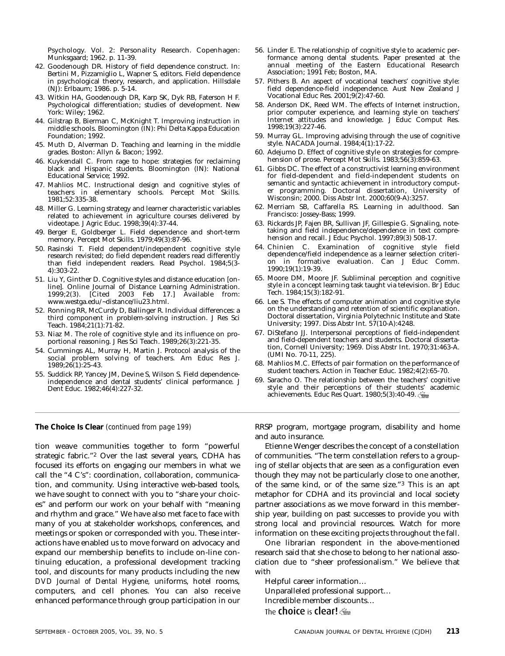Psychology. Vol. 2: Personality Research. Copenhagen: Munksgaard; 1962. p. 11-39.

- 42. Goodenough DR. History of field dependence construct. In: Bertini M, Pizzamiglio L, Wapner S, editors. Field dependence in psychological theory, research, and application. Hillsdale (NJ): Erlbaum; 1986. p. 5-14.
- 43. Witkin HA, Goodenough DR, Karp SK, Dyk RB, Faterson H F. Psychological differentiation; studies of development. New York: Wiley; 1962.
- 44. Gilstrap B, Bierman C, McKnight T. Improving instruction in middle schools. Bloomington (IN): Phi Delta Kappa Education Foundation; 1992.
- 45. Muth D, Alverman D. Teaching and learning in the middle grades. Boston: Allyn & Bacon; 1992.
- 46. Kuykendall C*.* From rage to hope: strategies for reclaiming black and Hispanic students. Bloomington (IN): National Educational Service; 1992.
- 47. Mahlios MC. Instructional design and cognitive styles of teachers in elementary schools. Percept Mot Skills. 1981;52:335-38.
- 48. Miller G. Learning strategy and learner characteristic variables related to achievement in agriculture courses delivered by videotape. J Agric Educ. 1998;39(4):37-44.
- 49. Berger E, Goldberger L. Field dependence and short-term memory. Percept Mot Skills. 1979;49(3):87-96.
- 50. Rasinski T. Field dependent/independent cognitive style research revisited; do field dependent readers read differently than field independent readers. Read Psychol. 1984;5*(*3- 4):303-22.
- 51. Liu Y, Ginther D. Cognitive styles and distance education [online]. Online Journal of Distance Learning Administration.<br>1999;2(3). [Cited 2003 Feb 17.] Available from: 1999;2(3). [Cited 2003 Feb 17.] Available from: www.westga.edu/~distance/liu23.html.
- 52. Ronning RR, McCurdy D, Ballinger R. Individual differences: a third component in problem-solving instruction. J Res Sci Teach. 1984;21(1):71-82.
- 53. Niaz M. The role of cognitive style and its influence on proportional reasoning. J Res Sci Teach. 1989;26(3):221-35.
- 54. Cummings AL, Murray H, Martin J. Protocol analysis of the social problem solving of teachers. Am Educ Res J. 1989;26*(*1):25-43.
- 55. Suddick RP, Yancey JM, Devine S, Wilson S. Field dependenceindependence and dental students' clinical performance. J Dent Educ. 1982;46(4):227-32.
- 56. Linder E. The relationship of cognitive style to academic performance among dental students. Paper presented at the annual meeting of the Eastern Educational Research Association; 1991 Feb; Boston, MA.
- 57. Pithers B. An aspect of vocational teachers' cognitive style: field dependence-field independence. Aust New Zealand J Vocational Educ Res. 2001;9*(*2):47-60.
- 58. Anderson DK, Reed WM. The effects of Internet instruction, prior computer experience, and learning style on teachers' Internet attitudes and knowledge. J Educ Comput Res. 1998;19(3):227-46.
- 59. Murray GL. Improving advising through the use of cognitive style. NACADA Journal. 1984;4(1):17-22.
- 60. Adejumo D. Effect of cognitive style on strategies for comprehension of prose. Percept Mot Skills. 1983;56(3):859-63.
- 61. Gibbs DC. The effect of a constructivist learning environment for field-dependent and field-independent students on semantic and syntactic achievement in introductory computer programming. Doctoral dissertation, University of Wisconsin; 2000. Diss Abstr Int. 2000;60(9-A):3257.
- 62. Merriam SB, Caffarella RS. Learning in adulthood. San Francisco: Jossey-Bass; 1999.
- 63. Rickards JP, Fajen BR, Sullivan JF, Gillespie G. Signaling, notetaking and field independence/dependence in text comprehension and recall. J Educ Psychol. 1997;89*(*3) 508-17.
- 64. Chinien C. Examination of cognitive style field dependence/field independence as a learner selection criterion in formative evaluation. Can J Educ Comm. 1990;19(1):19-39.
- 65. Moore DM, Moore JF. Subliminal perception and cognitive style in a concept learning task taught via television. Br J Educ Tech. 1984;15(3):182-91.
- 66. Lee S. The effects of computer animation and cognitive style on the understanding and retention of scientific explanation. Doctoral dissertation, Virginia Polytechnic Institute and State University; 1997. Diss Abstr Int. 57(10-A):4248.
- 67. DiStefano JJ. Interpersonal perceptions of field-independent and field-dependent teachers and students. Doctoral dissertation, Cornell University; 1969. Diss Abstr Int. 1970;31:463-A. (UMI No. 70-11, 225).
- 68. Mahlios M.C. Effects of pair formation on the performance of student teachers. Action in Teacher Educ. 1982;4(2):65-70.
- 69. Saracho O. The relationship between the teachers' cognitive style and their perceptions of their students' academic achievements. Educ Res Quart. 1980;5(3):40-49.

tion weave communities together to form "powerful strategic fabric."2 Over the last several years, CDHA has focused its efforts on engaging our members in what we call the "4 C's": coordination, collaboration, communication, and community. Using interactive web-based tools, we have sought to connect with you to "share your choices" and perform our work on your behalf with "meaning and rhythm and grace." We have also met face to face with many of you at stakeholder workshops, conferences, and meetings or spoken or corresponded with you. These interactions have enabled us to move forward on advocacy and expand our membership benefits to include on-line continuing education, a professional development tracking tool, and discounts for many products including the new *DVD Journal of Dental Hygiene,* uniforms, hotel rooms, computers, and cell phones. You can also receive enhanced performance through group participation in our

**The Choice Is Clear** *(continued from page 199)* RRSP program, mortgage program, disability and home and auto insurance.

> Etienne Wenger describes the concept of a constellation of communities. "The term constellation refers to a grouping of stellar objects that are seen as a configuration even though they may not be particularly close to one another, of the same kind, or of the same size."3 This is an apt metaphor for CDHA and its provincial and local society partner associations as we move forward in this membership year, building on past successes to provide you with strong local and provincial resources. Watch for more information on these exciting projects throughout the fall.

> One librarian respondent in the above-mentioned research said that she chose to belong to her national association due to "sheer professionalism." We believe that with

Helpful career information… Unparalleled professional support… Incredible member discounts… The **choice** is **clear!**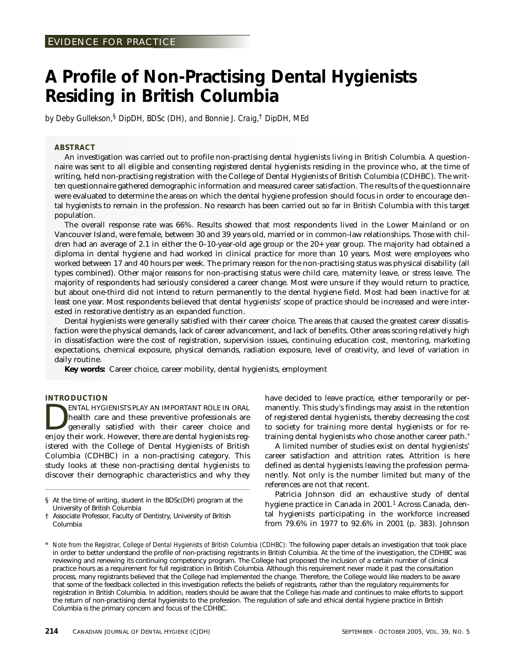# **A Profile of Non-Practising Dental Hygienists Residing in British Columbia**

*by Deby Gullekson,§ DipDH, BDSc (DH), and Bonnie J. Craig,† DipDH, MEd*

## **ABSTRACT**

An investigation was carried out to profile non-practising dental hygienists living in British Columbia. A questionnaire was sent to all eligible and consenting registered dental hygienists residing in the province who, at the time of writing, held non-practising registration with the College of Dental Hygienists of British Columbia (CDHBC). The written questionnaire gathered demographic information and measured career satisfaction. The results of the questionnaire were evaluated to determine the areas on which the dental hygiene profession should focus in order to encourage dental hygienists to remain in the profession. No research has been carried out so far in British Columbia with this target population.

The overall response rate was 66%. Results showed that most respondents lived in the Lower Mainland or on Vancouver Island, were female, between 30 and 39 years old, married or in common-law relationships. Those with children had an average of 2.1 in either the 0–10-year-old age group or the 20+ year group. The majority had obtained a diploma in dental hygiene and had worked in clinical practice for more than 10 years. Most were employees who worked between 17 and 40 hours per week. The primary reason for the non-practising status was physical disability (all types combined). Other major reasons for non-practising status were child care, maternity leave, or stress leave. The majority of respondents had seriously considered a career change. Most were unsure if they would return to practice, but about one-third did not intend to return permanently to the dental hygiene field. Most had been inactive for at least one year. Most respondents believed that dental hygienists' scope of practice should be increased and were interested in restorative dentistry as an expanded function.

Dental hygienists were generally satisfied with their career choice. The areas that caused the greatest career dissatisfaction were the physical demands, lack of career advancement, and lack of benefits. Other areas scoring relatively high in dissatisfaction were the cost of registration, supervision issues, continuing education cost, mentoring, marketing expectations, chemical exposure, physical demands, radiation exposure, level of creativity, and level of variation in daily routine.

**Key words:** Career choice, career mobility, dental hygienists, employment

#### **INTRODUCTION**

ENTAL HYGIENISTS PLAY AN IMPORTANT ROLE IN ORAL<br>health care and these preventive professionals are<br>generally satisfied with their career choice and<br>enjoy their work However there are dental hydienists reghealth care and these preventive professionals are generally satisfied with their career choice and enjoy their work. However, there are dental hygienists registered with the College of Dental Hygienists of British Columbia (CDHBC) in a non-practising category. This study looks at these non-practising dental hygienists to discover their demographic characteristics and why they have decided to leave practice, either temporarily or permanently. This study's findings may assist in the retention of registered dental hygienists, thereby decreasing the cost to society for training more dental hygienists or for retraining dental hygienists who chose another career path.\*

A limited number of studies exist on dental hygienists' career satisfaction and attrition rates. Attrition is here defined as dental hygienists leaving the profession permanently. Not only is the number limited but many of the references are not that recent.

Patricia Johnson did an exhaustive study of dental hygiene practice in Canada in 2001.1 Across Canada, dental hygienists participating in the workforce increased from 79.6% in 1977 to 92.6% in 2001 (p. 383). Johnson

<sup>§</sup> At the time of writing, student in the BDSc(DH) program at the University of British Columbia

<sup>†</sup> Associate Professor, Faculty of Dentistry, University of British Columbia

<sup>\*</sup> *Note from the Registrar, College of Dental Hygienists of British Columbia (CDHBC):* The following paper details an investigation that took place in order to better understand the profile of non-practising registrants in British Columbia. At the time of the investigation, the CDHBC was reviewing and renewing its continuing competency program. The College had proposed the inclusion of a certain number of clinical practice hours as a requirement for full registration in British Columbia. Although this requirement never made it past the consultation process, many registrants believed that the College had implemented the change. Therefore, the College would like readers to be aware that some of the feedback collected in this investigation reflects the beliefs of registrants, rather than the regulatory requirements for registration in British Columbia. In addition, readers should be aware that the College has made and continues to make efforts to support the return of non-practising dental hygienists to the profession. The regulation of safe and ethical dental hygiene practice in British Columbia is the primary concern and focus of the CDHBC.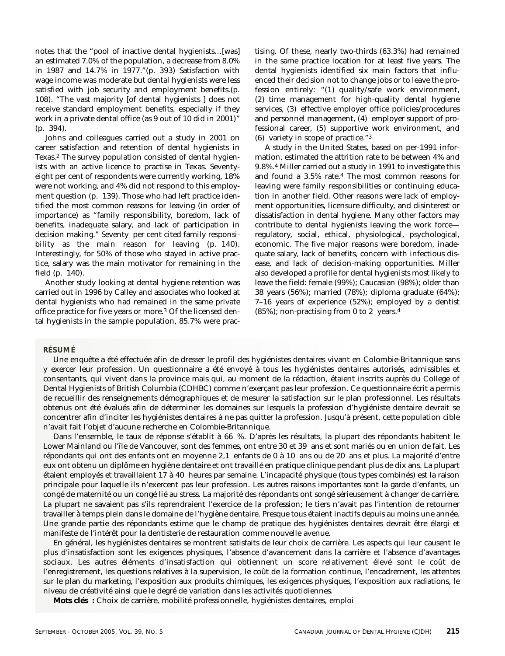notes that the "pool of inactive dental hygienists…[was] an estimated 7.0% of the population, a decrease from 8.0% in 1987 and 14.7% in 1977."(p. 393) Satisfaction with wage income was moderate but dental hygienists were less satisfied with job security and employment benefits.(p. 108). "The vast majority [of dental hygienists ] does not receive standard employment benefits, especially if they work in a private dental office (as 9 out of 10 did in 2001)" (p. 394).

Johns and colleagues carried out a study in 2001 on career satisfaction and retention of dental hygienists in Texas.2 The survey population consisted of dental hygienists with an active licence to practise in Texas. Seventyeight per cent of respondents were currently working, 18% were not working, and 4% did not respond to this employment question (p. 139). Those who had left practice identified the most common reasons for leaving (in order of importance) as "family responsibility, boredom, lack of benefits, inadequate salary, and lack of participation in decision making." Seventy per cent cited family responsibility as the main reason for leaving (p. 140). Interestingly, for 50% of those who stayed in active practice, salary was the main motivator for remaining in the field (p. 140).

Another study looking at dental hygiene retention was carried out in 1996 by Calley and associates who looked at dental hygienists who had remained in the same private office practice for five years or more.3 Of the licensed dental hygienists in the sample population, 85.7% were prac-

tising. Of these, nearly two-thirds (63.3%) had remained in the same practice location for at least five years. The dental hygienists identified six main factors that influenced their decision not to change jobs or to leave the profession entirely: "(1) quality/safe work environment, (2) time management for high-quality dental hygiene services, (3) effective employer office policies/procedures and personnel management, (4) employer support of professional career, (5) supportive work environment, and (6) variety in scope of practice."3

A study in the United States, based on per-1991 information, estimated the attrition rate to be between 4% and 9.8%.4 Miller carried out a study in 1991 to investigate this and found a 3.5% rate.4 The most common reasons for leaving were family responsibilities or continuing education in another field. Other reasons were lack of employment opportunities, licensure difficulty, and disinterest or dissatisfaction in dental hygiene. Many other factors may contribute to dental hygienists leaving the work force regulatory, social, ethical, physiological, psychological, economic. The five major reasons were boredom, inadequate salary, lack of benefits, concern with infectious disease, and lack of decision-making opportunities. Miller also developed a profile for dental hygienists most likely to leave the field: female (99%); Caucasian (98%); older than 38 years (56%); married (78%); diploma graduate (64%); 7–16 years of experience (52%); employed by a dentist  $(85\%)$ ; non-practising from 0 to 2 years.<sup>4</sup>

#### **RÉSUMÉ**

Une enquête a été effectuée afin de dresser le profil des hygiénistes dentaires vivant en Colombie-Britannique sans y exercer leur profession. Un questionnaire a été envoyé à tous les hygiénistes dentaires autorisés, admissibles et consentants, qui vivent dans la province mais qui, au moment de la rédaction, étaient inscrits auprès du College of Dental Hygienists of British Columbia (CDHBC) comme n'exerçant pas leur profession. Ce questionnaire écrit a permis de recueillir des renseignements démographiques et de mesurer la satisfaction sur le plan professionnel. Les résultats obtenus ont été évalués afin de déterminer les domaines sur lesquels la profession d'hygiéniste dentaire devrait se concentrer afin d'inciter les hygiénistes dentaires à ne pas quitter la profession. Jusqu'à présent, cette population cible n'avait fait l'objet d'aucune recherche en Colombie-Britannique.

Dans l'ensemble, le taux de réponse s'établit à 66 %. D'après les résultats, la plupart des répondants habitent le Lower Mainland ou l'île de Vancouver, sont des femmes, ont entre 30 et 39 ans et sont mariés ou en union de fait. Les répondants qui ont des enfants ont en moyenne 2,1 enfants de 0 à 10 ans ou de 20 ans et plus. La majorité d'entre eux ont obtenu un diplôme en hygiène dentaire et ont travaillé en pratique clinique pendant plus de dix ans. La plupart étaient employés et travaillaient 17 à 40 heures par semaine. L'incapacité physique (tous types combinés) est la raison principale pour laquelle ils n'exercent pas leur profession. Les autres raisons importantes sont la garde d'enfants, un congé de maternité ou un congé lié au stress. La majorité des répondants ont songé sérieusement à changer de carrière. La plupart ne savaient pas s'ils reprendraient l'exercice de la profession; le tiers n'avait pas l'intention de retourner travailler à temps plein dans le domaine de l'hygiène dentaire. Presque tous étaient inactifs depuis au moins une année. Une grande partie des répondants estime que le champ de pratique des hygiénistes dentaires devrait être élargi et manifeste de l'intérêt pour la dentisterie de restauration comme nouvelle avenue.

En général, les hygiénistes dentaires se montrent satisfaits de leur choix de carrière. Les aspects qui leur causent le plus d'insatisfaction sont les exigences physiques, l'absence d'avancement dans la carrière et l'absence d'avantages sociaux. Les autres éléments d'insatisfaction qui obtiennent un score relativement élevé sont le coût de l'enregistrement, les questions relatives à la supervision, le coût de la formation continue, l'encadrement, les attentes sur le plan du marketing, l'exposition aux produits chimiques, les exigences physiques, l'exposition aux radiations, le niveau de créativité ainsi que le degré de variation dans les activités quotidiennes.

**Mots clés :** Choix de carrière, mobilité professionnelle, hygiénistes dentaires, emploi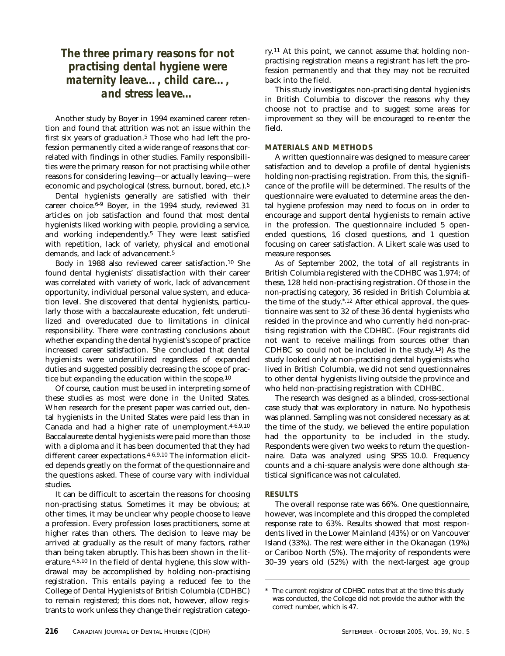# *The three primary reasons for not practising dental hygiene were maternity leave…, child care…, and stress leave…*

Another study by Boyer in 1994 examined career retention and found that attrition was not an issue within the first six years of graduation.<sup>5</sup> Those who had left the profession permanently cited a wide range of reasons that correlated with findings in other studies. Family responsibilities were the primary reason for not practising while other reasons for considering leaving—or actually leaving—were economic and psychological (stress, burnout, bored, etc.).5

Dental hygienists generally are satisfied with their career choice.6-9 Boyer, in the 1994 study, reviewed 31 articles on job satisfaction and found that most dental hygienists liked working with people, providing a service, and working independently.5 They were least satisfied with repetition, lack of variety, physical and emotional demands, and lack of advancement.5

Body in 1988 also reviewed career satisfaction.10 She found dental hygienists' dissatisfaction with their career was correlated with variety of work, lack of advancement opportunity, individual personal value system, and education level. She discovered that dental hygienists, particularly those with a baccalaureate education, felt underutilized and overeducated due to limitations in clinical responsibility. There were contrasting conclusions about whether expanding the dental hygienist's scope of practice increased career satisfaction. She concluded that dental hygienists were underutilized regardless of expanded duties and suggested possibly decreasing the scope of practice but expanding the education within the scope.10

Of course, caution must be used in interpreting some of these studies as most were done in the United States. When research for the present paper was carried out, dental hygienists in the United States were paid less than in Canada and had a higher rate of unemployment.4-6,9,10 Baccalaureate dental hygienists were paid more than those with a diploma and it has been documented that they had different career expectations.<sup>4-6,9,10</sup> The information elicited depends greatly on the format of the questionnaire and the questions asked. These of course vary with individual studies.

It can be difficult to ascertain the reasons for choosing non-practising status. Sometimes it may be obvious; at other times, it may be unclear why people choose to leave a profession. Every profession loses practitioners, some at higher rates than others. The decision to leave may be arrived at gradually as the result of many factors, rather than being taken abruptly. This has been shown in the literature.4,5,10 In the field of dental hygiene, this slow withdrawal may be accomplished by holding non-practising registration. This entails paying a reduced fee to the College of Dental Hygienists of British Columbia (CDHBC) to remain registered; this does not, however, allow registrants to work unless they change their registration category.11 At this point, we cannot assume that holding nonpractising registration means a registrant has left the profession permanently and that they may not be recruited back into the field.

This study investigates non-practising dental hygienists in British Columbia to discover the reasons why they choose not to practise and to suggest some areas for improvement so they will be encouraged to re-enter the field.

## **MATERIALS AND METHODS**

A written questionnaire was designed to measure career satisfaction and to develop a profile of dental hygienists holding non-practising registration. From this, the significance of the profile will be determined. The results of the questionnaire were evaluated to determine areas the dental hygiene profession may need to focus on in order to encourage and support dental hygienists to remain active in the profession. The questionnaire included 5 openended questions, 16 closed questions, and 1 question focusing on career satisfaction. A Likert scale was used to measure responses.

As of September 2002, the total of all registrants in British Columbia registered with the CDHBC was 1,974; of these, 128 held non-practising registration. Of those in the non-practising category, 36 resided in British Columbia at the time of the study.\*,12 After ethical approval, the questionnaire was sent to 32 of these 36 dental hygienists who resided in the province and who currently held non-practising registration with the CDHBC. (Four registrants did not want to receive mailings from sources other than CDHBC so could not be included in the study.13) As the study looked only at non-practising dental hygienists who lived in British Columbia, we did not send questionnaires to other dental hygienists living outside the province and who held non-practising registration with CDHBC.

The research was designed as a blinded, cross-sectional case study that was exploratory in nature. No hypothesis was planned. Sampling was not considered necessary as at the time of the study, we believed the entire population had the opportunity to be included in the study. Respondents were given two weeks to return the questionnaire. Data was analyzed using SPSS 10.0. Frequency counts and a chi-square analysis were done although statistical significance was not calculated.

#### **RESULTS**

The overall response rate was 66%. One questionnaire, however, was incomplete and this dropped the completed response rate to 63%. Results showed that most respondents lived in the Lower Mainland (43%) or on Vancouver Island (33%). The rest were either in the Okanagan (19%) or Cariboo North (5%). The majority of respondents were 30–39 years old (52%) with the next-largest age group

<sup>\*</sup> The current registrar of CDHBC notes that at the time this study was conducted, the College did not provide the author with the correct number, which is 47.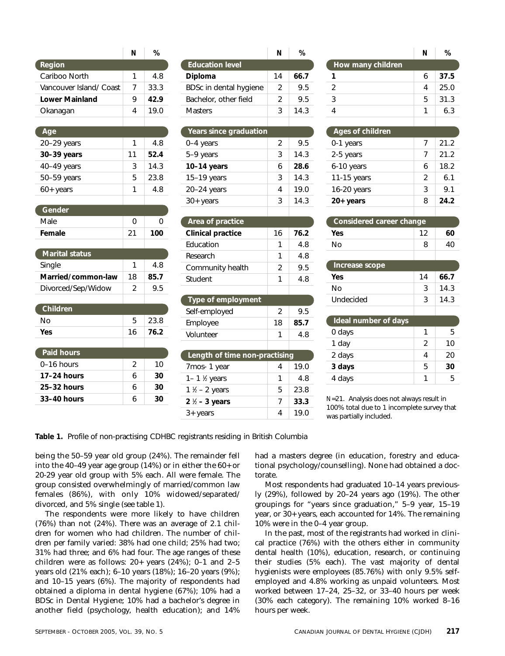|                         | N  | %    |
|-------------------------|----|------|
| Region                  |    |      |
| Cariboo North           | 1  | 4.8  |
| Vancouver Island/ Coast | 7  | 33.3 |
| <b>Lower Mainland</b>   | 9  | 42.9 |
| Okanagan                | 4  | 19.0 |
|                         |    |      |
| Age                     |    |      |
| 20-29 years             | 1  | 4.8  |
| 30-39 years             | 11 | 52.4 |
| 40-49 years             | 3  | 14.3 |
| 50-59 years             | 5  | 23.8 |
| $60+$ years             | 1  | 4.8  |
|                         |    |      |
| Gender                  |    |      |
| Male                    | 0  | 0    |
| Female                  | 21 | 100  |
|                         |    |      |
| <b>Marital status</b>   |    |      |
| Single                  | 1  | 4.8  |
| Married/common-law      | 18 | 85.7 |
| Divorced/Sep/Widow      | 2  | 9.5  |
| Children                |    |      |
| No                      | 5  | 23.8 |
| Yes                     | 16 | 76.2 |
|                         |    |      |
| <b>Paid hours</b>       |    |      |
| 0–16 hours              | 2  | 10   |
| 17-24 hours             | 6  | 30   |
| 25–32 hours             | 6  | 30   |
| 33-40 hours             | 6  | 30   |
|                         |    |      |

|                        | Ν             |      |
|------------------------|---------------|------|
| <b>Education level</b> |               |      |
| Diploma                | 14            | 66.7 |
| BDSc in dental hygiene | 2             | 9.5  |
| Bachelor, other field  | $\mathcal{P}$ | 9.5  |
| Masters                | 3             | 14.3 |
|                        |               |      |

Ć

| <u>Years since g</u> raduation |   |      |
|--------------------------------|---|------|
| 0-4 years                      | 2 | 9.5  |
| 5-9 years                      | 3 | 14.3 |
| $10-14$ years                  | 6 | 28.6 |
| $15-19$ years                  | 3 | 14.3 |
| 20-24 years                    | 4 | 19.0 |
| $30+$ years                    | 3 | 14.3 |
|                                |   |      |

| Area of practice         |    |      |
|--------------------------|----|------|
| <b>Clinical practice</b> | 16 | 76.2 |
| Education                |    | 4 R  |
| Research                 | 1  | 4 R  |
| Community health         | 2  | 95   |
| Student                  |    |      |

| Type of employment            |               |      |
|-------------------------------|---------------|------|
| Self-employed                 | $\mathcal{P}$ | 9.5  |
| Employee                      | 18            | 85.7 |
| Volunteer                     | 1             | 4.8  |
|                               |               |      |
| Length of time non-practising |               |      |
| 7mos-1 year                   | 4             | 19.0 |
| 1– 1 $\frac{1}{2}$ years      | 1             | 4.8  |
| $1\frac{1}{2}$ – 2 years      | 5             | 23.8 |

**2** <sup>1</sup> ⁄2 **– 3 years** 7 **33.3**  $3 + \text{years}$  4 19.0

|                   | N | ℅    |
|-------------------|---|------|
| How many children |   |      |
| 1                 | 6 | 37.5 |
| 2                 | 4 | 25.0 |
| $\overline{3}$    | 5 | 31.3 |
| $\overline{4}$    | 1 | 6.3  |
|                   |   |      |
| Ages of children  |   |      |
| 0-1 years         | 7 | 21.2 |
| $2.5 \text{ m}$   | ⇁ | າາ າ |

Ó

(

| 2-5 years     | $\prime$ | 21.2 |
|---------------|----------|------|
| 6-10 years    | 6        | 18.2 |
| 11-15 years   | 2        | 6.1  |
| $16-20$ years | 3        | 9.1  |
| $20+$ years   | я        | 24.2 |
|               |          |      |

| Considered career change |    |    |
|--------------------------|----|----|
| Yes                      | 12 | 60 |
| N٥                       | 8  | 40 |
|                          |    |    |

| Increase scope |    |      |
|----------------|----|------|
| Yes            | 14 | 66.7 |
| N٥             | 3  | 14.3 |
| Undecided      | ર  | 14.3 |
|                |    |      |

| <b>Ideal</b> number of days |   |    |
|-----------------------------|---|----|
| 0 days                      | 1 | 5  |
| 1 day                       | 2 | 10 |
| 2 days                      |   | 20 |
| 3 days                      | 5 | 30 |
| 4 days                      |   | 5  |

*N*=21. Analysis does not always result in 100% total due to 1 incomplete survey that was partially included.

**Table 1.** Profile of non-practising CDHBC registrants residing in British Columbia

being the 50–59 year old group (24%). The remainder fell into the 40–49 year age group (14%) or in either the 60+ or 20-29 year old group with 5% each. All were female. The group consisted overwhelmingly of married/common law females (86%), with only 10% widowed/separated/ divorced, and 5% single (see table 1).

The respondents were more likely to have children (76%) than not (24%). There was an average of 2.1 children for women who had children. The number of children per family varied: 38% had one child; 25% had two; 31% had three; and 6% had four. The age ranges of these children were as follows: 20+ years (24%); 0–1 and 2–5 years old (21% each); 6–10 years (18%); 16–20 years (9%); and 10–15 years (6%). The majority of respondents had obtained a diploma in dental hygiene (67%); 10% had a BDSc in Dental Hygiene; 10% had a bachelor's degree in another field (psychology, health education); and 14% had a masters degree (in education, forestry and educational psychology/counselling). None had obtained a doctorate.

Most respondents had graduated 10–14 years previously (29%), followed by 20–24 years ago (19%). The other groupings for "years since graduation," 5–9 year, 15–19 year, or 30+ years, each accounted for 14%. The remaining 10% were in the 0–4 year group.

In the past, most of the registrants had worked in clinical practice (76%) with the others either in community dental health (10%), education, research, or continuing their studies (5% each). The vast majority of dental hygienists were employees (85.76%) with only 9.5% selfemployed and 4.8% working as unpaid volunteers. Most worked between 17–24, 25–32, or 33–40 hours per week (30% each category). The remaining 10% worked 8–16 hours per week.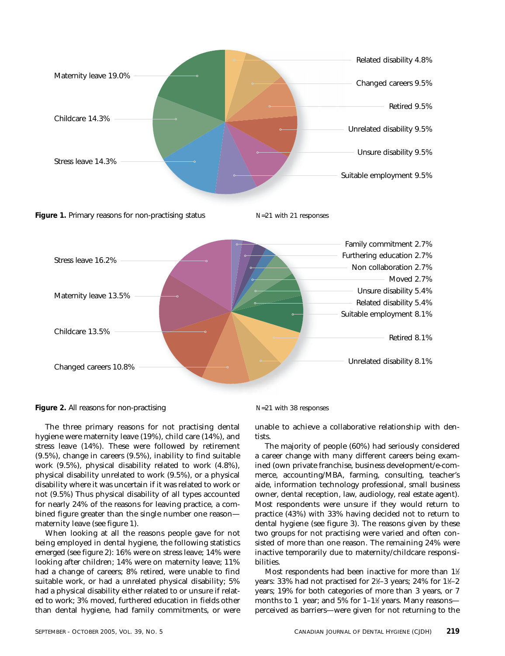



**Figure 2.** All reasons for non-practising *N*=21 with 38 responses

The three primary reasons for not practising dental hygiene were maternity leave (19%), child care (14%), and stress leave (14%). These were followed by retirement (9.5%), change in careers (9.5%), inability to find suitable work (9.5%), physical disability related to work (4.8%), physical disability unrelated to work (9.5%), or a physical disability where it was uncertain if it was related to work or not (9.5%) Thus physical disability of all types accounted for nearly 24% of the reasons for leaving practice, a combined figure greater than the single number one reason maternity leave (see figure 1).

When looking at all the reasons people gave for not being employed in dental hygiene, the following statistics emerged (see figure 2): 16% were on stress leave; 14% were looking after children; 14% were on maternity leave; 11% had a change of careers; 8% retired, were unable to find suitable work, or had a unrelated physical disability; 5% had a physical disability either related to or unsure if related to work; 3% moved, furthered education in fields other than dental hygiene, had family commitments, or were

unable to achieve a collaborative relationship with dentists.

The majority of people (60%) had seriously considered a career change with many different careers being examined (own private franchise, business development/e-commerce, accounting/MBA, farming, consulting, teacher's aide, information technology professional, small business owner, dental reception, law, audiology, real estate agent). Most respondents were unsure if they would return to practice (43%) with 33% having decided not to return to dental hygiene (see figure 3). The reasons given by these two groups for not practising were varied and often consisted of more than one reason. The remaining 24% were inactive temporarily due to maternity/childcare responsibilities.

Most respondents had been inactive for more than 1½  $\,$ years: 33% had not practised for 2½–3 years; 24% for 1½–2 years; 19% for both categories of more than 3 years, or 7 months to  $1\,$  year; and  $5\%$  for  $1\text{--}1\%$  years. Many reasons perceived as barriers—were given for not returning to the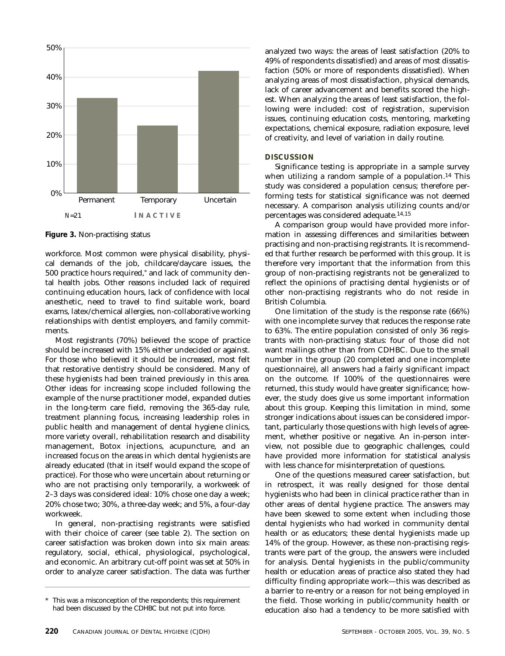

**Figure 3.** Non-practising status

workforce. Most common were physical disability, physical demands of the job, childcare/daycare issues, the 500 practice hours required,\* and lack of community dental health jobs. Other reasons included lack of required continuing education hours, lack of confidence with local anesthetic, need to travel to find suitable work, board exams, latex/chemical allergies, non-collaborative working relationships with dentist employers, and family commitments.

Most registrants (70%) believed the scope of practice should be increased with 15% either undecided or against. For those who believed it should be increased, most felt that restorative dentistry should be considered. Many of these hygienists had been trained previously in this area. Other ideas for increasing scope included following the example of the nurse practitioner model, expanded duties in the long-term care field, removing the 365-day rule, treatment planning focus, increasing leadership roles in public health and management of dental hygiene clinics, more variety overall, rehabilitation research and disability management, Botox injections, acupuncture, and an increased focus on the areas in which dental hygienists are already educated (that in itself would expand the scope of practice). For those who were uncertain about returning or who are not practising only temporarily, a workweek of 2–3 days was considered ideal: 10% chose one day a week; 20% chose two; 30%, a three-day week; and 5%, a four-day workweek.

In general, non-practising registrants were satisfied with their choice of career (see table 2). The section on career satisfaction was broken down into six main areas: regulatory, social, ethical, physiological, psychological, and economic. An arbitrary cut-off point was set at 50% in order to analyze career satisfaction. The data was further analyzed two ways: the areas of least satisfaction (20% to 49% of respondents dissatisfied) and areas of most dissatisfaction (50% or more of respondents dissatisfied). When analyzing areas of most dissatisfaction, physical demands, lack of career advancement and benefits scored the highest. When analyzing the areas of least satisfaction, the following were included: cost of registration, supervision issues, continuing education costs, mentoring, marketing expectations, chemical exposure, radiation exposure, level of creativity, and level of variation in daily routine.

#### **DISCUSSION**

Significance testing is appropriate in a sample survey when utilizing a random sample of a population.<sup>14</sup> This study was considered a population census; therefore performing tests for statistical significance was not deemed necessary. A comparison analysis utilizing counts and/or percentages was considered adequate.14,15

A comparison group would have provided more information in assessing differences and similarities between practising and non-practising registrants. It is recommended that further research be performed with this group. It is therefore very important that the information from this group of non-practising registrants not be generalized to reflect the opinions of practising dental hygienists or of other non-practising registrants who do not reside in British Columbia.

One limitation of the study is the response rate (66%) with one incomplete survey that reduces the response rate to 63%. The entire population consisted of only 36 registrants with non-practising status: four of those did not want mailings other than from CDHBC. Due to the small number in the group (20 completed and one incomplete questionnaire), all answers had a fairly significant impact on the outcome. If 100% of the questionnaires were returned, this study would have greater significance; however, the study does give us some important information about this group. Keeping this limitation in mind, some stronger indications about issues can be considered important, particularly those questions with high levels of agreement, whether positive or negative. An in-person interview, not possible due to geographic challenges, could have provided more information for statistical analysis with less chance for misinterpretation of questions.

One of the questions measured career satisfaction, but in retrospect, it was really designed for those dental hygienists who had been in clinical practice rather than in other areas of dental hygiene practice. The answers may have been skewed to some extent when including those dental hygienists who had worked in community dental health or as educators; these dental hygienists made up 14% of the group. However, as these non-practising registrants were part of the group, the answers were included for analysis. Dental hygienists in the public/community health or education areas of practice also stated they had difficulty finding appropriate work—this was described as a barrier to re-entry or a reason for not being employed in the field. Those working in public/community health or education also had a tendency to be more satisfied with

<sup>\*</sup> This was a misconception of the respondents; this requirement had been discussed by the CDHBC but not put into force.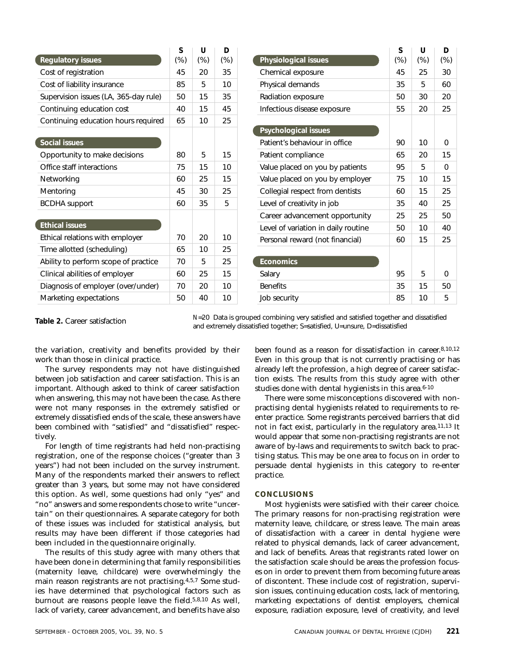|                                       | S      | U      | D      |
|---------------------------------------|--------|--------|--------|
| <b>Regulatory issues</b>              | $(\%)$ | $(\%)$ | $(\%)$ |
| Cost of registration                  | 45     | 20     | 35     |
| Cost of liability insurance           | 85     | 5      | 10     |
| Supervision issues (LA, 365-day rule) | 50     | 15     | 35     |
| Continuing education cost             | 40     | 15     | 45     |
| Continuing education hours required   | 65     | 10     | 25     |
|                                       |        |        |        |
| <b>Social issues</b>                  |        |        |        |
| Opportunity to make decisions         | 80     | 5      | 15     |
| Office staff interactions             | 75     | 15     | 10     |
| Networking                            | 60     | 25     | 15     |
| Mentoring                             | 45     | 30     | 25     |
| <b>BCDHA</b> support                  | 60     | 35     | 5      |
|                                       |        |        |        |
| <b>Ethical issues</b>                 |        |        |        |
| Ethical relations with employer       | 70     | 20     | 10     |
| Time allotted (scheduling)            | 65     | 10     | 25     |
| Ability to perform scope of practice  | 70     | 5      | 25     |
| Clinical abilities of employer        | 60     | 25     | 15     |
| Diagnosis of employer (over/under)    | 70     | 20     | 10     |
| Marketing expectations                | 50     | 40     | 10     |

|                                     | S      | U      | D      |
|-------------------------------------|--------|--------|--------|
| Physiological issues                | $(\%)$ | $(\%)$ | $(\%)$ |
| Chemical exposure                   | 45     | 25     | 30     |
| Physical demands                    | 35     | 5      | 60     |
| Radiation exposure                  | 50     | 30     | 20     |
| Infectious disease exposure         | 55     | 20     | 25     |
|                                     |        |        |        |
| <b>Psychological issues</b>         |        |        |        |
| Patient's behaviour in office       | 90     | 10     | 0      |
| Patient compliance                  | 65     | 20     | 15     |
| Value placed on you by patients     | 95     | 5      | 0      |
| Value placed on you by employer     | 75     | 10     | 15     |
| Collegial respect from dentists     | 60     | 15     | 25     |
| Level of creativity in job          | 35     | 40     | 25     |
| Career advancement opportunity      | 25     | 25     | 50     |
| Level of variation in daily routine | 50     | 10     | 40     |
| Personal reward (not financial)     | 60     | 15     | 25     |
|                                     |        |        |        |
| <b>Economics</b>                    |        |        |        |
| Salary                              | 95     | 5      | 0      |
| <b>Benefits</b>                     | 35     | 15     | 50     |
| Job security                        | 85     | 10     | 5      |

*N*=20 Data is grouped combining very satisfied and satisfied together and dissatisfied Table 2. Career satisfaction<br>and extremely dissatisfied together; S=satisfied, U=unsure, D=dissatisfied

the variation, creativity and benefits provided by their work than those in clinical practice.

The survey respondents may not have distinguished between job satisfaction and career satisfaction. This is an important. Although asked to think of career satisfaction when answering, this may not have been the case. As there were not many responses in the extremely satisfied or extremely dissatisfied ends of the scale, these answers have been combined with "satisfied" and "dissatisfied" respectively.

For length of time registrants had held non-practising registration, one of the response choices ("greater than 3 years") had not been included on the survey instrument. Many of the respondents marked their answers to reflect greater than 3 years, but some may not have considered this option. As well, some questions had only "yes" and "no" answers and some respondents chose to write "uncertain" on their questionnaires. A separate category for both of these issues was included for statistical analysis, but results may have been different if those categories had been included in the questionnaire originally.

The results of this study agree with many others that have been done in determining that family responsibilities (maternity leave, childcare) were overwhelmingly the main reason registrants are not practising.4,5,7 Some studies have determined that psychological factors such as burnout are reasons people leave the field.5,8,10 As well, lack of variety, career advancement, and benefits have also

been found as a reason for dissatisfaction in career.8,10,12 Even in this group that is not currently practising or has already left the profession, a high degree of career satisfaction exists. The results from this study agree with other studies done with dental hygienists in this area.<sup>6-10</sup>

There were some misconceptions discovered with nonpractising dental hygienists related to requirements to reenter practice. Some registrants perceived barriers that did not in fact exist, particularly in the regulatory area.11,13 It would appear that some non-practising registrants are not aware of by-laws and requirements to switch back to practising status. This may be one area to focus on in order to persuade dental hygienists in this category to re-enter practice.

#### **CONCLUSIONS**

Most hygienists were satisfied with their career choice. The primary reasons for non-practising registration were maternity leave, childcare, or stress leave. The main areas of dissatisfaction with a career in dental hygiene were related to physical demands, lack of career advancement, and lack of benefits. Areas that registrants rated lower on the satisfaction scale should be areas the profession focuses on in order to prevent them from becoming future areas of discontent. These include cost of registration, supervision issues, continuing education costs, lack of mentoring, marketing expectations of dentist employers, chemical exposure, radiation exposure, level of creativity, and level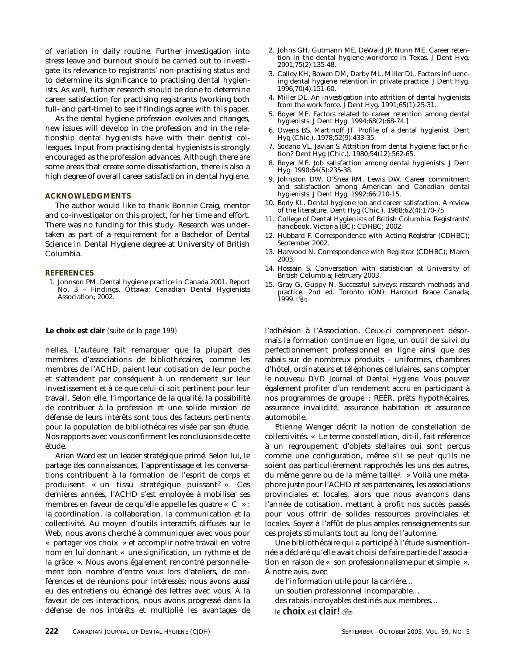of variation in daily routine. Further investigation into stress leave and burnout should be carried out to investigate its relevance to registrants' non-practising status and to determine its significance to practising dental hygienists. As well, further research should be done to determine career satisfaction for practising registrants (working both full- and part-time) to see if findings agree with this paper.

As the dental hygiene profession evolves and changes, new issues will develop in the profession and in the relationship dental hygienists have with their dentist colleagues. Input from practising dental hygienists is strongly encouraged as the profession advances. Although there are some areas that create some dissatisfaction, there is also a high degree of overall career satisfaction in dental hygiene.

#### **ACKNOWLEDGMENTS**

The author would like to thank Bonnie Craig, mentor and co-investigator on this project, for her time and effort. There was no funding for this study. Research was undertaken as part of a requirement for a Bachelor of Dental Science in Dental Hygiene degree at University of British Columbia.

#### **REFERENCES**

1. Johnson PM. Dental hygiene practice in Canada 2001. Report No. 3 – Findings. Ottawa: Canadian Dental Hygienists Association; 2002.

#### **Le choix est clair** *(suite de la page 199)*

nelles. L'auteure fait remarquer que la plupart des membres d'associations de bibliothécaires, comme les membres de l'ACHD, paient leur cotisation de leur poche et s'attendent par conséquent à un rendement sur leur investissement et à ce que celui-ci soit pertinent pour leur travail. Selon elle, l'importance de la qualité, la possibilité de contribuer à la profession et une solide mission de défense de leurs intérêts sont tous des facteurs pertinents pour la population de bibliothécaires visée par son étude. Nos rapports avec vous confirment les conclusions de cette étude.

Arian Ward est un leader stratégique primé. Selon lui, le partage des connaissances, l'apprentissage et les conversations contribuent à la formation de l'esprit de corps et produisent « un tissu stratégique puissant2 ». Ces dernières années, l'ACHD s'est employée à mobiliser ses membres en faveur de ce qu'elle appelle les quatre « C » : la coordination, la collaboration, la communication et la collectivité. Au moyen d'outils interactifs diffusés sur le Web, nous avons cherché à communiquer avec vous pour « partager vos choix » et accomplir notre travail en votre nom en lui donnant « une signification, un rythme et de la grâce ». Nous avons également rencontré personnellement bon nombre d'entre vous lors d'ateliers, de conférences et de réunions pour intéressés; nous avons aussi eu des entretiens ou échangé des lettres avec vous. À la faveur de ces interactions, nous avons progressé dans la défense de nos intérêts et multiplié les avantages de

- 2. Johns GH, Gutmann ME, DeWald JP, Nunn ME. Career retention in the dental hygiene workforce in Texas. J Dent Hyg. 2001;75(2):135-48.
- 3. Calley KH, Bowen DM, Darby ML, Miller DL. Factors influencing dental hygiene retention in private practice. J Dent Hyg. 1996;70(4):151-60.
- 4. Miller DL. An investigation into attrition of dental hygienists from the work force. J Dent Hyg. 1991;65(1):25-31.
- 5. Boyer ME. Factors related to career retention among dental hygienists. J Dent Hyg. 1994;68(2):68-74.]
- 6. Owens BS, Martinoff JT. Profile of a dental hygienist. Dent Hyg (Chic.). 1978;52(9):433-35.
- 7. Sodano VL, Javian S. Attrition from dental hygiene: fact or fiction? Dent Hyg (Chic.). 1980;54(12):562-65.
- 8. Boyer ME. Job satisfaction among dental hygienists. J Dent Hyg. 1990;64(5):235-38.
- 9. Johnston DW, O'Shea RM, Lewis DW. Career commitment and satisfaction among American and Canadian dental hygienists. J Dent Hyg. 1992;66:210-15.
- 10. Body KL. Dental hygiene job and career satisfaction. A review of the literature. Dent Hyg (Chic.). 1988;62(4):170-75.
- 11. College of Dental Hygienists of British Columbia. Registrants' handbook. Victoria (BC): CDHBC; 2002.
- 12. Hubbard F. Correspondence with Acting Registrar (CDHBC); September 2002.
- 13. Harwood N. Correspondence with Registrar (CDHBC); March 2003.
- 14. Hossain S. Conversation with statistician at University of British Columbia; February 2003.
- 15. Gray G, Guppy N. Successful surveys: research methods and practice. 2nd ed. Toronto (ON): Harcourt Brace Canada; 1999.

l'adhésion à l'Association. Ceux-ci comprennent désormais la formation continue en ligne, un outil de suivi du perfectionnement professionnel en ligne ainsi que des rabais sur de nombreux produits – uniformes, chambres d'hôtel, ordinateurs et téléphones cellulaires, sans compter le nouveau *DVD Journal of Dental Hygiene.* Vous pouvez également profiter d'un rendement accru en participant à nos programmes de groupe : REÉR, prêts hypothécaires, assurance invalidité, assurance habitation et assurance automobile.

Etienne Wenger décrit la notion de constellation de collectivités. « Le terme constellation, dit-il, fait référence à un regroupement d'objets stellaires qui sont perçus comme une configuration, même s'il se peut qu'ils ne soient pas particulièrement rapprochés les uns des autres, du même genre ou de la même taille3. » Voilà une métaphore juste pour l'ACHD et ses partenaires, les associations provinciales et locales, alors que nous avançons dans l'année de cotisation, mettant à profit nos succès passés pour vous offrir de solides ressources provinciales et locales. Soyez à l'affût de plus amples renseignements sur ces projets stimulants tout au long de l'automne.

Une bibliothécaire qui a participé à l'étude susmentionnée a déclaré qu'elle avait choisi de faire partie de l'association en raison de « son professionnalisme pur et simple ». À notre avis, avec

de l'information utile pour la carrière… un soutien professionnel incomparable… des rabais incroyables destinés aux membres… le choix est clair!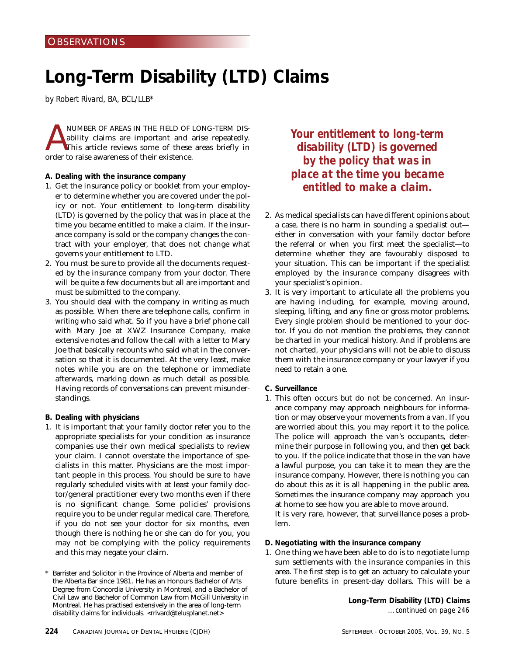# **Long-Term Disability (LTD) Claims**

*by Robert Rivard, BA, BCL/LLB\** 

NUMBER OF AREAS IN THE FIELD OF LONG-TERM DIS-<br>ability claims are important and arise repeatedly.<br>This article reviews some of these areas briefly in<br>order to raise awareness of their existence ability claims are important and arise repeatedly. This article reviews some of these areas briefly in order to raise awareness of their existence.

- **A. Dealing with the insurance company**
- 1. Get the insurance policy or booklet from your employer to determine whether you are covered under the policy or not. Your entitlement to long-term disability (LTD) is governed by the policy that was in place at the time you became entitled to make a claim. If the insurance company is sold or the company changes the contract with your employer, that does not change what governs your entitlement to LTD.
- 2. You must be sure to provide all the documents requested by the insurance company from your doctor. There will be quite a few documents but all are important and must be submitted to the company.
- 3. You should deal with the company in writing as much as possible. When there are telephone calls, confirm *in writing* who said what. So if you have a brief phone call with Mary Joe at XWZ Insurance Company, make extensive notes and follow the call with a letter to Mary Joe that basically recounts who said what in the conversation so that it is documented. At the very least, make notes while you are on the telephone or immediate afterwards, marking down as much detail as possible. Having records of conversations can prevent misunderstandings.
- **B. Dealing with physicians**
- 1. It is important that your family doctor refer you to the appropriate specialists for your condition as insurance companies use their own medical specialists to review your claim. I cannot overstate the importance of specialists in this matter. Physicians are the most important people in this process. You should be sure to have regularly scheduled visits with at least your family doctor/general practitioner every two months even if there is no significant change. Some policies' provisions require you to be under regular medical care. Therefore, if you do not see your doctor for six months, even though there is nothing he or she can do for you, you may not be complying with the policy requirements and this may negate your claim.

*Your entitlement to long-term disability (LTD) is governed by the policy that was in place at the time you became entitled to make a claim.*

- 2. As medical specialists can have different opinions about a case, there is no harm in sounding a specialist out either in conversation with your family doctor before the referral or when you first meet the specialist—to determine whether they are favourably disposed to your situation. This can be important if the specialist employed by the insurance company disagrees with your specialist's opinion.
- 3. It is very important to articulate all the problems you are having including, for example, moving around, sleeping, lifting, and any fine or gross motor problems. *Every single problem* should be mentioned to your doctor. If you do not mention the problems, they cannot be charted in your medical history. And if problems are not charted, your physicians will not be able to discuss them with the insurance company or your lawyer if you need to retain a one.
- **C. Surveillance**
- 1. This often occurs but do not be concerned. An insurance company may approach neighbours for information or may observe your movements from a van. If you are worried about this, you may report it to the police. The police will approach the van's occupants, determine their purpose in following you, and then get back to you. If the police indicate that those in the van have a lawful purpose, you can take it to mean they are the insurance company. However, there is nothing you can do about this as it is all happening in the public area. Sometimes the insurance company may approach you at home to see how you are able to move around. It is very rare, however, that surveillance poses a prob-

lem.

- **D. Negotiating with the insurance company**
- 1. One thing we have been able to do is to negotiate lump sum settlements with the insurance companies in this area. The first step is to get an actuary to calculate your future benefits in present-day dollars. This will be a

**Long-Term Disability (LTD) Claims** *…continued on page 246*

Barrister and Solicitor in the Province of Alberta and member of the Alberta Bar since 1981. He has an Honours Bachelor of Arts Degree from Concordia University in Montreal, and a Bachelor of Civil Law and Bachelor of Common Law from McGill University in Montreal. He has practised extensively in the area of long-term disability claims for individuals. <rrivard@telusplanet.net>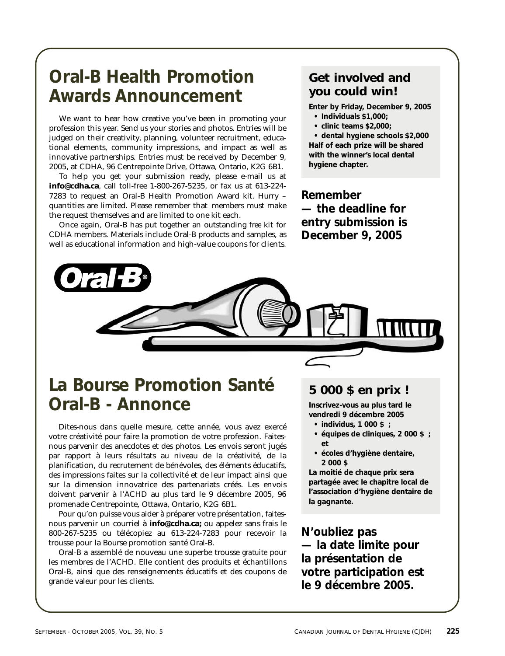# **Oral-B Health Promotion Awards Announcement**

We want to hear how creative you've been in promoting your profession this year. Send us your stories and photos. Entries will be judged on their creativity, planning, volunteer recruitment, educational elements, community impressions, and impact as well as innovative partnerships. Entries must be received by December 9, 2005, at CDHA, 96 Centrepointe Drive, Ottawa, Ontario, K2G 6B1.

To help you get your submission ready, please e-mail us at **info@cdha.ca**, call toll-free 1-800-267-5235, or fax us at 613-224- 7283 to request an Oral-B Health Promotion Award kit. Hurry – quantities are limited. Please remember that members must make the request themselves and are limited to one kit each.

Once again, Oral-B has put together an outstanding *free* kit for CDHA members. Materials include Oral-B products and samples, as well as educational information and high-value coupons for clients.

# **Get involved and you could win!**

**Enter by Friday, December 9, 2005**

- **Individuals \$1,000;**
- **clinic teams \$2,000;**

**• dental hygiene schools \$2,000 Half of each prize will be shared with the winner's local dental hygiene chapter.**

**Remember — the deadline for entry submission is December 9, 2005**



# **La Bourse Promotion Santé Oral-B - Annonce**

Dites-nous dans quelle mesure, cette année, vous avez exercé votre créativité pour faire la promotion de votre profession. Faitesnous parvenir des anecdotes et des photos. Les envois seront jugés par rapport à leurs résultats au niveau de la créativité, de la planification, du recrutement de bénévoles, des éléments éducatifs, des impressions faites sur la collectivité et de leur impact ainsi que sur la dimension innovatrice des partenariats créés. Les envois doivent parvenir à l'ACHD au plus tard le 9 décembre 2005, 96 promenade Centrepointe, Ottawa, Ontario, K2G 6B1.

Pour qu'on puisse vous aider à préparer votre présentation, faitesnous parvenir un courriel à **info@cdha.ca;** ou appelez sans frais le 800-267-5235 ou télécopiez au 613-224-7283 pour recevoir la trousse pour la Bourse promotion santé Oral-B.

Oral-B a assemblé de nouveau une superbe trousse *gratuite* pour les membres de l'ACHD. Elle contient des produits et échantillons Oral-B, ainsi que des renseignements éducatifs et des coupons de grande valeur pour les clients.

# **5 000 \$ en prix !**

**Inscrivez-vous au plus tard le vendredi 9 décembre 2005**

- **individus, 1 000 \$ ;**
- **équipes de cliniques, 2 000 \$ ; et**
- **écoles d'hygiène dentaire, 2 000 \$**

**La moitié de chaque prix sera partagée avec le chapitre local de l'association d'hygiène dentaire de la gagnante.**

**N'oubliez pas — la date limite pour la présentation de votre participation est le 9 décembre 2005.**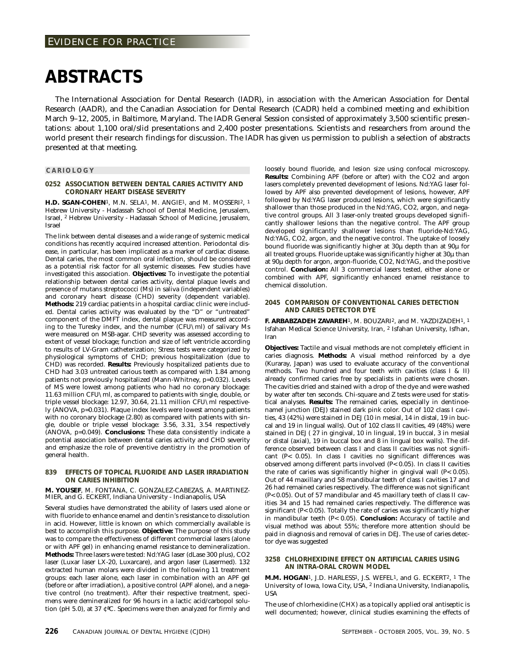# **ABSTRACTS**

The International Association for Dental Research (IADR), in association with the American Association for Dental Research (AADR), and the Canadian Association for Dental Research (CADR) held a combined meeting and exhibition March 9–12, 2005, in Baltimore, Maryland. The IADR General Session consisted of approximately 3,500 scientific presentations: about 1,100 oral/slid presentations and 2,400 poster presentations. Scientists and researchers from around the world present their research findings for discussion. The IADR has given us permission to publish a selection of abstracts presented at that meeting.

#### **CARIOLOGY**

#### **0252 ASSOCIATION BETWEEN DENTAL CARIES ACTIVITY AND CORONARY HEART DISEASE SEVERITY**

**H.D. SGAN-COHEN**1, M.N. SELA1, M. ANGIE1, and M. MOSSERI2, 1 Hebrew University - Hadassah School of Dental Medicine, Jerusalem, Israel, 2 Hebrew University - Hadassah School of Medicine, Jerusalem, Israel

The link between dental diseases and a wide range of systemic medical conditions has recently acquired increased attention. Periodontal disease, in particular, has been implicated as a marker of cardiac disease. Dental caries, the most common oral infection, should be considered as a potential risk factor for all systemic diseases. Few studies have investigated this association. **Objectives:** To investigate the potential relationship between dental caries activity, dental plaque levels and presence of mutans streptococci (Ms) in saliva (independent variables) and coronary heart disease (CHD) severity (dependent variable). **Methods:** 219 cardiac patients in a hospital cardiac clinic were included. Dental caries activity was evaluated by the "D" or "untreated" component of the DMFT index, dental plaque was measured according to the Turesky index, and the number (CFU\ml) of salivary Ms were measured on MSB-agar. CHD severity was assessed according to extent of vessel blockage; function and size of left ventricle according to results of LV-Gram catheterization; Stress tests were categorized by physiological symptoms of CHD; previous hospitalization (due to CHD) was recorded. **Results:** Previously hospitalized patients due to CHD had 3.03 untreated carious teeth as compared with 1.84 among patients not previously hospitalized (Mann-Whitney, p=0.032). Levels of MS were lowest among patients who had no coronary blockage: 11.63 million CFU\ml, as compared to patients with single, double, or triple vessel blockage: 12.97, 30.64, 21.11 million CFU\ml respectively (ANOVA, p=0.031). Plaque index levels were lowest among patients with no coronary blockage (2.80) as compared with patients with single, double or triple vessel blockage: 3.56, 3.31, 3.54 respectively (ANOVA, p=0.049). **Conclusions:** These data consistently indicate a potential association between dental caries activity and CHD severity and emphasize the role of preventive dentistry in the promotion of general health.

#### **839 EFFECTS OF TOPICAL FLUORIDE AND LASER IRRADIATION ON CARIES INHIBITION**

#### **M. YOUSEF**, M. FONTANA, C. GONZALEZ-CABEZAS, A. MARTINEZ-MIER, and G. ECKERT, Indiana University - Indianapolis, USA

Several studies have demonstrated the ability of lasers used alone or with fluoride to enhance enamel and dentin's resistance to dissolution in acid. However, little is known on which commercially available is best to accomplish this purpose. **Objective:** The purpose of this study was to compare the effectiveness of different commercial lasers (alone or with APF gel) in enhancing enamel resistance to demineralization. **Methods:** Three lasers were tested: Nd:YAG laser (dLase 300 plus), CO2 laser (Luxar laser LX-20, Luxarcare), and argon laser (Lasermed). 132 extracted human molars were divided in the following 11 treatment groups: each laser alone, each laser in combination with an APF gel (before or after irradiation), a positive control (APF alone), and a negative control (no treatment). After their respective treatment, specimens were demineralized for 96 hours in a lactic acid/carbopol solution (pH 5.0), at 37 ¢ªC. Specimens were then analyzed for firmly and loosely bound fluoride, and lesion size using confocal microscopy. **Results:** Combining APF (before or after) with the CO2 and argon lasers completely prevented development of lesions. Nd:YAG laser followed by APF also prevented development of lesions, however, APF followed by Nd:YAG laser produced lesions, which were significantly shallower than those produced in the Nd:YAG, CO2, argon, and negative control groups. All 3 laser-only treated groups developed significantly shallower lesions than the negative control. The APF group developed significantly shallower lesions than fluoride-Nd:YAG, Nd:YAG, CO2, argon, and the negative control. The uptake of loosely bound fluoride was significantly higher at 30µ depth than at 90µ for all treated groups. Fluoride uptake was significantly higher at 30µ than at 90µ depth for argon, argon-fluoride, CO2, Nd:YAG, and the positive control. **Conclusion:** All 3 commercial lasers tested, either alone or combined with APF, significantly enhanced enamel resistance to chemical dissolution.

#### **2045 COMPARISON OF CONVENTIONAL CARIES DETECTION AND CARIES DETECTOR DYE**

**F. ARBABZADEH ZAVAREH**1, M. BOUZARI2, and M. YAZDIZADEH1, 1 Isfahan Medical Science University, Iran, 2 Isfahan University, Isfhan, Iran

**Objectives:** Tactile and visual methods are not completely efficient in caries diagnosis. **Methods:** A visual method reinforced by a dye (Kuraray, Japan) was used to evaluate accuracy of the conventional methods. Two hundred and four teeth with cavities (class I & II) already confirmed caries free by specialists in patients were chosen. The cavities dried and stained with a drop of the dye and were washed by water after ten seconds. Chi-square and Z tests were used for statistical analyses. **Results:** The remained caries, especially in dentinoenamel junction (DEJ) stained dark pink color. Out of 102 class I cavities, 43 (42%) were stained in DEJ (10 in mesial, 14 in distal, 19 in buccal and 19 in lingual walls). Out of 102 class II cavities, 49 (48%) were stained in DEJ ( 27 in gingival, 10 in lingual, 19 in buccal, 3 in mesial or distal (axial), 19 in buccal box and 8 in lingual box walls). The difference observed between class I and class II cavities was not significant (P< 0.05). In class I cavities no significant differences was observed among different parts involved (P< 0.05). In class II cavities the rate of caries was significantly higher in gingival wall (P< 0.05). Out of 44 maxillary and 58 mandibular teeth of class I cavities 17 and 26 had remained caries respectively. The difference was not significant (P< 0.05). Out of 57 mandibular and 45 maxillary teeth of class II cavities 34 and 15 had remained caries respectively. The difference was significant (P< 0.05). Totally the rate of caries was significantly higher in mandibular teeth (P< 0.05). **Conclusion:** Accuracy of tactile and visual method was about 55%; therefore more attention should be paid in diagnosis and removal of caries in DEJ. The use of caries detector dye was suggested

#### **3258 CHLORHEXIDINE EFFECT ON ARTIFICIAL CARIES USING AN INTRA-ORAL CROWN MODEL**

**M.M. HOGAN**1, J.D. HARLESS1, J.S. WEFEL1, and G. ECKERT2, 1 The University of Iowa, Iowa City, USA, 2 Indiana University, Indianapolis, USA

The use of chlorhexidine (CHX) as a topically applied oral antiseptic is well documented; however, clinical studies examining the effects of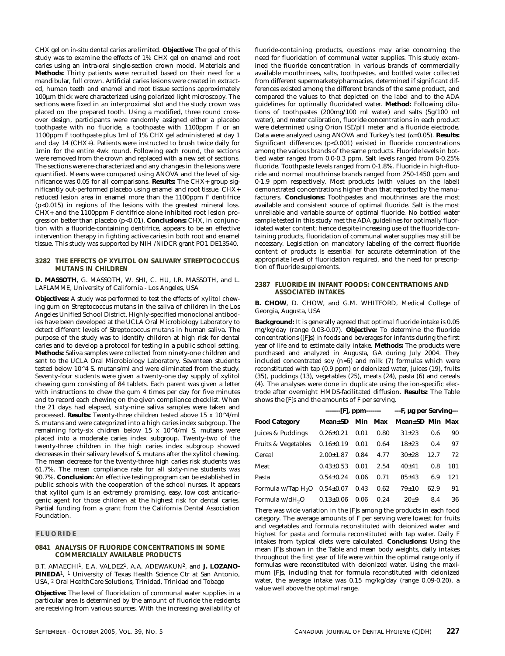CHX gel on *in-situ* dental caries are limited. **Objective:** The goal of this study was to examine the effects of 1% CHX gel on enamel and root caries using an intra-oral single-section crown model. Materials and **Methods:** Thirty patients were recruited based on their need for a mandibular, full crown. Artificial caries lesions were created in extracted, human teeth and enamel and root tissue sections approximately 100µm thick were characterized using polarized light microscopy. The sections were fixed in an interproximal slot and the study crown was placed on the prepared tooth. Using a modified, three round crossover design, participants were randomly assigned either a placebo toothpaste with no fluoride, a toothpaste with 1100ppm F or an 1100ppm F toothpaste plus 1ml of 1% CHX gel administered at day 1 and day 14 (CHX+). Patients were instructed to brush twice daily for 1min for the entire 4wk round. Following each round, the sections were removed from the crown and replaced with a new set of sections. The sections were re-characterized and any changes in the lesions were quantified. Means were compared using ANOVA and the level of significance was 0.05 for all comparisons. **Results:** The CHX+ group significantly out-performed placebo using enamel and root tissue. CHX+ reduced lesion area in enamel more than the 1100ppm F dentifrice (p<0.015) in regions of the lesions with the greatest mineral loss. CHX+ and the 1100ppm F dentifrice alone inhibited root lesion progression better than placebo (p<0.01). **Conclusions:** CHX, in conjunction with a fluoride-containing dentifrice, appears to be an effective intervention therapy in fighting active caries in both root and enamel tissue. This study was supported by NIH /NIDCR grant PO1 DE13540.

#### **3282 THE EFFECTS OF XYLITOL ON SALIVARY STREPTOCOCCUS MUTANS IN CHILDREN**

**D. MASSOTH**, G. MASSOTH, W. SHI, C. HU, I.R. MASSOTH, and L. LAFLAMME, University of California - Los Angeles, USA

**Objectives:** A study was performed to test the effects of xylitol chewing gum on Streptococcus mutans in the saliva of children in the Los Angeles Unified School District. Highly-specified monoclonal antibodies have been developed at the UCLA Oral Microbiology Laboratory to detect different levels of Streptococcus mutans in human saliva. The purpose of the study was to identify children at high risk for dental caries and to develop a protocol for testing in a public school setting. **Methods:** Saliva samples were collected from ninety-one children and sent to the UCLA Oral Microbiology Laboratory. Seventeen students tested below 10^4 S. mutans/ml and were eliminated from the study. Seventy-four students were given a twenty-one day supply of xylitol chewing gum consisting of 84 tablets. Each parent was given a letter with instructions to chew the gum 4 times per day for five minutes and to record each chewing on the given compliance checklist. When the 21 days had elapsed, sixty-nine saliva samples were taken and processed. **Results:** Twenty-three children tested above 15 x 10^4/ml S. mutans and were categorized into a high caries index subgroup. The remaining forty-six chidren below 15 x 10^4/ml S. mutans were placed into a moderate caries index subgroup. Twenty-two of the twenty-three children in the high caries index subgroup showed decreases in their salivary levels of S. mutans after the xylitol chewing. The mean decrease for the twenty-three high caries risk students was 61.7%. The mean compliance rate for all sixty-nine students was 90.7%. **Conclusion:** An effective testing program can be established in public schools with the cooperation of the school nurses. It appears that xylitol gum is an extremely promising, easy, low cost anticariogenic agent for those children at the highest risk for dental caries. Partial funding from a grant from the California Dental Association Foundation.

#### **FLUORIDE**

#### **0841 ANALYSIS OF FLUORIDE CONCENTRATIONS IN SOME COMMERCIALLY AVAILABLE PRODUCTS**

B.T. AMAECHI<sup>1</sup>, E.A. VALDEZ<sup>1</sup>, A.A. ADEWAKUN<sup>2</sup>, and **J. LOZANO-PINEDA**1, 1 University of Texas Health Science Ctr at San Antonio, USA, 2 Oral HealthCare Solutions, Trinidad, Trinidad and Tobago

**Objective:** The level of fluoridation of communal water supplies in a particular area is determined by the amount of fluoride the residents are receiving from various sources. With the increasing availability of fluoride-containing products, questions may arise concerning the need for fluoridation of communal water supplies. This study examined the fluoride concentration in various brands of commercially available mouthrinses, salts, toothpastes, and bottled water collected from different supermarkets/pharmacies, determined if significant differences existed among the different brands of the same product, and compared the values to that depicted on the label and to the ADA guidelines for optimally fluoridated water. **Method:** Following dilutions of toothpastes (200mg/100 ml water) and salts (5g/100 ml water), and meter calibration, fluoride concentrations in each product were determined using Orion ISE/pH meter and a fluoride electrode. Data were analyzed using ANOVA and Turkey's test (α=0.05). **Results:** Significant differences (p<0.001) existed in fluoride concentrations among the various brands of the same products. Fluoride levels in bottled water ranged from 0.0-0.3 ppm. Salt levels ranged from 0-0.25% fluoride. Toothpaste levels ranged from 0-1.8%. Fluoride in high-fluoride and normal mouthrinse brands ranged from 250-1450 ppm and 0-1.9 ppm respectively. Most products (with values on the label) demonstrated concentrations higher than that reported by the manufacturers. **Conclusions:** Toothpastes and mouthrinses are the most available and consistent source of optimal fluoride. Salt is the most unreliable and variable source of optimal fluoride. No bottled water sample tested in this study met the ADA guidelines for optimally fluoridated water content; hence despite increasing use of the fluoride-containing products, fluoridation of communal water supplies may still be necessary. Legislation on mandatory labeling of the correct fluoride content of products is essential for accurate determination of the appropriate level of fluoridation required, and the need for prescription of fluoride supplements.

#### **2387 FLUORIDE IN INFANT FOODS: CONCENTRATIONS AND ASSOCIATED INTAKES**

**B. CHOW**, D. CHOW, and G.M. WHITFORD, Medical College of Georgia, Augusta, USA

**Background:** It is generally agreed that optimal fluoride intake is 0.05 mg/kg/day (range 0.03-0.07). **Objective:** To determine the fluoride concentrations ([F]s) in foods and beverages for infants during the first year of life and to estimate daily intake. **Methods:** The products were purchased and analyzed in Augusta, GA during July 2004. They included concentrated soy (n=5) and milk (7) formulas which were reconstituted with tap (0.9 ppm) or deionized water, juices (19), fruits (35), puddings (13), vegetables (25), meats (24), pasta (6) and cereals (4). The analyses were done in duplicate using the ion-specific electrode after overnight HMDS-facilitated diffusion. **Results:** The Table shows the [F]s and the amounts of F per serving.

| <b>Food Category</b>           | <b>Mean±SD</b> Min Max |      |      | Mean±SD Min Max |      |     |
|--------------------------------|------------------------|------|------|-----------------|------|-----|
| Juices & Puddings              | $0.26 \pm 0.21$        | 0.01 | 0.80 | $31 + 23$       | 0.6  | 90  |
| <b>Fruits &amp; Vegetables</b> | $0.16 \pm 0.19$        | 0.01 | 0.64 | $18 + 23$       | 0.4  | 97  |
| Cereal                         | $2.00 + 1.87$          | 0.84 | 4.77 | $30+28$         | 12.7 | 72  |
| Meat                           | $0.43 \pm 0.53$        | 0.01 | 2.54 | $40+41$         | 0.8  | 181 |
| Pasta                          | $0.54 \pm 0.24$        | 0.06 | 0.71 | $85 + 43$       | 6.9  | 121 |
| Formula w/Tap H <sub>2</sub> O | $0.54 \pm 0.07$        | 0.43 | 0.62 | $79+10$         | 62.9 | 91  |
| Formula w/dH <sub>2</sub> O    | $0.13 \pm 0.06$        | 0.06 | 0.24 | $20+9$          | 8.4  | 36  |

There was wide variation in the [F]s among the products in each food category. The average amounts of F per serving were lowest for fruits and vegetables and formula reconstituted with deionized water and highest for pasta and formula reconstituted with tap water. Daily F intakes from typical diets were calculated. **Conclusions:** Using the mean [F]s shown in the Table and mean body weights, daily intakes throughout the first year of life were within the optimal range only if formulas were reconstituted with deionized water. Using the maximum [F]s, including that for formula reconstituted with deionized water, the average intake was 0.15 mg/kg/day (range 0.09-0.20), a value well above the optimal range.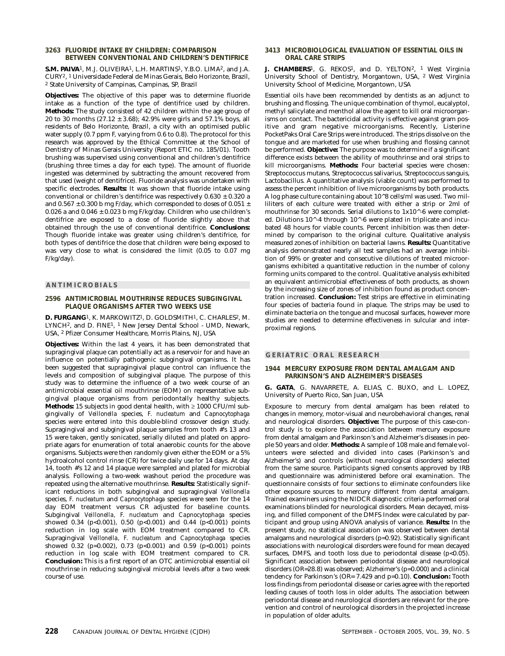#### **3263 FLUORIDE INTAKE BY CHILDREN: COMPARISON BETWEEN CONVENTIONAL AND CHILDREN'S DENTIFRICE**

**S.M. PAIVA**1, M.J. OLIVEIRA1, L.H. MARTINS1, Y.B.O. LIMA2, and J.A. CURY2, 1 Universidade Federal de Minas Gerais, Belo Horizonte, Brazil, 2 State University of Campinas, Campinas, SP, Brazil

**Objectives:** The objective of this paper was to determine fluoride intake as a function of the type of dentifrice used by children. **Methods:** The study consisted of 42 children within the age group of 20 to 30 months (27.12 ± 3.68); 42.9% were girls and 57.1% boys, all residents of Belo Horizonte, Brazil, a city with an optimised public water supply (0.7 ppm F, varying from 0.6 to 0.8). The protocol for this research was approved by the Ethical Committee at the School of Dentistry of Minas Gerais University (Report ETIC no. 185/01). Tooth brushing was supervised using conventional and children's dentifrice (brushing three times a day for each type). The amount of fluoride ingested was determined by subtracting the amount recovered from that used (weight of dentifrice). Fluoride analysis was undertaken with specific electrodes. **Results:** It was shown that fluoride intake using conventional or children's dentifrice was respectively  $0.630 \pm 0.320$  a and 0.567  $\pm$  0.300 b mg F/day, which corresponded to doses of 0.051  $\pm$ 0.026 a and  $0.046 \pm 0.023$  b mg F/kg/day. Children who use children's dentifrice are exposed to a dose of fluoride slightly above that obtained through the use of conventional dentifrice. **Conclusions:** Though fluoride intake was greater using children's dentifrice, for both types of dentifrice the dose that children were being exposed to was very close to what is considered the limit (0.05 to 0.07 mg F/kg/day).

#### **ANTIMICROBIALS**

#### **2596 ANTIMICROBIAL MOUTHRINSE REDUCES SUBGINGIVAL PLAQUE ORGANISMS AFTER TWO WEEKS USE**

**D. FURGANG**1, K. MARKOWITZ1, D. GOLDSMITH1, C. CHARLES2, M. LYNCH2, and D. FINE1, 1 New Jersey Dental School - UMD, Newark, USA, 2 Pfizer Consumer Healthcare, Morris Plains, NJ, USA

**Objectives:** Within the last 4 years, it has been demonstrated that supragingival plaque can potentially act as a reservoir for and have an influence on potentially pathogenic subgingival organisms. It has been suggested that supragingival plaque control can influence the levels and composition of subgingival plaque. The purpose of this study was to determine the influence of a two week course of an antimicrobial essential oil mouthrinse (EOM) on representative subgingival plaque organisms from periodontally healthy subjects. **Methods:** 15 subjects in good dental health, with ≥ 1000 CFU/ml subgingivally of *Veillonella* species, *F. nucleatum* and *Capnocytophaga* species were entered into this double-blind crossover design study. Supragingival and subgingival plaque samples from tooth #'s 13 and 15 were taken, gently sonicated, serially diluted and plated on appropriate agars for enumeration of total anaerobic counts for the above organisms. Subjects were then randomly given either the EOM or a 5% hydroalcohol control rinse (CR) for twice daily use for 14 days. At day 14, tooth #'s 12 and 14 plaque were sampled and plated for microbial analysis. Following a two-week washout period the procedure was repeated using the alternative mouthrinse. **Results:** Statistically significant reductions in both subgingival and supragingival *Veillonella* species, *F. nucleatum* and *Capnocytophaga* species were seen for the 14 day EOM treatment versus CR adjusted for baseline counts. Subgingival *Veillonella, F. nucleatum* and *Capnocytophaga* species showed 0.34 (p<0.001), 0.50 (p<0.001) and 0.44 (p<0.001) points reduction in log scale with EOM treatment compared to CR. Supragingival *Veillonella, F. nucleatum* and *Capnocytophaga* species showed 0.32 (p=0.002), 0.73 (p<0.001) and 0.59 (p<0.001) points reduction in log scale with EOM treatment compared to CR. **Conclusion:** This is a first report of an OTC antimicrobial essential oil mouthrinse in reducing subgingival microbial levels after a two week course of use.

#### **3413 MICROBIOLOGICAL EVALUATION OF ESSENTIAL OILS IN ORAL CARE STRIPS**

**J. CHAMBERS**<sup>1</sup>, G. REKOS<sup>1</sup>, and D. YELTON<sup>2</sup>, <sup>1</sup> West Virginia University School of Dentistry, Morgantown, USA, 2 West Virginia University School of Medicine, Morgantown, USA

Essential oils have been recommended by dentists as an adjunct to brushing and flossing. The unique combination of thymol, eucalyptol, methyl salicylate and menthol allow the agent to kill oral microorganisms on contact. The bactericidal activity is effective against gram positive and gram negative microorganisms. Recently, Listerine PocketPaks Oral Care Strips were introduced. The strips dissolve on the tongue and are marketed for use when brushing and flossing cannot be performed. **Objective:** The purpose was to determine if a significant difference exists between the ability of mouthrinse and oral strips to kill microorganisms. **Methods:** Four bacterial species were chosen: Streptococcus mutans, Streptococcus salivarius, Streptococcus sanguis, Lactobacillus. A quantitative analysis (viable count) was performed to assess the percent inhibition of live microorganisms by both products. A log phase culture containing about 10^8 cells/ml was used. Two milliliters of each culture were treated with either a strip or 2ml of mouthrinse for 30 seconds. Serial dilutions to 1x10^-6 were completed. Dilutions 10^-4 through 10^-6 were plated in triplicate and incubated 48 hours for viable counts. Percent inhibition was then determined by comparison to the original culture. Qualitative analysis measured zones of inhibition on bacterial lawns. **Results:** Quantitative analysis demonstrated nearly all test samples had an average inhibition of 99% or greater and consecutive dilutions of treated microorganisms exhibited a quantitative reduction in the number of colony forming units compared to the control. Qualitative analysis exhibited an equivalent antimicrobial effectiveness of both products, as shown by the increasing size of zones of inhibition found as product concentration increased. **Conclusion:** Test strips are effective in eliminating four species of bacteria found in plaque. The strips may be used to eliminate bacteria on the tongue and mucosal surfaces, however more studies are needed to determine effectiveness in sulcular and interproximal regions.

#### **GERIATRIC ORAL RESEARCH**

#### **1944 MERCURY EXPOSURE FROM DENTAL AMALGAM AND PARKINSON'S AND ALZHEIMER'S DISEASES**

**G. GATA**, G. NAVARRETE, A. ELIAS, C. BUXO, and L. LOPEZ, University of Puerto Rico, San Juan, USA

Exposure to mercury from dental amalgam has been related to changes in memory, motor-visual and neurobehavioral changes, renal and neurological disorders. **Objective:** The purpose of this case-control study is to explore the association between mercury exposure from dental amalgam and Parkinson's and Alzheimer's diseases in people 50 years and older. **Methods:** A sample of 108 male and female volunteers were selected and divided into cases (Parkinson's and Alzheimer's) and controls (without neurological disorders) selected from the same source. Participants signed consents approved by IRB and questionnaire was administered before oral examination. The questionnaire consists of four sections to eliminate confounders like other exposure sources to mercury different from dental amalgam. Trained examiners using the NIDCR diagnostic criteria performed oral examinations blinded for neurological disorders. Mean decayed, missing, and filled component of the DMFS Index were calculated by participant and group using ANOVA analysis of variance. **Results:** In the present study, no statistical association was observed between dental amalgams and neurological disorders (p=0.92). Statistically significant associations with neurological disorders were found for mean decayed surfaces, DMFS, and tooth loss due to periodontal disease (p<0.05). Significant association between periodontal disease and neurological disorders (OR=28.8) was observed; Alzheimer's (p=0.000) and a clinical tendency for Parkinson's (OR= 7.429 and p=0.10). **Conclusion:** Tooth loss findings from periodontal disease or caries agree with the reported leading causes of tooth loss in older adults. The association between periodontal disease and neurological disorders are relevant for the prevention and control of neurological disorders in the projected increase in population of older adults.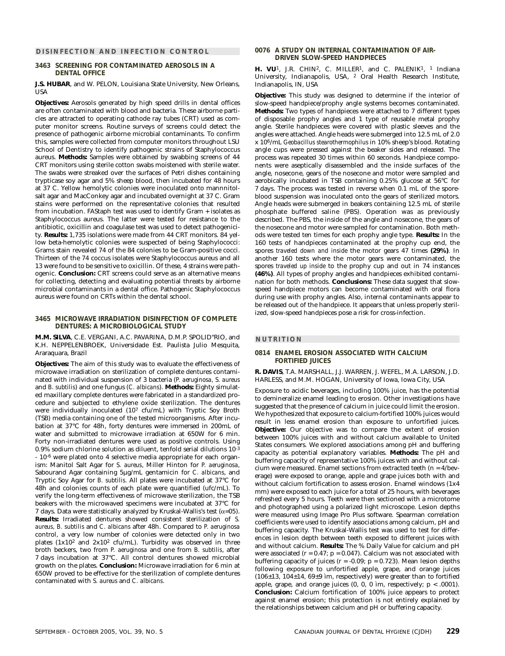#### **DISINFECTION AND INFECTION CONTROL**

#### **3463 SCREENING FOR CONTAMINATED AEROSOLS IN A DENTAL OFFICE**

**J.S. HUBAR**, and W. PELON, Louisiana State University, New Orleans, **USA** 

**Objectives:** Aerosols generated by high speed drills in dental offices are often contaminated with blood and bacteria. These airborne particles are attracted to operating cathode ray tubes (CRT) used as computer monitor screens. Routine surveys of screens could detect the presence of pathogenic airborne microbial contaminants. To confirm this, samples were collected from computer monitors throughout LSU School of Dentistry to identify pathogenic strains of Staphylococcus aureus. **Methods:** Samples were obtained by swabbing screens of 44 CRT monitors using sterile cotton swabs moistened with sterile water. The swabs were streaked over the surfaces of Petri dishes containing trypticase soy agar and 5% sheep blood, then incubated for 48 hours at 37 C. Yellow hemolytic colonies were inoculated onto mannnitolsalt agar and MacConkey agar and incubated overnight at 37 C. Gram stains were performed on the representative colonies that resulted from incubation. FAStaph test was used to identify Gram + isolates as Staphylococcus aureus. The latter were tested for resistance to the antibiotic, oxicillin and coagulase test was used to detect pathogenicity. **Results:** 1,735 isolations were made from 44 CRT monitors. 84 yellow beta-hemolytic colonies were suspected of being Staphylococci: Grams stain revealed 74 of the 84 colonies to be Gram-positive cocci. Thirteen of the 74 coccus isolates were Staphylococcus aureus and all 13 were found to be sensitive to oxicillin. Of these, 4 strains were pathogenic. **Conclusion:** CRT screens could serve as an alternative means for collecting, detecting and evaluating potential threats by airborne microbial contaminants in a dental office. Pathogenic Staphylococcus aureus were found on CRTs within the dental school.

#### **3465 MICROWAVE IRRADIATION DISINFECTION OF COMPLETE DENTURES: A MICROBIOLOGICAL STUDY**

**M.M. SILVA**, C.E. VERGANI, A.C. PAVARINA, D.M.P. SPOLID"RIO, and K.H. NEPPELENBROEK, Universidade Est. Paulista Julio Mesquita, Araraquara, Brazil

**Objectives:** The aim of this study was to evaluate the effectiveness of microwave irradiation on sterilization of complete dentures contaminated with individual suspension of 3 bacteria (*P. aeruginosa, S. aureus* and *B. subtilis*) and one fungus (*C. albicans*). **Methods:** Eighty simulated maxillary complete dentures were fabricated in a standardized procedure and subjected to ethylene oxide sterilization. The dentures were individually inoculated (107 cfu/mL) with Tryptic Soy Broth (TSB) media containing one of the tested microorganisms. After incubation at 37°C for 48h, forty dentures were immersed in 200mL of water and submitted to microwave irradiation at 650W for 6 min. Forty non-irradiated dentures were used as positive controls. Using 0.9% sodium chlorine solution as diluent, tenfold serial dilutions 10-3 - 10-6 were plated onto 4 selective media appropriate for each organism: Manitol Salt Agar for *S. aureus*, Miller Hinton for *P. aeruginosa*, Sabourand Agar containing 5µg/mL gentamicin for *C. albicans*, and Tryptic Soy Agar for *B. subtilis*. All plates were incubated at 37°C for 48h and colonies counts of each plate were quantified (ufc/mL). To verify the long-term effectiveness of microwave sterilization, the TSB beakers with the microwaved specimens were incubated at 37°C for 7 days. Data were statistically analyzed by Kruskal-Wallis's test ( $\alpha$ =05). **Results:** Irradiated dentures showed consistent sterilization of *S. aureus, B. subtilis* and *C. albicans* after 48h. Compared to *P. aeruginosa* control, a very low number of colonies were detected only in two plates  $(1x10^2 \text{ and } 2x10^2 \text{ cfu/mL})$ . Turbidity was observed in three broth beckers, two from *P. aeruginosa* and one from *B. subtilis*, after 7 days incubation at 37°C. All control dentures showed microbial growth on the plates. **Conclusion:** Microwave irradiation for 6 min at 650W proved to be effective for the sterilization of complete dentures contaminated with *S. aureus* and *C. albicans*.

#### **0076 A STUDY ON INTERNAL CONTAMINATION OF AIR-DRIVEN SLOW-SPEED HANDPIECES**

**H. VU**1, J.R. CHIN2, C. MILLER1, and C. PALENIK1, 1 Indiana University, Indianapolis, USA, 2 Oral Health Research Institute, Indianapolis, IN, USA

**Objective:** This study was designed to determine if the interior of slow-speed handpiece/prophy angle systems becomes contaminated. **Methods:** Two types of handpieces were attached to 7 different types of disposable prophy angles and 1 type of reusable metal prophy angle. Sterile handpieces were covered with plastic sleeves and the angles were attached. Angle heads were submerged into 12.5 mL of 2.0 x 106/mL *Geobacillus stearothermophilus* in 10% sheep's blood. Rotating angle cups were pressed against the beaker sides and released. The process was repeated 30 times within 60 seconds. Handpiece components were aseptically disassembled and the inside surfaces of the angle, nosecone, gears of the nosecone and motor were sampled and aerobically incubated in TSB containing 0.25% glucose at 56°C for 7 days. The process was tested in reverse when 0.1 mL of the sporeblood suspension was inoculated onto the gears of sterilized motors. Angle heads were submerged in beakers containing 12.5 mL of sterile phosphate buffered saline (PBS). Operation was as previously described. The PBS, the inside of the angle and nosecone, the gears of the nosecone and motor were sampled for contamination. Both methods were tested ten times for each prophy angle type. **Results:** In the 160 tests of handpieces contaminated at the prophy cup end, the spores *traveled down and inside* the motor gears 47 times **(29%)**. In another 160 tests where the motor gears were contaminated, the spores *traveled up inside* to the prophy cup and out in 74 instances **(46%)**. All types of prophy angles and handpieces exhibited contamination for both methods. **Conclusions:** These data suggest that slowspeed handpiece motors can become contaminated with oral flora during use with prophy angles. Also, internal contaminants appear to be released out of the handpiece. It appears that unless properly sterilized, slow-speed handpieces pose a risk for cross-infection.

#### **NUTRITION**

#### **0814 ENAMEL EROSION ASSOCIATED WITH CALCIUM FORTIFIED JUICES**

**R. DAVIS**, T.A. MARSHALL, J.J. WARREN, J. WEFEL, M.A. LARSON, J.D. HARLESS, and M.M. HOGAN, University of Iowa, Iowa City, USA

Exposure to acidic beverages, including 100% juice, has the potential to demineralize enamel leading to erosion. Other investigations have suggested that the presence of calcium in juice could limit the erosion. We hypothesized that exposure to calcium-fortified 100% juices would result in less enamel erosion than exposure to unfortified juices. **Objective:** Our objective was to compare the extent of erosion between 100% juices with and without calcium available to United States consumers. We explored associations among pH and buffering capacity as potential explanatory variables. **Methods:** The pH and buffering capacity of representative 100% juices with and without calcium were measured. Enamel sections from extracted teeth (n = 4/beverage) were exposed to orange, apple and grape juices both with and without calcium fortification to assess erosion. Enamel windows (1x4 mm) were exposed to each juice for a total of 25 hours, with beverages refreshed every 5 hours. Teeth were then sectioned with a microtome and photographed using a polarized light microscope. Lesion depths were measured using Image Pro Plus software. Spearman correlation coefficients were used to identify associations among calcium, pH and buffering capacity. The Kruskal-Wallis test was used to test for differences in lesion depth between teeth exposed to different juices with and without calcium. **Results:** The % Daily Value for calcium and pH were associated (r =  $0.47$ ; p =  $0.047$ ). Calcium was not associated with buffering capacity of juices ( $r = -0.09$ ;  $p = 0.723$ ). Mean lesion depths following exposure to unfortified apple, grape, and orange juices (106±13, 104±14, 69±9 ìm, respectively) were greater than to fortified apple, grape, and orange juices  $(0, 0, 0, \hat{u})$  im, respectively;  $p < .0001$ ). **Conclusion:** Calcium fortification of 100% juice appears to protect against enamel erosion; this protection is not entirely explained by the relationships between calcium and pH or buffering capacity.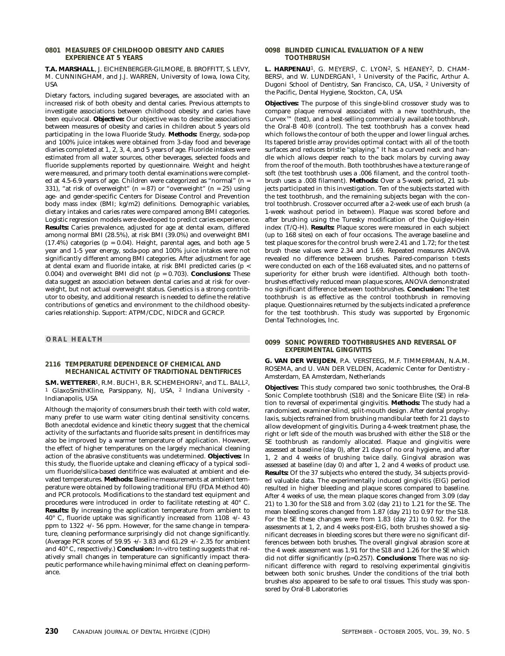#### **0801 MEASURES OF CHILDHOOD OBESITY AND CARIES EXPERIENCE AT 5 YEARS**

**T.A. MARSHALL**, J. EICHENBERGER-GILMORE, B. BROFFITT, S. LEVY, M. CUNNINGHAM, and J.J. WARREN, University of Iowa, Iowa City, USA

Dietary factors, including sugared beverages, are associated with an increased risk of both obesity and dental caries. Previous attempts to investigate associations between childhood obesity and caries have been equivocal. **Objective:** Our objective was to describe associations between measures of obesity and caries in children about 5 years old participating in the Iowa Fluoride Study. **Methods:** Energy, soda-pop and 100% juice intakes were obtained from 3-day food and beverage diaries completed at 1, 2, 3, 4, and 5 years of age. Fluoride intakes were estimated from all water sources, other beverages, selected foods and fluoride supplements reported by questionnaire. Weight and height were measured, and primary tooth dental examinations were completed at 4.5-6.9 years of age. Children were categorized as "normal" (n = 331), "at risk of overweight"  $(n = 87)$  or "overweight"  $(n = 25)$  using age- and gender-specific Centers for Disease Control and Prevention body mass index (BMI; kg/m2) definitions. Demographic variables, dietary intakes and caries rates were compared among BMI categories. Logistic regression models were developed to predict caries experience. **Results:** Caries prevalence, adjusted for age at dental exam, differed among normal BMI (28.5%), at risk BMI (39.0%) and overweight BMI  $(17.4\%)$  categories (p = 0.04). Height, parental ages, and both age 5 year and 1-5 year energy, soda-pop and 100% juice intakes were not significantly different among BMI categories. After adjustment for age at dental exam and fluoride intake, at risk BMI predicted caries (p < 0.004) and overweight BMI did not (p = 0.703). **Conclusions:** These data suggest an association between dental caries and at risk for overweight, but not actual overweight status. Genetics is a strong contributor to obesity, and additional research is needed to define the relative contributions of genetics and environment to the childhood obesitycaries relationship. Support: ATPM/CDC, NIDCR and GCRCP.

#### **ORAL HEALTH**

#### **2116 TEMPERATURE DEPENDENCE OF CHEMICAL AND MECHANICAL ACTIVITY OF TRADITIONAL DENTIFRICES**

**S.M. WETTERER**1, R.M. BUCH1, B.R. SCHEMEHORN2, and T.L. BALL2, <sup>1</sup> GlaxoSmithKline, Parsippany, NJ, USA, <sup>2</sup> Indiana University Indianapolis, USA

Although the majority of consumers brush their teeth with cold water, many prefer to use warm water citing dentinal sensitivity concerns. Both anecdotal evidence and kinetic theory suggest that the chemical activity of the surfactants and fluoride salts present in dentifrices may also be improved by a warmer temperature of application. However, the effect of higher temperatures on the largely mechanical cleaning action of the abrasive constituents was undetermined. **Objectives:** In this study, the fluoride uptake and cleaning efficacy of a typical sodium fluoride/silica-based dentifrice was evaluated at ambient and elevated temperatures. **Methods:** Baseline measurements at ambient temperature were obtained by following traditional EFU (FDA Method 40) and PCR protocols. Modifications to the standard test equipment and procedures were introduced in order to facilitate retesting at 40° C. **Results:** By increasing the application temperature from ambient to 40° C, fluoride uptake was significantly increased from 1108 +/- 43 ppm to 1322 +/- 56 ppm. However, for the same change in temperature, cleaning performance surprisingly did not change significantly. (Average PCR scores of 59.95 +/- 3.83 and 61.29 +/- 2.35 for ambient and 40° C, respectively.) **Conclusion:** In-vitro testing suggests that relatively small changes in temperature can significantly impact therapeutic performance while having minimal effect on cleaning performance.

#### **0098 BLINDED CLINICAL EVALUATION OF A NEW TOOTHBRUSH**

**L. HARPENAU**1, G. MEYERS1, C. LYON2, S. HEANEY2, D. CHAM-BERS1, and W. LUNDERGAN1, 1 University of the Pacific, Arthur A. Dugoni School of Dentistry, San Francisco, CA, USA, 2 University of the Pacific, Dental Hygiene, Stockton, CA, USA

**Objectives:** The purpose of this single-blind crossover study was to compare plaque removal associated with a new toothbrush, the  $\text{Curvex}^{\scriptscriptstyle \text{T} \hspace{-1pt} \text{M}}$  (test), and a best-selling commercially available toothbrush, the Oral-B 40® (control). The test toothbrush has a convex head which follows the contour of both the upper and lower lingual arches. Its tapered bristle array provides optimal contact with all of the tooth surfaces and reduces bristle "splaying." It has a curved neck and handle which allows deeper reach to the back molars by curving away from the roof of the mouth. Both toothbrushes have a texture range of soft (the test toothbrush uses a .006 filament, and the control toothbrush uses a .008 filament). **Methods:** Over a 5-week period, 21 subjects participated in this investigation. Ten of the subjects started with the test toothbrush, and the remaining subjects began with the control toothbrush. Crossover occurred after a 2-week use of each brush (a 1-week washout period in between). Plaque was scored before and after brushing using the Turesky modification of the Quigley-Hein index (T/Q-H). **Results:** Plaque scores were measured in each subject (up to 168 sites) on each of four occasions. The average baseline and test plaque scores for the control brush were 2.41 and 1.72; for the test brush these values were 2.34 and 1.69. Repeated measures ANOVA revealed no difference between brushes. Paired-comparison t-tests were conducted on each of the 168 evaluated sites, and no patterns of superiority for either brush were identified. Although both toothbrushes effectively reduced mean plaque scores, ANOVA demonstrated no significant difference between toothbrushes. **Conclusion:** The test toothbrush is as effective as the control toothbrush in removing plaque. Questionnaires returned by the subjects indicated a preference for the test toothbrush. This study was supported by Ergonomic Dental Technologies, Inc.

#### **0099 SONIC POWERED TOOTHBRUSHES AND REVERSAL OF EXPERIMENTAL GINGIVITIS**

**G. VAN DER WEIJDEN**, P.A. VERSTEEG, M.F. TIMMERMAN, N.A.M. ROSEMA, and U. VAN DER VELDEN, Academic Center for Dentistry - Amsterdam, EA Amsterdam, Netherlands

**Objectives:** This study compared two sonic toothbrushes, the Oral-B Sonic Complete toothbrush (S18) and the Sonicare Elite (SE) in relation to reversal of experimental gingivitis. **Methods:** The study had a randomised, examiner-blind, split-mouth design. After dental prophylaxis, subjects refrained from brushing mandibular teeth for 21 days to allow development of gingivitis. During a 4-week treatment phase, the right or left side of the mouth was brushed with either the S18 or the SE toothbrush as randomly allocated. Plaque and gingivitis were assessed at baseline (day 0), after 21 days of no oral hygiene, and after 1, 2 and 4 weeks of brushing twice daily. Gingival abrasion was assessed at baseline (day 0) and after 1, 2 and 4 weeks of product use. **Results:** Of the 37 subjects who entered the study, 34 subjects provided valuable data. The experimentally induced gingivitis (EIG) period resulted in higher bleeding and plaque scores compared to baseline. After 4 weeks of use, the mean plaque scores changed from 3.09 (day 21) to 1.30 for the S18 and from 3.02 (day 21) to 1.21 for the SE. The mean bleeding scores changed from 1.87 (day 21) to 0.97 for the S18. For the SE these changes were from 1.83 (day 21) to 0.92. For the assessments at 1, 2, and 4 weeks post-EIG, both brushes showed a significant decreases in bleeding scores but there were no significant differences between both brushes. The overall gingival abrasion score at the 4 week assessment was 1.91 for the S18 and 1.26 for the SE which did not differ significantly (p=0.257). **Conclusions:** There was no significant difference with regard to resolving experimental gingivitis between both sonic brushes. Under the conditions of the trial both brushes also appeared to be safe to oral tissues. This study was sponsored by Oral-B Laboratories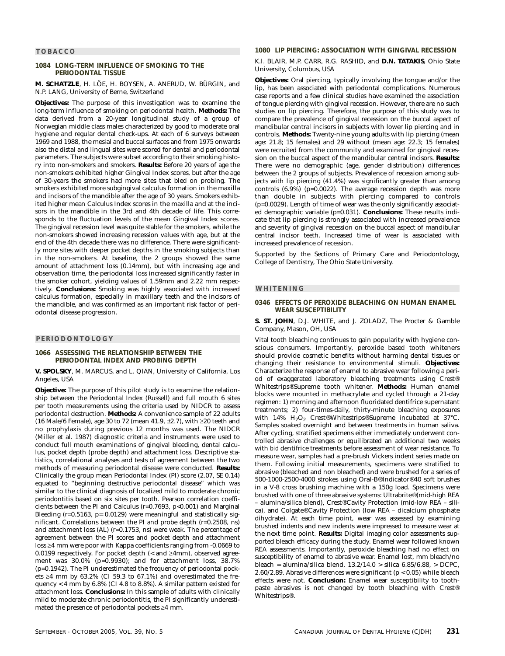#### **TOBACCO**

#### **1084 LONG-TERM INFLUENCE OF SMOKING TO THE PERIODONTAL TISSUE**

**M. SCHATZLE**, H. LÖE, H. BOYSEN, A. ANERUD, W. BÜRGIN, and N.P. LANG, University of Berne, Switzerland

**Objectives:** The purpose of this investigation was to examine the long-term influence of smoking on periodontal health. **Methods:** The data derived from a 20-year longitudinal study of a group of Norwegian middle class males characterized by good to moderate oral hygiene and regular dental check-ups. At each of 6 surveys between 1969 and 1988, the mesial and buccal surfaces and from 1975 onwards also the distal and lingual sites were scored for dental and periodontal parameters. The subjects were subset according to their smoking history into non-smokers and smokers. **Results:** Before 20 years of age the non-smokers exhibited higher Gingival Index scores, but after the age of 30-years the smokers had more sites that bled on probing. The smokers exhibited more subgingival calculus formation in the maxilla and incisors of the mandible after the age of 30 years. Smokers exhibited higher mean Calculus Index scores in the maxilla and at the incisors in the mandible in the 3rd and 4th decade of life. This corresponds to the fluctuation levels of the mean Gingival Index scores. The gingival recession level was quite stable for the smokers, while the non-smokers showed increasing recession values with age, but at the end of the 4th decade there was no difference. There were significantly more sites with deeper pocket depths in the smoking subjects than in the non-smokers. At baseline, the 2 groups showed the same amount of attachment loss (0.14mm), but with increasing age and observation time, the periodontal loss increased significantly faster in the smoker cohort, yielding values of 1.59mm and 2.22 mm respectively. **Conclusions:** Smoking was highly associated with increased calculus formation, especially in maxillary teeth and the incisors of the mandible, and was confirmed as an important risk factor of periodontal disease progression.

#### **PERIODONTOLOGY**

#### **1066 ASSESSING THE RELATIONSHIP BETWEEN THE PERIODONTAL INDEX AND PROBING DEPTH**

**V. SPOLSKY**, M. MARCUS, and L. QIAN, University of California, Los Angeles, USA

**Objective:** The purpose of this pilot study is to examine the relationship between the Periodontal Index (Russell) and full mouth 6 sites per tooth measurements using the criteria used by NIDCR to assess periodontal destruction. **Methods:** A convenience sample of 22 adults (16 Male/6 Female), age 30 to 72 (mean 41.9, ±2.7), with ≥20 teeth and no prophylaxis during previous 12 months was used. The NIDCR (Miller et al. 1987) diagnostic criteria and instruments were used to conduct full mouth examinations of gingival bleeding, dental calculus, pocket depth (probe depth) and attachment loss. Descriptive statistics, correlational analyses and tests of agreement between the two methods of measuring periodontal disease were conducted. **Results:** Clinically the group mean Periodontal Index (PI) score (2.07, SE 0.14) equated to "beginning destructive periodontal disease" which was similar to the clinical diagnosis of localized mild to moderate chronic periodontitis based on six sites per tooth. Pearson correlation coefficients between the PI and Calculus (r=0.7693, p<0.001) and Marginal Bleeding (r=0.5163, p= 0.0129) were meaningful and statistically significant. Correlations between the PI and probe depth (r=0.2508, ns) and attachment loss (AL) (r=0.1753, ns) were weak. The percentage of agreement between the PI scores and pocket depth and attachment loss ≥4 mm were poor with Kappa coefficients ranging from -0.0669 to 0.0199 respectively. For pocket depth  $\ll$  and  $\geq$ 4mm), observed agreement was 30.0% (p=0.9930); and for attachment loss, 38.7% (p=0.1942). The PI underestimated the frequency of periodontal pockets ≥4 mm by 63.2% (CI 59.3 to 67.1%) and overestimated the frequency  $<$  4 mm by 6.8% (CI 4.8 to 8.8%). A similar pattern existed for attachment loss. **Conclusions:** In this sample of adults with clinically mild to moderate chronic periodontitis, the PI significantly underestimated the presence of periodontal pockets ≥4 mm.

#### **1080 LIP PIERCING: ASSOCIATION WITH GINGIVAL RECESSION**

K.I. BLAIR, M.P. CARR, R.G. RASHID, and **D.N. TATAKIS**, Ohio State University, Columbus, USA

**Objectives:** Oral piercing, typically involving the tongue and/or the lip, has been associated with periodontal complications. Numerous case reports and a few clinical studies have examined the association of tongue piercing with gingival recession. However, there are no such studies on lip piercing. Therefore, the purpose of this study was to compare the prevalence of gingival recession on the buccal aspect of mandibular central incisors in subjects with lower lip piercing and in controls. **Methods:** Twenty-nine young adults with lip piercing (mean age: 21.8; 15 females) and 29 without (mean age: 22.3; 15 females) were recruited from the community and examined for gingival recession on the buccal aspect of the mandibular central incisors. **Results:** There were no demographic (age, gender distribution) differences between the 2 groups of subjects. Prevalence of recession among subjects with lip piercing (41.4%) was significantly greater than among controls (6.9%) (p=0.0022). The average recession depth was more than double in subjects with piercing compared to controls (p=0.0029). Length of time of wear was the only significantly associated demographic variable (p=0.031). **Conclusions:** These results indicate that lip piercing is strongly associated with increased prevalence and severity of gingival recession on the buccal aspect of mandibular central incisor teeth. Increased time of wear is associated with increased prevalence of recession.

Supported by the Sections of Primary Care and Periodontology, College of Dentistry, The Ohio State University.

#### **WHITENING**

#### **0346 EFFECTS OF PEROXIDE BLEACHING ON HUMAN ENAMEL WEAR SUSCEPTIBILITY**

**S. ST. JOHN**, D.J. WHITE, and J. ZOLADZ, The Procter & Gamble Company, Mason, OH, USA

Vital tooth bleaching continues to gain popularity with hygiene conscious consumers. Importantly, peroxide based tooth whiteners should provide cosmetic benefits without harming dental tissues or changing their resistance to environmental stimuli. **Objectives:** Characterize the response of enamel to abrasive wear following a period of exaggerated laboratory bleaching treatments using Crest® Whitestrips®Supreme tooth whitener. **Methods:** Human enamel blocks were mounted in methacrylate and cycled through a 21-day regimen: 1) morning and afternoon fluoridated dentifrice supernatant treatments; 2) four-times-daily, thirty-minute bleaching exposures with 14%  $H_2O_2$  Crest®Whitestrips®Supreme incubated at 37°C. Samples soaked overnight and between treatments in human saliva. After cycling, stratified specimens either immediately underwent controlled abrasive challenges or equilibrated an additional two weeks with *bid* dentifrice treatments before assessment of wear resistance. To measure wear, samples had a pre-brush Vickers indent series made on them. Following initial measurements, specimens were stratified to abrasive (bleached and non bleached) and were brushed for a series of 500-1000-2500-4000 strokes using Oral-B®Indicator®40 soft brushes in a V-8 cross brushing machine with a 150g load. Specimens were brushed with one of three abrasive systems: Ultrabrite®(mid-high REA – alumina/silica blend), Crest®Cavity Protection (mid-low REA – silica), and Colgate®Cavity Protection (low REA – dicalcium phosphate dihydrate). At each time point, wear was assessed by examining brushed indents and new indents were impressed to measure wear at the next time point. **Results:** Digital imaging color assessments supported bleach efficacy during the study. Enamel wear followed known REA assessments. Importantly, peroxide bleaching had no effect on susceptibility of enamel to abrasive wear. Enamel lost, mm bleach/no bleach = alumina/silica blend, 13.2/14.0 > silica 6.85/6.88, > DCPC, 2.60/2.89. Abrasive differences were significant (p < 0.05) while bleach effects were not. **Conclusion:** Enamel wear susceptibility to toothpaste abrasives is not changed by tooth bleaching with Crest® Whitestrips®.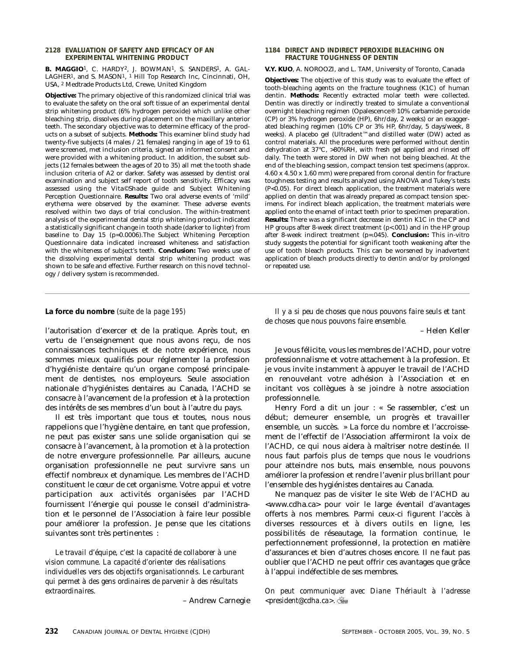#### **2128 EVALUATION OF SAFETY AND EFFICACY OF AN EXPERIMENTAL WHITENING PRODUCT**

B. MAGGIO<sup>1</sup>, C. HARDY<sup>2</sup>, J. BOWMAN<sup>1</sup>, S. SANDERS<sup>1</sup>, A. GAL-LAGHER1, and S. MASON1, 1 Hill Top Research Inc, Cincinnati, OH, USA, 2 Medtrade Products Ltd, Crewe, United Kingdom

**Objective:** The primary objective of this randomized clinical trial was to evaluate the safety on the oral soft tissue of an experimental dental strip whitening product (6% hydrogen peroxide) which unlike other bleaching strip, dissolves during placement on the maxillary anterior teeth. The secondary objective was to determine efficacy of the products on a subset of subjects. **Methods:** This examiner blind study had twenty-five subjects (4 males / 21 females) ranging in age of 19 to 61 were screened, met inclusion criteria, signed an informed consent and were provided with a whitening product. In addition, the subset subjects (12 females between the ages of 20 to 35) all met the tooth shade inclusion criteria of A2 or darker. Safety was assessed by dentist oral examination and subject self report of tooth sensitivity. Efficacy was assessed using the Vita©Shade guide and Subject Whitening Perception Questionnaire. **Results:** Two oral adverse events of 'mild' erythema were observed by the examiner. These adverse events resolved within two days of trial conclusion. The within-treatment analysis of the experimental dental strip whitening product indicated a statistically significant change in tooth shade (darker to lighter) from baseline to Day 15 (p=0.0006).The Subject Whitening Perception Questionnaire data indicated increased whiteness and satisfaction with the whiteness of subject's teeth. **Conclusion:** Two weeks use of the dissolving experimental dental strip whitening product was shown to be safe and effective. Further research on this novel technology / delivery system is recommended.

#### **1184 DIRECT AND INDIRECT PEROXIDE BLEACHING ON FRACTURE TOUGHNESS OF DENTIN**

#### **V.Y. KUO**, A. NOROOZI, and L. TAM, University of Toronto, Canada

**Objectives:** The objective of this study was to evaluate the effect of tooth-bleaching agents on the fracture toughness (K1C) of human dentin. **Methods:** Recently extracted molar teeth were collected. Dentin was directly or indirectly treated to simulate a conventional overnight bleaching regimen (Opalescence® 10% carbamide peroxide (CP) or 3% hydrogen peroxide (HP), 6hr/day, 2 weeks) or an exaggerated bleaching regimen (10% CP or 3% HP, 6hr/day, 5 days/week, 8 weeks). A placebo gel (Ultradent™and distilled water (DW) acted as control materials. All the procedures were performed without dentin dehydration at 37°C, >80%RH, with fresh gel applied and rinsed off daily. The teeth were stored in DW when not being bleached. At the end of the bleaching session, compact tension test specimens (approx. 4.60 x 4.50 x 1.60 mm) were prepared from coronal dentin for fracture toughness testing and results analyzed using ANOVA and Tukey's tests (P<0.05). For direct bleach application, the treatment materials were applied on dentin that was already prepared as compact tension specimens. For indirect bleach application, the treatment materials were applied onto the enamel of intact teeth prior to specimen preparation. **Results:** There was a significant decrease in dentin K1C in the CP and HP groups after 8-week direct treatment (p<.001) and in the HP group after 8-week indirect treatment (p=.045). **Conclusion:** This in-vitro study suggests the potential for significant tooth weakening after the use of tooth bleach products. This can be worsened by inadvertent application of bleach products directly to dentin and/or by prolonged or repeated use.

l'autorisation d'exercer et de la pratique. Après tout, en vertu de l'enseignement que nous avons reçu, de nos connaissances techniques et de notre expérience, nous sommes mieux qualifiés pour réglementer la profession d'hygiéniste dentaire qu'un organe composé principalement de dentistes, nos employeurs. Seule association nationale d'hygiénistes dentaires au Canada, l'ACHD se consacre à l'avancement de la profession et à la protection des intérêts de ses membres d'un bout à l'autre du pays.

Il est très important que tous et toutes, nous nous rappelions que l'hygiène dentaire, en tant que profession, ne peut pas exister sans une solide organisation qui se consacre à l'avancement, à la promotion et à la protection de notre envergure professionnelle. Par ailleurs, aucune organisation professionnelle ne peut survivre sans un effectif nombreux et dynamique. Les membres de l'ACHD constituent le cœur de cet organisme. Votre appui et votre participation aux activités organisées par l'ACHD fournissent l'énergie qui pousse le conseil d'administration et le personnel de l'Association à faire leur possible pour améliorer la profession. Je pense que les citations suivantes sont très pertinentes :

*Le travail d'équipe, c'est la capacité de collaborer à une vision commune. La capacité d'orienter des réalisations individuelles vers des objectifs organisationnels. Le carburant qui permet à des gens ordinaires de parvenir à des résultats extraordinaires.*

– Andrew Carnegie

**La force du nombre** *(suite de la page 195) Il y a si peu de choses que nous pouvons faire seuls et tant de choses que nous pouvons faire ensemble.*

– Helen Keller

Je vous félicite, vous les membres de l'ACHD, pour votre professionnalisme et votre attachement à la profession. Et je vous invite instamment à appuyer le travail de l'ACHD en renouvelant votre adhésion à l'Association et en incitant vos collègues à se joindre à notre association professionnelle.

Henry Ford a dit un jour : « Se rassembler, c'est un début; demeurer ensemble, un progrès et travailler ensemble, un succès. » La force du nombre et l'accroissement de l'effectif de l'Association affermiront la voix de l'ACHD, ce qui nous aidera à maîtriser notre destinée. Il nous faut parfois plus de temps que nous le voudrions pour atteindre nos buts, mais ensemble, nous pouvons améliorer la profession et rendre l'avenir plus brillant pour l'ensemble des hygiénistes dentaires au Canada.

Ne manquez pas de visiter le site Web de l'ACHD au <www.cdha.ca> pour voir le large éventail d'avantages offerts à nos membres. Parmi ceux-ci figurent l'accès à diverses ressources et à divers outils en ligne, les possibilités de réseautage, la formation continue, le perfectionnement professionnel, la protection en matière d'assurances et bien d'autres choses encore. Il ne faut pas oublier que l'ACHD ne peut offrir ces avantages que grâce à l'appui indéfectible de ses membres.

*On peut communiquer avec Diane Thériault à l'adresse <president@cdha.ca>.*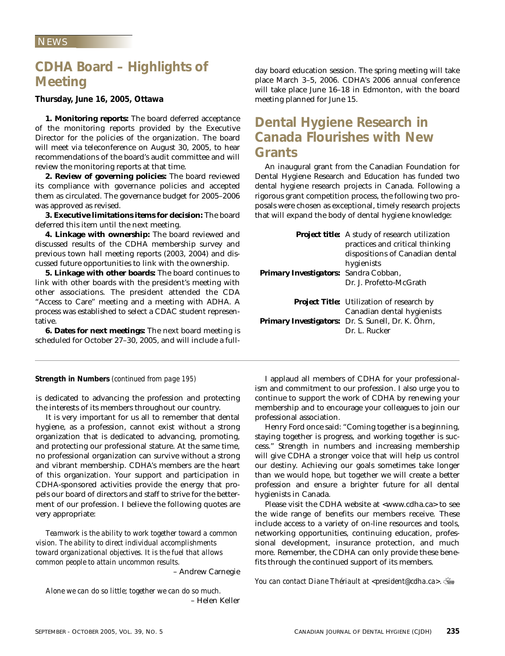# **CDHA Board – Highlights of Meeting**

**Thursday, June 16, 2005, Ottawa**

**1. Monitoring reports:** The board deferred acceptance of the monitoring reports provided by the Executive Director for the policies of the organization. The board will meet via teleconference on August 30, 2005, to hear recommendations of the board's audit committee and will review the monitoring reports at that time.

**2. Review of governing policies:** The board reviewed its compliance with governance policies and accepted them as circulated. The governance budget for 2005–2006 was approved as revised.

**3. Executive limitations items for decision:** The board deferred this item until the next meeting.

**4. Linkage with ownership:** The board reviewed and discussed results of the CDHA membership survey and previous town hall meeting reports (2003, 2004) and discussed future opportunities to link with the ownership.

**5. Linkage with other boards:** The board continues to link with other boards with the president's meeting with other associations. The president attended the CDA "Access to Care" meeting and a meeting with ADHA. A process was established to select a CDAC student representative.

**6. Dates for next meetings:** The next board meeting is scheduled for October 27–30, 2005, and will include a fullday board education session. The spring meeting will take place March 3–5, 2006. CDHA's 2006 annual conference will take place June 16–18 in Edmonton, with the board meeting planned for June 15.

# **Dental Hygiene Research in Canada Flourishes with New Grants**

An inaugural grant from the Canadian Foundation for Dental Hygiene Research and Education has funded two dental hygiene research projects in Canada. Following a rigorous grant competition process, the following two proposals were chosen as exceptional, timely research projects that will expand the body of dental hygiene knowledge:

|                                       | <b>Project title:</b> A study of research utilization<br>practices and critical thinking<br>dispositions of Canadian dental |
|---------------------------------------|-----------------------------------------------------------------------------------------------------------------------------|
|                                       | hygienists                                                                                                                  |
| Primary Investigators: Sandra Cobban, |                                                                                                                             |
|                                       | Dr. J. Profetto-McGrath                                                                                                     |
|                                       | <b>Project Title:</b> Utilization of research by                                                                            |
|                                       | Canadian dental hygienists                                                                                                  |
|                                       | Primary Investigators: Dr. S. Sunell, Dr. K. Öhrn,                                                                          |
|                                       | Dr. L. Rucker                                                                                                               |
|                                       |                                                                                                                             |

is dedicated to advancing the profession and protecting the interests of its members throughout our country.

It is very important for us all to remember that dental hygiene, as a profession, cannot exist without a strong organization that is dedicated to advancing, promoting, and protecting our professional stature. At the same time, no professional organization can survive without a strong and vibrant membership. CDHA's members are the heart of this organization. Your support and participation in CDHA-sponsored activities provide the energy that propels our board of directors and staff to strive for the betterment of our profession. I believe the following quotes are very appropriate:

*Teamwork is the ability to work together toward a common vision. The ability to direct individual accomplishments toward organizational objectives. It is the fuel that allows common people to attain uncommon results.*

– Andrew Carnegie

*Alone we can do so little; together we can do so much.* – Helen Keller

**Strength in Numbers** *(continued from page 195)* I applaud all members of CDHA for your professionalism and commitment to our profession. I also urge you to continue to support the work of CDHA by renewing your membership and to encourage your colleagues to join our professional association.

Henry Ford once said: "Coming together is a beginning, staying together is progress, and working together is success." Strength in numbers and increasing membership will give CDHA a stronger voice that will help us control our destiny. Achieving our goals sometimes take longer than we would hope, but together we will create a better profession and ensure a brighter future for all dental hygienists in Canada.

Please visit the CDHA website at <www.cdha.ca> to see the wide range of benefits our members receive. These include access to a variety of on-line resources and tools, networking opportunities, continuing education, professional development, insurance protection, and much more. Remember, the CDHA can only provide these benefits through the continued support of its members.

*You can contact Diane Thériault at <president@cdha.ca>.*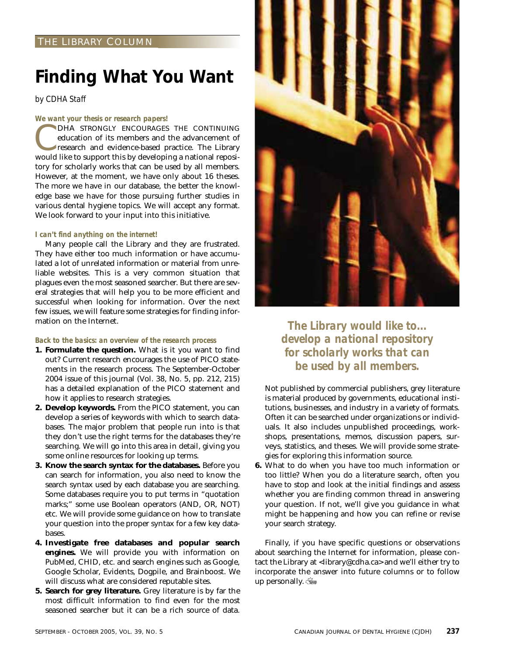## THE LIBRARY COLUMN

# **Finding What You Want**

*by CDHA Staff*

#### *We want your thesis or research papers!*

DHA STRONGLY ENCOURAGES THE CONTINUING education of its members and the advancement of research and evidence-based practice. The Library would like to support this by developing a national repository for scholarly works that can be used by all members. However, at the moment, we have only about 16 theses. The more we have in our database, the better the knowledge base we have for those pursuing further studies in various dental hygiene topics. We will accept any format. We look forward to your input into this initiative.

#### *I can't find anything on the internet!*

Many people call the Library and they are frustrated. They have either too much information or have accumulated a lot of unrelated information or material from unreliable websites. This is a very common situation that plagues even the most seasoned searcher. But there are several strategies that will help you to be more efficient and successful when looking for information. Over the next few issues, we will feature some strategies for finding information on the Internet.

#### *Back to the basics: an overview of the research process*

- **1. Formulate the question.** What is it you want to find out? Current research encourages the use of PICO statements in the research process. The September-October 2004 issue of this journal (Vol. 38, No. 5, pp. 212, 215) has a detailed explanation of the PICO statement and how it applies to research strategies.
- **2. Develop keywords.** From the PICO statement, you can develop a series of keywords with which to search databases. The major problem that people run into is that they don't use the right terms for the databases they're searching. We will go into this area in detail, giving you some online resources for looking up terms.
- **3. Know the search syntax for the databases.** Before you can search for information, you also need to know the search syntax used by each database you are searching. Some databases require you to put terms in "quotation marks;" some use Boolean operators (AND, OR, NOT) etc. We will provide some guidance on how to translate your question into the proper syntax for a few key databases.
- **4. Investigate free databases and popular search engines.** We will provide you with information on PubMed, CHID, etc. and search engines such as Google, Google Scholar, Evidents, Dogpile, and Brainboost. We will discuss what are considered reputable sites.
- **5. Search for grey literature.** Grey literature is by far the most difficult information to find even for the most seasoned searcher but it can be a rich source of data.



*The Library would like to... develop a national repository for scholarly works that can be used by all members.*

Not published by commercial publishers, grey literature is material produced by governments, educational institutions, businesses, and industry in a variety of formats. Often it can be searched under organizations or individuals. It also includes unpublished proceedings, workshops, presentations, memos, discussion papers, surveys, statistics, and theses. We will provide some strategies for exploring this information source.

**6.** What to do when you have too much information or too little? When you do a literature search, often you have to stop and look at the initial findings and assess whether you are finding common thread in answering your question. If not, we'll give you guidance in what might be happening and how you can refine or revise your search strategy.

Finally, if you have specific questions or observations about searching the Internet for information, please contact the Library at <library@cdha.ca> and we'll either try to incorporate the answer into future columns or to follow up personally.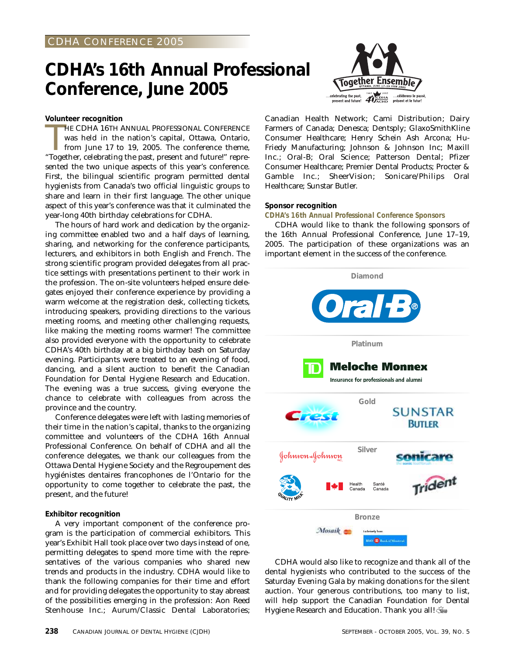# **CDHA's 16th Annual Professional Conference, June 2005**

#### **Volunteer recognition**

HE CDHA 16TH ANNUAL PROFESSIONAL CONFERENCE<br>was held in the nation's capital, Ottawa, Ontario,<br>from June 17 to 19, 2005. The conference theme,<br>"Together, celebrating the past, present and future!" repre-HE CDHA 16TH ANNUAL PROFESSIONAL CONFERENCE was held in the nation's capital, Ottawa, Ontario, from June 17 to 19, 2005. The conference theme, sented the two unique aspects of this year's conference. First, the bilingual scientific program permitted dental hygienists from Canada's two official linguistic groups to share and learn in their first language. The other unique aspect of this year's conference was that it culminated the year-long 40th birthday celebrations for CDHA.

The hours of hard work and dedication by the organizing committee enabled two and a half days of learning, sharing, and networking for the conference participants, lecturers, and exhibitors in both English and French. The strong scientific program provided delegates from all practice settings with presentations pertinent to their work in the profession. The on-site volunteers helped ensure delegates enjoyed their conference experience by providing a warm welcome at the registration desk, collecting tickets, introducing speakers, providing directions to the various meeting rooms, and meeting other challenging requests, like making the meeting rooms warmer! The committee also provided everyone with the opportunity to celebrate CDHA's 40th birthday at a big birthday bash on Saturday evening. Participants were treated to an evening of food, dancing, and a silent auction to benefit the Canadian Foundation for Dental Hygiene Research and Education. The evening was a true success, giving everyone the chance to celebrate with colleagues from across the province and the country.

Conference delegates were left with lasting memories of their time in the nation's capital, thanks to the organizing committee and volunteers of the CDHA 16th Annual Professional Conference. On behalf of CDHA and all the conference delegates, we thank our colleagues from the Ottawa Dental Hygiene Society and the Regroupement des hygiénistes dentaires francophones de l'Ontario for the opportunity to come together to celebrate the past, the present, and the future!

#### **Exhibitor recognition**

A very important component of the conference program is the participation of commercial exhibitors. This year's Exhibit Hall took place over two days instead of one, permitting delegates to spend more time with the representatives of the various companies who shared new trends and products in the industry. CDHA would like to thank the following companies for their time and effort and for providing delegates the opportunity to stay abreast of the possibilities emerging in the profession: Aon Reed Stenhouse Inc.; Aurum/Classic Dental Laboratories;



Canadian Health Network; Cami Distribution; Dairy Farmers of Canada; Denesca; Dentsply; GlaxoSmithKline Consumer Healthcare; Henry Schein Ash Arcona; Hu-Friedy Manufacturing; Johnson & Johnson Inc; Maxill Inc.; Oral-B; Oral Science; Patterson Dental; Pfizer Consumer Healthcare; Premier Dental Products; Procter & Gamble Inc.; SheerVision; Sonicare/Philips Oral Healthcare; Sunstar Butler.

#### **Sponsor recognition**

#### *CDHA's 16th Annual Professional Conference Sponsors*

CDHA would like to thank the following sponsors of the 16th Annual Professional Conference, June 17–19, 2005. The participation of these organizations was an important element in the success of the conference.



CDHA would also like to recognize and thank all of the dental hygienists who contributed to the success of the Saturday Evening Gala by making donations for the silent auction. Your generous contributions, too many to list, will help support the Canadian Foundation for Dental Hygiene Research and Education. Thank you all!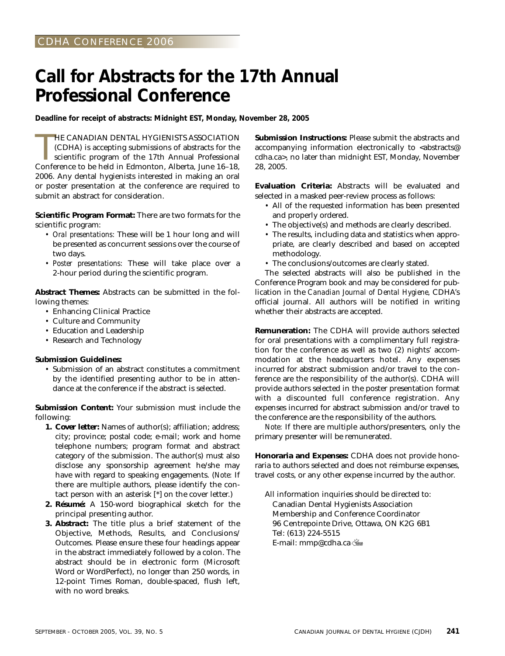# **Call for Abstracts for the 17th Annual Professional Conference**

**Deadline for receipt of abstracts: Midnight EST, Monday, November 28, 2005**

HE CANADIAN DENTAL HYGIENISTS ASSOCIATION (CDHA) is accepting submissions of abstracts for the scientific program of the 17th Annual Professional Conference to be held in Edmonton, Alberta, June 16–18, HE CANADIAN DENTAL HYGIENISTS ASSOCIATION (CDHA) is accepting submissions of abstracts for the scientific program of the 17th Annual Professional 2006. Any dental hygienists interested in making an oral or poster presentation at the conference are required to submit an abstract for consideration.

**Scientific Program Format:** There are two formats for the scientific program:

- *Oral presentations:* These will be 1 hour long and will be presented as concurrent sessions over the course of two days.
- *Poster presentations:* These will take place over a 2-hour period during the scientific program.

**Abstract Themes:** Abstracts can be submitted in the following themes:

- *•* Enhancing Clinical Practice
- *•* Culture and Community
- *•* Education and Leadership
- *•* Research and Technology

#### **Submission Guidelines:**

*•* Submission of an abstract constitutes a commitment by the identified presenting author to be in attendance at the conference if the abstract is selected.

**Submission Content:** Your submission must include the following:

- *1. Cover letter:* Names of author(s); affiliation; address; city; province; postal code; e-mail; work and home telephone numbers; program format and abstract category of the submission. The author(s) must also disclose any sponsorship agreement he/she may have with regard to speaking engagements. (*Note:* If there are multiple authors, please identify the contact person with an asterisk [\*] on the cover letter.)
- *2. Résumé:* A 150-word biographical sketch for the principal presenting author.
- *3. Abstract:* The title plus a brief statement of the Objective, Methods, Results, and Conclusions/ Outcomes. Please ensure these four headings appear in the abstract immediately followed by a colon. The abstract should be in electronic form (Microsoft Word or WordPerfect), no longer than 250 words, in 12-point Times Roman, double-spaced, flush left, with no word breaks.

**Submission Instructions:** Please submit the abstracts and accompanying information electronically to <abstracts@ cdha.ca>, no later than midnight EST, Monday, November 28, 2005.

**Evaluation Criteria:** Abstracts will be evaluated and selected in a masked peer-review process as follows:

- *•* All of the requested information has been presented and properly ordered.
- *•* The objective(s) and methods are clearly described.
- *•* The results, including data and statistics when appropriate, are clearly described and based on accepted methodology.
- *•* The conclusions/outcomes are clearly stated.

The selected abstracts will also be published in the Conference Program book and may be considered for publication in the *Canadian Journal of Dental Hygiene,* CDHA's official journal. All authors will be notified in writing whether their abstracts are accepted.

**Remuneration:** The CDHA will provide authors selected for oral presentations with a complimentary full registration for the conference as well as two (2) nights' accommodation at the headquarters hotel. Any expenses incurred for abstract submission and/or travel to the conference are the responsibility of the author(s). CDHA will provide authors selected in the poster presentation format with a discounted full conference registration. Any expenses incurred for abstract submission and/or travel to the conference are the responsibility of the authors.

*Note:* If there are multiple authors/presenters, only the primary presenter will be remunerated.

**Honoraria and Expenses:** CDHA does not provide honoraria to authors selected and does not reimburse expenses, travel costs, or any other expense incurred by the author.

All information inquiries should be directed to: Canadian Dental Hygienists Association Membership and Conference Coordinator 96 Centrepointe Drive, Ottawa, ON K2G 6B1 Tel: (613) 224-5515 E-mail: mmp@cdha.ca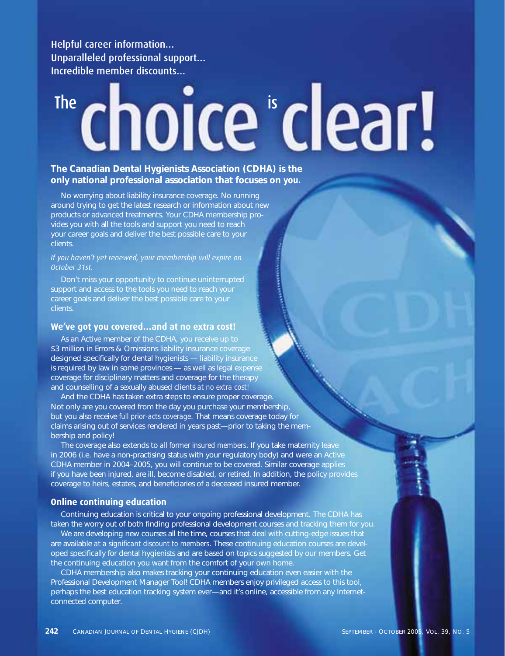Helpful career information… Unparalleled professional support… Incredible member discounts…

# The isologic entries

## **The Canadian Dental Hygienists Association (CDHA) is the only national professional association that focuses on** *you.*

No worrying about liability insurance coverage. No running around trying to get the latest research or information about new products or advanced treatments. Your CDHA membership provides you with all the tools and support you need to reach your career goals and deliver the best possible care to your clients.

*If you haven't yet renewed, your membership will expire on October 31st.* 

Don't miss your opportunity to continue uninterrupted support and access to the tools you need to reach your career goals and deliver the best possible care to your clients.

### **We've got you covered…and at no extra cost!**

As an Active member of the CDHA, you receive up to \$3 million in Errors & Omissions liability insurance coverage designed specifically for dental hygienists — liability insurance is required by law in some provinces — as well as legal expense coverage for disciplinary matters and coverage for the therapy and counselling of a sexually abused clients *at no extra cost!*

And the CDHA has taken extra steps to ensure proper coverage. Not only are you covered from the day you purchase your membership, but you also receive *full prior-acts coverage*. That means coverage today for claims arising out of services rendered in years past—prior to taking the membership and policy!

The coverage also extends to *all former insured members*. If you take maternity leave in 2006 (i.e. have a non-practising status with your regulatory body) and were an Active CDHA member in 2004–2005, you will continue to be covered. Similar coverage applies if you have been injured, are ill, become disabled, or retired. In addition, the policy provides coverage to heirs, estates, and beneficiaries of a deceased insured member.

## **Online continuing education**

Continuing education is critical to your ongoing professional development. The CDHA has taken the worry out of both finding professional development courses and tracking them for you.

We are developing new courses all the time, courses that deal with cutting-edge issues that are available *at a significant discount to members*. These continuing education courses are developed specifically for dental hygienists and are based on topics suggested by our members. Get the continuing education you want from the comfort of your own home.

CDHA membership also makes tracking your continuing education even easier with the Professional Development Manager Tool! CDHA members enjoy privileged access to this tool, perhaps the best education tracking system ever—and it's online, accessible from any Internetconnected computer.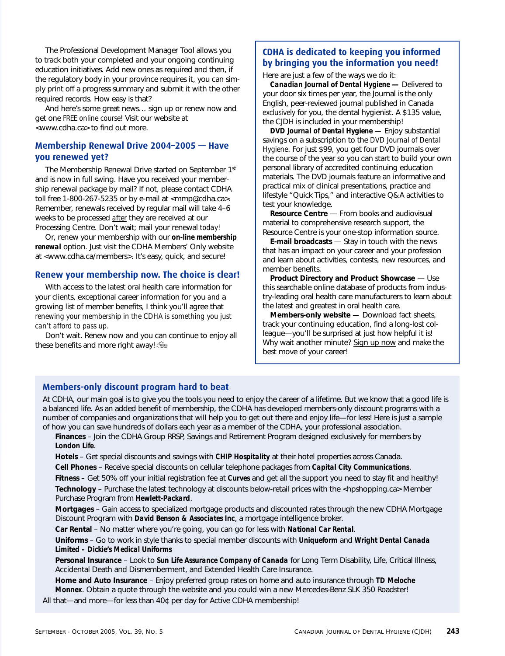The Professional Development Manager Tool allows you to track both your completed and your ongoing continuing education initiatives. Add new ones as required and then, if the regulatory body in your province requires it, you can simply print off a progress summary and submit it with the other required records. How easy is that?

And here's some great news… sign up or renew now and get one *FREE online course!* Visit our website at <www.cdha.ca> to find out more.

## **Membership Renewal Drive 2004–2005 — Have you renewed yet?**

The Membership Renewal Drive started on September 1st and is now in full swing. Have you received your membership renewal package by mail? If not, please contact CDHA toll free 1-800-267-5235 or by e-mail at <mmp@cdha.ca>. Remember, renewals received by regular mail will take 4–6 weeks to be processed *after* they are received at our Processing Centre. Don't wait; mail your renewal *today!*

Or, renew your membership with our *on-line membership renewal* option. Just visit the CDHA Members' Only website at <www.cdha.ca/members>. It's easy, quick, and secure!

### **Renew your membership now. The choice is clear!**

With access to the latest oral health care information for your clients, exceptional career information for you *and* a growing list of member benefits, I think you'll agree that *renewing your membership in the CDHA is something you just can't afford to pass up*.

Don't wait. Renew now and you can continue to enjoy all these benefits and more right away!

# **CDHA is dedicated to keeping you informed by bringing you the information you need!**

Here are just a few of the ways we do it:

*Canadian Journal of Dental Hygiene* **—** Delivered to your door six times per year, the Journal is the only English, peer-reviewed journal published in Canada *exclusively* for you, the dental hygienist. A \$135 value, the CJDH is included in your membership!

*DVD Journal of Dental Hygiene* **—** Enjoy substantial savings on a subscription to the *DVD Journal of Dental Hygiene*. For just \$99, you get four DVD journals over the course of the year so you can start to build your own personal library of accredited continuing education materials. The DVD journals feature an informative and practical mix of clinical presentations, practice and lifestyle "Quick Tips," and interactive Q&A activities to test your knowledge.

**Resource Centre** — From books and audiovisual material to comprehensive research support, the Resource Centre is your one-stop information source.

**E-mail broadcasts** — Stay in touch with the news that has an impact on your career and your profession and learn about activities, contests, new resources, and member benefits.

**Product Directory and Product Showcase** — Use this searchable online database of products from industry-leading oral health care manufacturers to learn about the latest and greatest in oral health care.

**Members-only website —** Download fact sheets, track your continuing education, find a long-lost colleague—you'll be surprised at just how helpful it is! Why wait another minute? Sign up now and make the best move of your career!

## **Members-only discount program hard to beat**

At CDHA, our main goal is to give you the tools you need to enjoy the career of a lifetime. But we know that a good life is a balanced life. As an added benefit of membership, the CDHA has developed members-only discount programs with a number of companies and organizations that will help you to get out there and enjoy life—for less! Here is just a sample of how you can save hundreds of dollars each year as a member of the CDHA, your professional association.

**Finances** – Join the CDHA Group RRSP, Savings and Retirement Program designed exclusively for members by *London Life*.

**Hotels** – Get special discounts and savings with *CHIP Hospitality* at their hotel properties across Canada. **Cell Phones** – Receive special discounts on cellular telephone packages from *Capital City Communications*.

**Fitness –** Get 50% off your initial registration fee at *Curves* and get all the support you need to stay fit and healthy! **Technology** – Purchase the latest technology at discounts below-retail prices with the <hpshopping.ca> Member

Purchase Program from *Hewlett-Packard*.

**Mortgages** – Gain access to specialized mortgage products and discounted rates through the new CDHA Mortgage Discount Program with *David Benson & Associates Inc*, a mortgage intelligence broker.

**Car Rental** – No matter where you're going, you can go for less with *National Car Rental*.

**Uniforms** – Go to work in style thanks to special member discounts with *Uniqueform* and *Wright Dental Canada Limited – Dickie's Medical Uniforms*

**Personal Insurance** – Look to *Sun Life Assurance Company of Canada* for Long Term Disability, Life, Critical Illness, Accidental Death and Dismemberment, and Extended Health Care Insurance.

**Home and Auto Insurance** – Enjoy preferred group rates on home and auto insurance through *TD Meloche Monnex*. Obtain a quote through the website and you could win a new Mercedes-Benz SLK 350 Roadster!

All that—and more—for less than 40¢ per day for Active CDHA membership!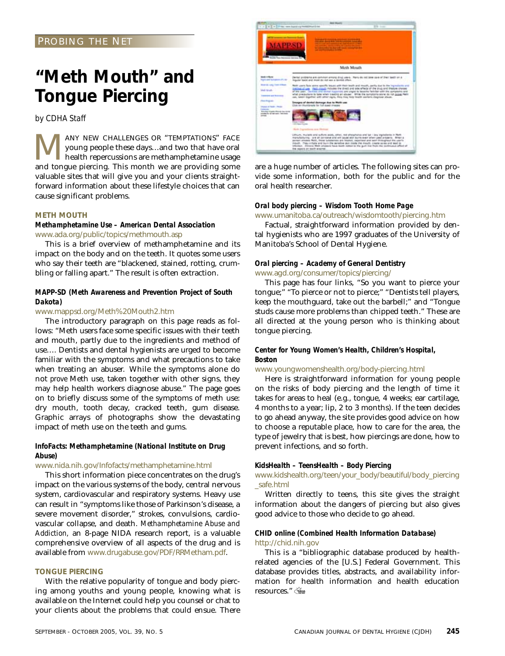## PROBING THE NET

# **"Meth Mouth" and Tongue Piercing**

*by CDHA Staff*

MANY NEW CHALLENGES OR "TEMPTATIONS" FACE<br>young people these days...and two that have oral<br>health repercussions are methamphetamine usage<br>and tongue piercing. This month we are providing some young people these days…and two that have oral health repercussions are methamphetamine usage and tongue piercing. This month we are providing some valuable sites that will give you and your clients straightforward information about these lifestyle choices that can cause significant problems.

#### **METH MOUTH**

#### *Methamphetamine Use – American Dental Association* www.ada.org/public/topics/methmouth.asp

This is a brief overview of methamphetamine and its impact on the body and on the teeth. It quotes some users who say their teeth are "blackened, stained, rotting, crumbling or falling apart." The result is often extraction.

### *MAPP-SD (Meth Awareness and Prevention Project of South Dakota)*

#### www.mappsd.org/Meth%20Mouth2.htm

The introductory paragraph on this page reads as follows: "Meth users face some specific issues with their teeth and mouth, partly due to the ingredients and method of use…. Dentists and dental hygienists are urged to become familiar with the symptoms and what precautions to take when treating an abuser. While the symptoms alone do not *prove* Meth use, taken together with other signs, they may help health workers diagnose abuse." The page goes on to briefly discuss some of the symptoms of meth use: dry mouth, tooth decay, cracked teeth, gum disease. Graphic arrays of photographs show the devastating impact of meth use on the teeth and gums.

### *InfoFacts: Methamphetamine (National Institute on Drug Abuse)*

www.nida.nih.gov/Infofacts/methamphetamine.html

This short information piece concentrates on the drug's impact on the various systems of the body, central nervous system, cardiovascular and respiratory systems. Heavy use can result in "symptoms like those of Parkinson's disease, a severe movement disorder," strokes, convulsions, cardiovascular collapse, and death. *Methamphetamine Abuse and Addiction,* an 8-page NIDA research report, is a valuable comprehensive overview of all aspects of the drug and is available from www.drugabuse.gov/PDF/RRMetham.pdf.

#### **TONGUE PIERCING**

With the relative popularity of tongue and body piercing among youths and young people, knowing what is available on the Internet could help you counsel or chat to your clients about the problems that could ensue. There



are a huge number of articles. The following sites can provide some information, both for the public and for the oral health researcher.

#### *Oral body piercing – Wisdom Tooth Home Page*

www.umanitoba.ca/outreach/wisdomtooth/piercing.htm

Factual, straightforward information provided by dental hygienists who are 1997 graduates of the University of Manitoba's School of Dental Hygiene.

#### *Oral piercing – Academy of General Dentistry* www.agd.org/consumer/topics/piercing/

This page has four links, "So you want to pierce your tongue;" "To pierce or not to pierce;" "Dentists tell players, keep the mouthguard, take out the barbell;" and "Tongue studs cause more problems than chipped teeth." These are all directed at the young person who is thinking about tongue piercing.

## *Center for Young Women's Health, Children's Hospital, Boston*

#### www.youngwomenshealth.org/body-piercing.html

Here is straightforward information for young people on the risks of body piercing and the length of time it takes for areas to heal (e.g., tongue, 4 weeks; ear cartilage, 4 months to a year; lip, 2 to 3 months). If the teen decides to go ahead anyway, the site provides good advice on how to choose a reputable place, how to care for the area, the type of jewelry that is best, how piercings are done, how to prevent infections, and so forth.

#### *KidsHealth – TeensHealth – Body Piercing*

www.kidshealth.org/teen/your\_body/beautiful/body\_piercing \_safe.html

Written directly to teens, this site gives the straight information about the dangers of piercing but also gives good advice to those who decide to go ahead.

#### *CHID online (Combined Health Information Database)* http://chid.nih.gov

This is a "bibliographic database produced by healthrelated agencies of the [U.S.] Federal Government. This database provides titles, abstracts, and availability information for health information and health education resources."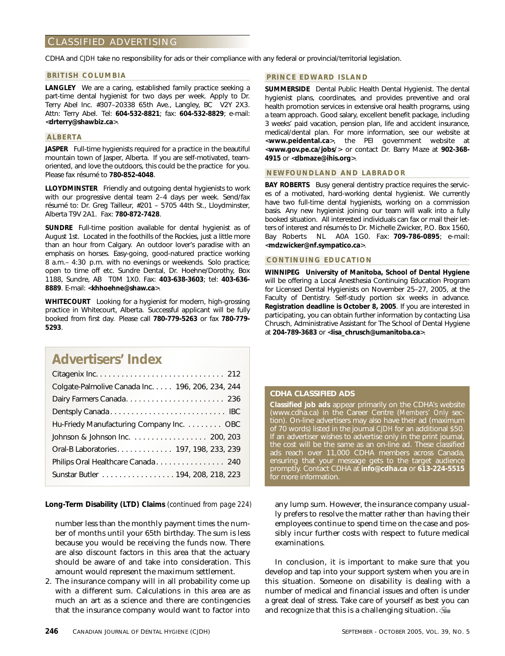## CLASSIFIED ADVERTISING

CDHA and *CJDH* take no responsibility for ads or their compliance with any federal or provincial/territorial legislation.

#### **BRITISH COLUMBIA**

**LANGLEY** We are a caring, established family practice seeking a part-time dental hygienist for two days per week. Apply to Dr. Terry Abel Inc. #307–20338 65th Ave., Langley, BC V2Y 2X3. Attn: Terry Abel. Tel: **604-532-8821**; fax: **604-532-8829**; e-mail: <**drterry@shawbiz.ca**>.

#### **ALBERTA**

**JASPER** Full-time hygienists required for a practice in the beautiful mountain town of Jasper, Alberta. If you are self-motivated, teamoriented, and love the outdoors, this could be the practice for you. Please fax résumé to **780-852-4048**.

**LLOYDMINSTER** Friendly and outgoing dental hygienists to work with our progressive dental team 2–4 days per week. Send/fax résumé to: Dr. Greg Tailleur, #201 – 5705 44th St., Lloydminster, Alberta T9V 2A1. Fax: **780-872-7428**.

**SUNDRE** Full-time position available for dental hygienist as of August 1st. Located in the foothills of the Rockies, just a little more than an hour from Calgary. An outdoor lover's paradise with an emphasis on horses. Easy-going, good-natured practice working 8 a.m.– 4:30 p.m. with no evenings or weekends. Solo practice; open to time off etc. Sundre Dental, Dr. Hoehne/Dorothy, Box 1188, Sundre, AB T0M 1X0. Fax: **403-638-3603**; tel: **403-636- 8889**. E-mail: <**khhoehne@shaw.ca**>.

**WHITECOURT** Looking for a hygienist for modern, high-grossing practice in Whitecourt, Alberta. Successful applicant will be fully booked from first day. Please call **780-779-5263** or fax **780-779- 5293**.

# **Advertisers' Index**

| Colgate-Palmolive Canada Inc. 196, 206, 234, 244 |
|--------------------------------------------------|
|                                                  |
|                                                  |
| Hu-Friedy Manufacturing Company Inc. OBC         |
| Johnson & Johnson Inc. 200, 203                  |
| Oral-B Laboratories 197, 198, 233, 239           |
| Philips Oral Healthcare Canada 240               |
| Sunstar Butler 194, 208, 218, 223                |

**Long-Term Disability (LTD) Claims** *(continued from page 224)*

number less than the monthly payment *times* the number of months until your 65th birthday. The sum is less because you would be receiving the funds now. There are also discount factors in this area that the actuary should be aware of and take into consideration. This amount would represent the maximum settlement.

2. The insurance company will in all probability come up with a different sum. Calculations in this area are as much an art as a science and there are contingencies that the insurance company would want to factor into

#### **PRINCE EDWARD ISLAND**

**SUMMERSIDE** Dental Public Health Dental Hygienist. The dental hygienist plans, coordinates, and provides preventive and oral health promotion services in extensive oral health programs, using a team approach. Good salary, excellent benefit package, including 3 weeks' paid vacation, pension plan, life and accident insurance, medical/dental plan. For more information, see our website at <**www.peidental.ca**>, the PEI government website at <**www.gov.pe.ca/jobs/**> or contact Dr. Barry Maze at **902-368- 4915** or <**dbmaze@ihis.org**>.

#### **NEWFOUNDLAND AND LABRADOR**

**BAY ROBERTS** Busy general dentistry practice requires the services of a motivated, hard-working dental hygienist. We currently have two full-time dental hygienists, working on a commission basis. Any new hygienist joining our team will walk into a fully booked situation. All interested individuals can fax or mail their letters of interest and résumés to Dr. Michelle Zwicker, P.O. Box 1560, Bay Roberts NL A0A 1G0. Fax: **709-786-0895**; e-mail: <**mdzwicker@nf.sympatico.ca**>.

#### **CONTINUING EDUCATION**

**WINNIPEG University of Manitoba, School of Dental Hygiene** will be offering a Local Anesthesia Continuing Education Program for Licensed Dental Hygienists on November 25–27, 2005, at the Faculty of Dentistry. Self-study portion six weeks in advance. **Registration deadline is October 8, 2005**. If you are interested in participating, you can obtain further information by contacting Lisa Chrusch, Administrative Assistant for The School of Dental Hygiene at **204-789-3683** or <**lisa\_chrusch@umanitoba.ca**>.

#### **CDHA CLASSIFIED ADS**

**Classified job ads** appear primarily on the CDHA's website (www.cdha.ca) in the Career Centre (*Members' Only* section). On-line advertisers may also have their ad (maximum of 70 words) listed in the journal *CJDH* for an additional \$50. If an advertiser wishes to advertise only in the print journal, the cost will be the same as an on-line ad. These classified ads reach over 11,000 CDHA members across Canada, ensuring that your message gets to the target audience promptly. Contact CDHA at **info@cdha.ca** or **613-224-5515** for more information.

any lump sum. However, the insurance company usually prefers to resolve the matter rather than having their employees continue to spend time on the case and possibly incur further costs with respect to future medical examinations.

In conclusion, it is important to make sure that you develop and tap into your support system when you are in this situation. Someone on disability is dealing with a number of medical and financial issues and often is under a great deal of stress. Take care of yourself as best you can and recognize that this is a challenging situation.  $\frac{1}{2}$